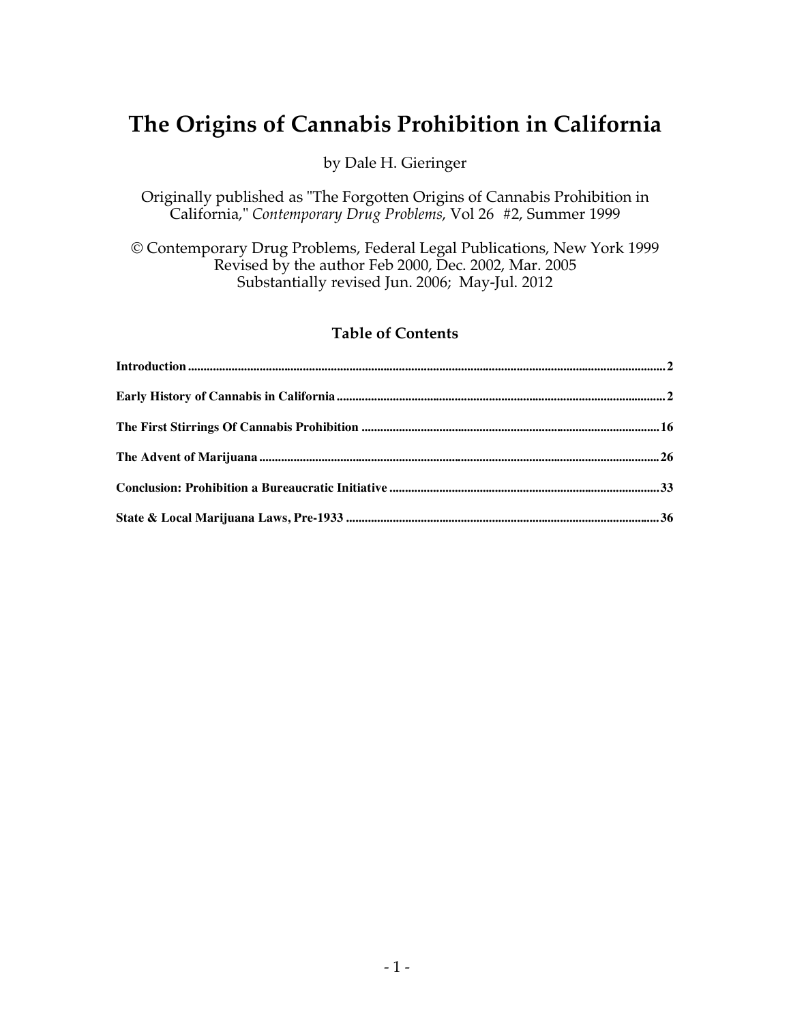# **The Origins of Cannabis Prohibition in California**

## by Dale H. Gieringer

Originally published as "The Forgotten Origins of Cannabis Prohibition in California," *Contemporary Drug Problems*, Vol 26 #2, Summer 1999

© Contemporary Drug Problems, Federal Legal Publications, New York 1999 Revised by the author Feb 2000, Dec. 2002, Mar. 2005 Substantially revised Jun. 2006; May-Jul. 2012

### **Table of Contents**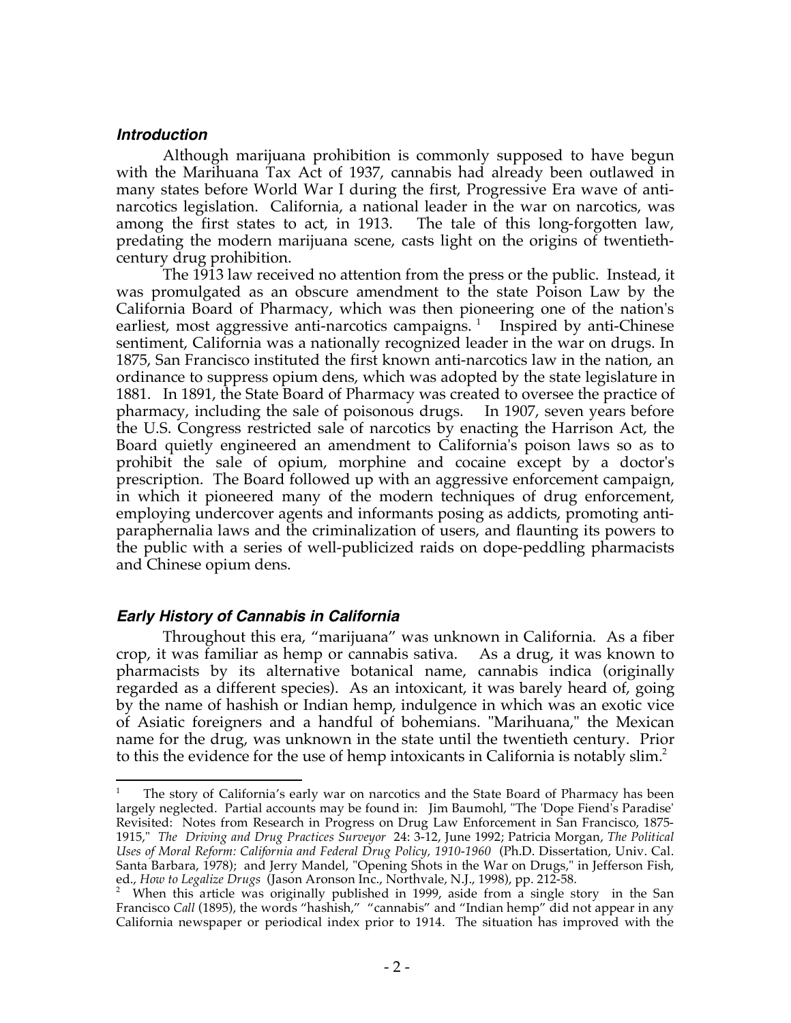#### *Introduction*

Although marijuana prohibition is commonly supposed to have begun with the Marihuana Tax Act of 1937, cannabis had already been outlawed in many states before World War I during the first, Progressive Era wave of antinarcotics legislation. California, a national leader in the war on narcotics, was among the first states to act, in 1913. The tale of this long-forgotten law, predating the modern marijuana scene, casts light on the origins of twentiethcentury drug prohibition.

The 1913 law received no attention from the press or the public. Instead, it was promulgated as an obscure amendment to the state Poison Law by the California Board of Pharmacy, which was then pioneering one of the nation's earliest, most aggressive anti-narcotics campaigns.<sup>1</sup> Inspired by anti-Chinese sentiment, California was a nationally recognized leader in the war on drugs. In 1875, San Francisco instituted the first known anti-narcotics law in the nation, an ordinance to suppress opium dens, which was adopted by the state legislature in 1881. In 1891, the State Board of Pharmacy was created to oversee the practice of pharmacy, including the sale of poisonous drugs. In 1907, seven years before the U.S. Congress restricted sale of narcotics by enacting the Harrison Act, the Board quietly engineered an amendment to California's poison laws so as to prohibit the sale of opium, morphine and cocaine except by a doctor's prescription. The Board followed up with an aggressive enforcement campaign, in which it pioneered many of the modern techniques of drug enforcement, employing undercover agents and informants posing as addicts, promoting antiparaphernalia laws and the criminalization of users, and flaunting its powers to the public with a series of well-publicized raids on dope-peddling pharmacists and Chinese opium dens.

### *Early History of Cannabis in California*

Throughout this era, "marijuana" was unknown in California. As a fiber crop, it was familiar as hemp or cannabis sativa. As a drug, it was known to pharmacists by its alternative botanical name, cannabis indica (originally regarded as a different species). As an intoxicant, it was barely heard of, going by the name of hashish or Indian hemp, indulgence in which was an exotic vice of Asiatic foreigners and a handful of bohemians. "Marihuana," the Mexican name for the drug, was unknown in the state until the twentieth century. Prior to this the evidence for the use of hemp intoxicants in California is notably slim.<sup>2</sup>

 $\frac{1}{1}$  The story of California's early war on narcotics and the State Board of Pharmacy has been largely neglected. Partial accounts may be found in: Jim Baumohl, "The 'Dope Fiend's Paradise' Revisited: Notes from Research in Progress on Drug Law Enforcement in San Francisco, 1875- 1915," *The Driving and Drug Practices Surveyor* 24: 3-12, June 1992; Patricia Morgan, *The Political Uses of Moral Reform: California and Federal Drug Policy, 1910-1960* (Ph.D. Dissertation, Univ. Cal. Santa Barbara, 1978); and Jerry Mandel, "Opening Shots in the War on Drugs," in Jefferson Fish, ed., *How to Legalize Drugs* (Jason Aronson Inc., Northvale, N.J., 1998), pp. 212-58. <sup>2</sup>

When this article was originally published in 1999, aside from a single story in the San Francisco *Call* (1895), the words "hashish," "cannabis" and "Indian hemp" did not appear in any California newspaper or periodical index prior to 1914. The situation has improved with the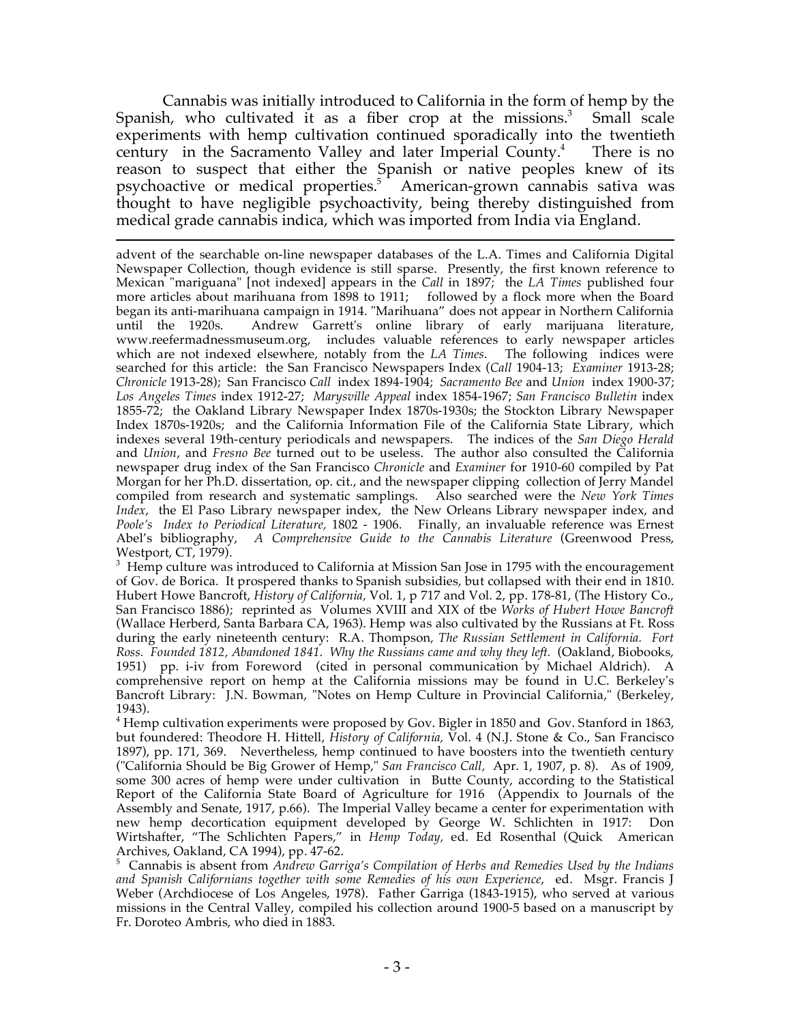Cannabis was initially introduced to California in the form of hemp by the Spanish, who cultivated it as a fiber crop at the missions. $3$  Small scale experiments with hemp cultivation continued sporadically into the twentieth century in the Sacramento Valley and later Imperial County.4 There is no reason to suspect that either the Spanish or native peoples knew of its psychoactive or medical properties.<sup>5</sup> American-grown cannabis sativa was thought to have negligible psychoactivity, being thereby distinguished from medical grade cannabis indica, which was imported from India via England.

 advent of the searchable on-line newspaper databases of the L.A. Times and California Digital Newspaper Collection, though evidence is still sparse. Presently, the first known reference to Mexican "mariguana" [not indexed] appears in the *Call* in 1897; the *LA Times* published four more articles about marihuana from 1898 to 1911; followed by a flock more when the Board began its anti-marihuana campaign in 1914. "Marihuana" does not appear in Northern California until the 1920s. Andrew Garrett's online library of early marijuana literature, www.reefermadnessmuseum.org, includes valuable references to early newspaper articles which are not indexed elsewhere, notably from the *LA Times*. The following indices were searched for this article: the San Francisco Newspapers Index (*Call* 1904-13; *Examiner* 1913-28; *Chronicle* 1913-28); San Francisco *Call* index 1894-1904; *Sacramento Bee* and *Union* index 1900-37; *Los Angeles Times* index 1912-27; *Marysville Appeal* index 1854-1967; *San Francisco Bulletin* index 1855-72; the Oakland Library Newspaper Index 1870s-1930s; the Stockton Library Newspaper Index 1870s-1920s; and the California Information File of the California State Library, which indexes several 19th-century periodicals and newspapers. The indices of the *San Diego Herald* and *Union*, and *Fresno Bee* turned out to be useless. The author also consulted the California newspaper drug index of the San Francisco *Chronicle* and *Examiner* for 1910-60 compiled by Pat Morgan for her Ph.D. dissertation, op. cit., and the newspaper clipping collection of Jerry Mandel compiled from research and systematic samplings. Also searched were the *New York Times Index*, the El Paso Library newspaper index, the New Orleans Library newspaper index, and *Poole's Index to Periodical Literature,* 1802 - 1906. Finally, an invaluable reference was Ernest Abel's bibliography, *A Comprehensive Guide to the Cannabis Literature* (Greenwood Press, Westport, CT, 1979).

 $3$  Hemp culture was introduced to California at Mission San Jose in 1795 with the encouragement of Gov. de Borica. It prospered thanks to Spanish subsidies, but collapsed with their end in 1810. Hubert Howe Bancroft, *History of California,* Vol. 1, p 717 and Vol. 2, pp. 178-81, (The History Co., San Francisco 1886); reprinted as Volumes XVIII and XIX of tbe *Works of Hubert Howe Bancroft* (Wallace Herberd, Santa Barbara CA, 1963). Hemp was also cultivated by the Russians at Ft. Ross during the early nineteenth century: R.A. Thompson*, The Russian Settlement in California. Fort Ross. Founded 1812, Abandoned 1841. Why the Russians came and why they left.* (Oakland, Biobooks, 1951) pp. i-iv from Foreword (cited in personal communication by Michael Aldrich). A comprehensive report on hemp at the California missions may be found in U.C. Berkeley's Bancroft Library: J.N. Bowman, "Notes on Hemp Culture in Provincial California," (Berkeley, 1943).

<sup>4</sup> Hemp cultivation experiments were proposed by Gov. Bigler in 1850 and Gov. Stanford in 1863, but foundered: Theodore H. Hittell, *History of California,* Vol. 4 (N.J. Stone & Co., San Francisco 1897), pp. 171, 369. Nevertheless, hemp continued to have boosters into the twentieth century ("California Should be Big Grower of Hemp," *San Francisco Call,* Apr. 1, 1907, p. 8). As of 1909, some 300 acres of hemp were under cultivation in Butte County, according to the Statistical Report of the California State Board of Agriculture for 1916 (Appendix to Journals of the Assembly and Senate, 1917, p.66). The Imperial Valley became a center for experimentation with new hemp decortication equipment developed by George W. Schlichten in 1917: Don Wirtshafter, "The Schlichten Papers," in *Hemp Today,* ed. Ed Rosenthal (Quick American Archives, Oakland, CA 1994), pp. 47-62.

 Cannabis is absent from *Andrew Garriga's Compilation of Herbs and Remedies Used by the Indians and Spanish Californians together with some Remedies of his own Experience*, ed. Msgr. Francis J Weber (Archdiocese of Los Angeles, 1978). Father Garriga (1843-1915), who served at various missions in the Central Valley, compiled his collection around 1900-5 based on a manuscript by Fr. Doroteo Ambris, who died in 1883.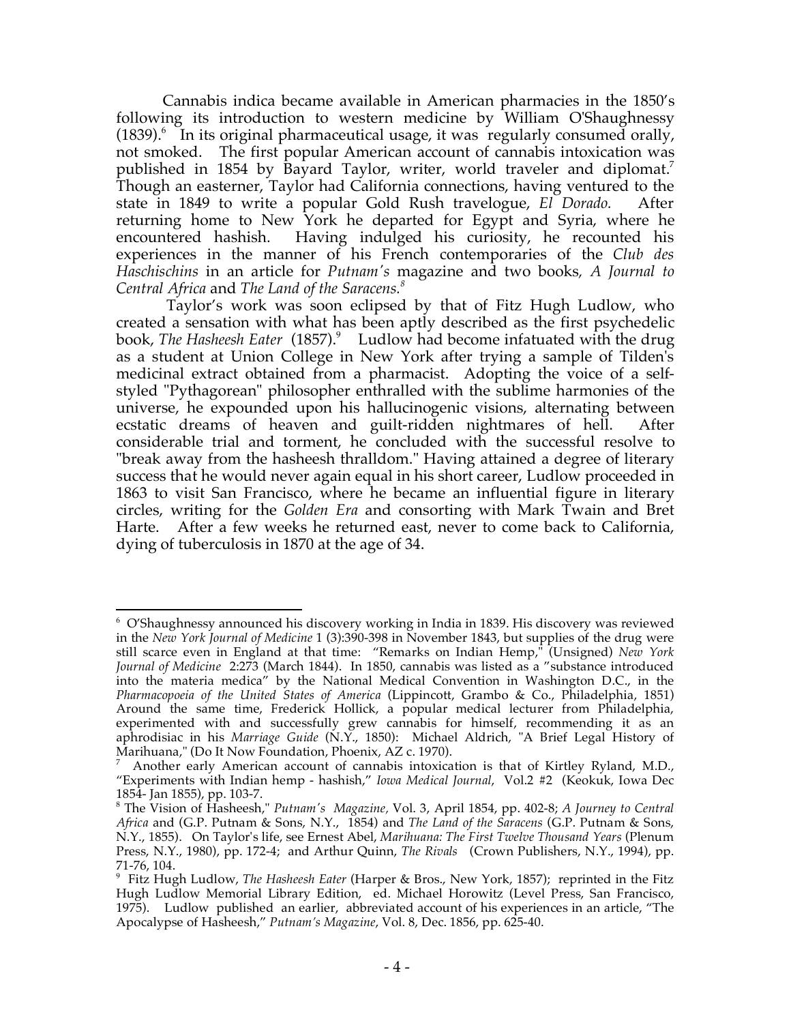Cannabis indica became available in American pharmacies in the 1850's following its introduction to western medicine by William O'Shaughnessy  $(1839)$ .<sup>6</sup> In its original pharmaceutical usage, it was regularly consumed orally, not smoked. The first popular American account of cannabis intoxication was published in 1854 by Bayard Taylor, writer, world traveler and diplomat.<sup>7</sup> Though an easterner, Taylor had California connections, having ventured to the state in 1849 to write a popular Gold Rush travelogue, *El Dorado.* After returning home to New York he departed for Egypt and Syria, where he encountered hashish. Having indulged his curiosity, he recounted his experiences in the manner of his French contemporaries of the *Club des Haschischins* in an article for *Putnam's* magazine and two books*, A Journal to Central Africa* and *The Land of the Saracens.8*

 Taylor's work was soon eclipsed by that of Fitz Hugh Ludlow, who created a sensation with what has been aptly described as the first psychedelic book, *The Hasheesh Eater* (1857).<sup>9</sup> Ludlow had become infatuated with the drug as a student at Union College in New York after trying a sample of Tilden's medicinal extract obtained from a pharmacist. Adopting the voice of a selfstyled "Pythagorean" philosopher enthralled with the sublime harmonies of the universe, he expounded upon his hallucinogenic visions, alternating between ecstatic dreams of heaven and guilt-ridden nightmares of hell. After considerable trial and torment, he concluded with the successful resolve to "break away from the hasheesh thralldom." Having attained a degree of literary success that he would never again equal in his short career, Ludlow proceeded in 1863 to visit San Francisco, where he became an influential figure in literary circles, writing for the *Golden Era* and consorting with Mark Twain and Bret Harte. After a few weeks he returned east, never to come back to California, dying of tuberculosis in 1870 at the age of 34.

 <sup>6</sup>  $6$  O'Shaughnessy announced his discovery working in India in 1839. His discovery was reviewed in the *New York Journal of Medicine* 1 (3):390-398 in November 1843, but supplies of the drug were still scarce even in England at that time: "Remarks on Indian Hemp," (Unsigned) *New York Journal of Medicine* 2:273 (March 1844). In 1850, cannabis was listed as a "substance introduced into the materia medica" by the National Medical Convention in Washington D.C., in the *Pharmacopoeia of the United States of America* (Lippincott, Grambo & Co., Philadelphia, 1851) Around the same time, Frederick Hollick, a popular medical lecturer from Philadelphia, experimented with and successfully grew cannabis for himself, recommending it as an aphrodisiac in his *Marriage Guide* (N.Y., 1850): Michael Aldrich, "A Brief Legal History of Marihuana," (Do It Now Foundation, Phoenix, AZ c. 1970).

Another early American account of cannabis intoxication is that of Kirtley Ryland, M.D., "Experiments with Indian hemp - hashish," *Iowa Medical Journal*, Vol.2 #2 (Keokuk, Iowa Dec 1854- Jan 1855), pp. 103-7. <sup>8</sup>

The Vision of Hasheesh," *Putnam's Magazine,* Vol. 3, April 1854, pp. 402-8; *A Journey to Central Africa* and (G.P. Putnam & Sons, N.Y., 1854) and *The Land of the Saracens* (G.P. Putnam & Sons, N.Y., 1855). On Taylor's life, see Ernest Abel, *Marihuana: The First Twelve Thousand Years* (Plenum Press, N.Y., 1980), pp. 172-4; and Arthur Quinn, *The Rivals* (Crown Publishers, N.Y., 1994), pp.

<sup>71-76, 104.&</sup>lt;br><sup>9</sup> Fitz Hugh Ludlow*, The Hasheesh Eater* (Harper & Bros., New York, 1857); reprinted in the Fitz Hugh Ludlow Memorial Library Edition,ed. Michael Horowitz (Level Press, San Francisco, 1975). Ludlow published an earlier, abbreviated account of his experiences in an article, "The Apocalypse of Hasheesh," *Putnam's Magazine*, Vol. 8, Dec. 1856, pp. 625-40.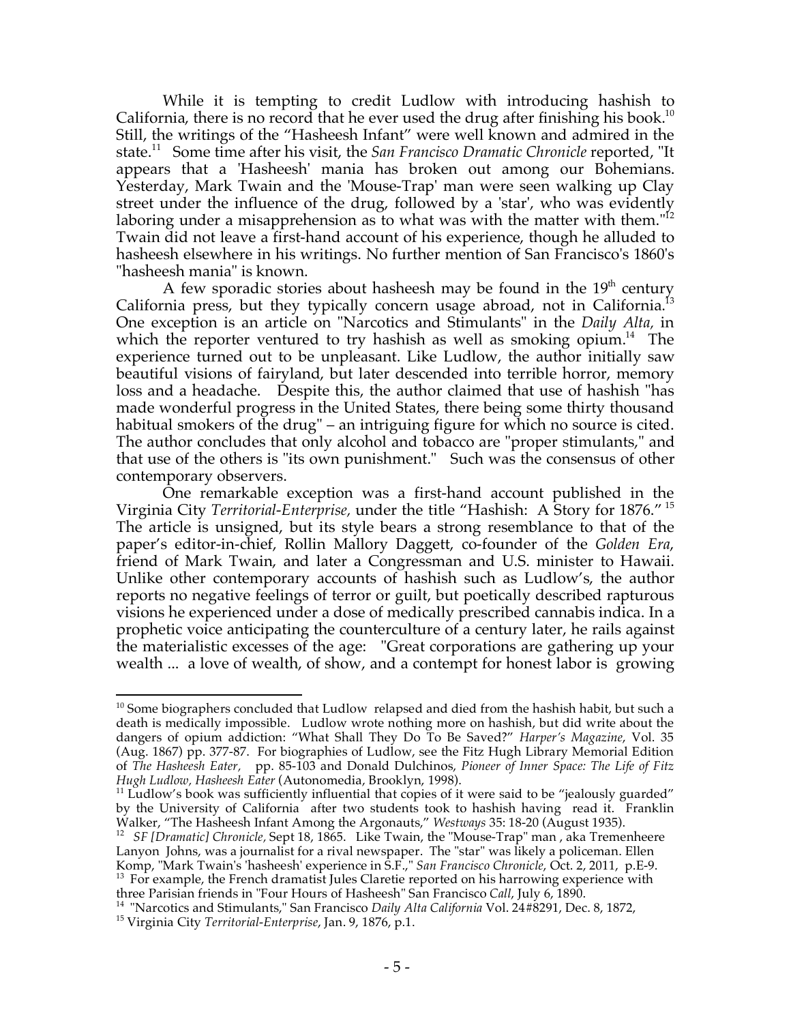While it is tempting to credit Ludlow with introducing hashish to California, there is no record that he ever used the drug after finishing his book.<sup>10</sup> Still, the writings of the "Hasheesh Infant" were well known and admired in the state.11 Some time after his visit, the *San Francisco Dramatic Chronicle* reported, "It appears that a 'Hasheesh' mania has broken out among our Bohemians. Yesterday, Mark Twain and the 'Mouse-Trap' man were seen walking up Clay street under the influence of the drug, followed by a 'star', who was evidently laboring under a misapprehension as to what was with the matter with them." $12$ Twain did not leave a first-hand account of his experience, though he alluded to hasheesh elsewhere in his writings. No further mention of San Francisco's 1860's "hasheesh mania" is known.

A few sporadic stories about hasheesh may be found in the  $19<sup>th</sup>$  century California press, but they typically concern usage abroad, not in California.<sup>13</sup> One exception is an article on "Narcotics and Stimulants" in the *Daily Alta,* in which the reporter ventured to try hashish as well as smoking opium.<sup>14</sup> The experience turned out to be unpleasant. Like Ludlow, the author initially saw beautiful visions of fairyland, but later descended into terrible horror, memory loss and a headache. Despite this, the author claimed that use of hashish "has made wonderful progress in the United States, there being some thirty thousand habitual smokers of the drug" – an intriguing figure for which no source is cited. The author concludes that only alcohol and tobacco are "proper stimulants," and that use of the others is "its own punishment." Such was the consensus of other contemporary observers.

One remarkable exception was a first-hand account published in the Virginia City *Territorial-Enterprise,* under the title "Hashish: A Story for 1876." 15 The article is unsigned, but its style bears a strong resemblance to that of the paper's editor-in-chief, Rollin Mallory Daggett, co-founder of the *Golden Era*, friend of Mark Twain, and later a Congressman and U.S. minister to Hawaii. Unlike other contemporary accounts of hashish such as Ludlow's, the author reports no negative feelings of terror or guilt, but poetically described rapturous visions he experienced under a dose of medically prescribed cannabis indica. In a prophetic voice anticipating the counterculture of a century later, he rails against the materialistic excesses of the age: "Great corporations are gathering up your wealth ... a love of wealth, of show, and a contempt for honest labor is growing

three Parisian friends in "Four Hours of Hasheesh" San Francisco Call, July 6, 1890.<br><sup>14</sup> "Narcotics and Stimulants," San Francisco Daily Alta California Vol. 24#8291, Dec. 8, 1872,<br><sup>15</sup> Virginia City *Territorial-Enterpri* 

 $10$  Some biographers concluded that Ludlow relapsed and died from the hashish habit, but such a death is medically impossible. Ludlow wrote nothing more on hashish, but did write about the dangers of opium addiction: "What Shall They Do To Be Saved?" *Harper's Magazine*, Vol. 35 (Aug. 1867) pp. 377-87. For biographies of Ludlow, see the Fitz Hugh Library Memorial Edition of *The Hasheesh Eater,* pp. 85-103 and Donald Dulchinos, *Pioneer of Inner Space: The Life of Fitz* 

<sup>&</sup>lt;sup>11</sup> Ludlow's book was sufficiently influential that copies of it were said to be "jealously guarded" by the University of California after two students took to hashish having read it. Franklin Walker, "The Hasheesh Infant Among the Argonauts," Westways 35: 18-20 (August 1935).

<sup>&</sup>lt;sup>12</sup> SF [Dramatic] Chronicle, Sept 18, 1865. Like Twain, the "Mouse-Trap" man , aka Tremenheere Lanyon Johns, was a journalist for a rival newspaper. The "star" was likely a policeman. Ellen Komp, "Mark Twain's 'hasheesh' experience in S.F.," *San Francisco Chronicle*, Oct. 2, 2011, p.E-9.<br><sup>13</sup> For example, the French dramatist Jules Claretie reported on his harrowing experience with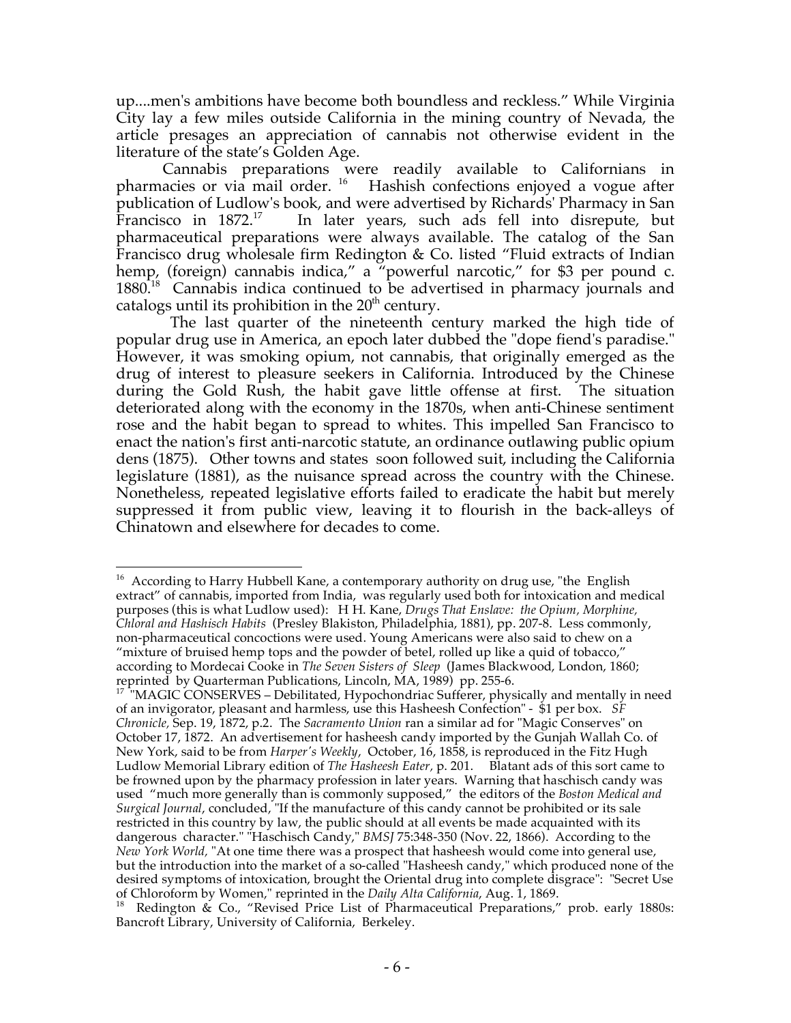up....men's ambitions have become both boundless and reckless." While Virginia City lay a few miles outside California in the mining country of Nevada, the article presages an appreciation of cannabis not otherwise evident in the literature of the state's Golden Age.

Cannabis preparations were readily available to Californians in pharmacies or via mail order. <sup>16</sup> Hashish confections enjoyed a vogue after publication of Ludlow's book, and were advertised by Richards' Pharmacy in San Francisco in 1872.<sup>17</sup> In later years, such ads fell into disrepute, but pharmaceutical preparations were always available. The catalog of the San Francisco drug wholesale firm Redington & Co. listed "Fluid extracts of Indian hemp, (foreign) cannabis indica," a "powerful narcotic," for \$3 per pound c.  $1880<sup>18</sup>$  Cannabis indica continued to be advertised in pharmacy journals and catalogs until its prohibition in the  $20<sup>th</sup>$  century.

 The last quarter of the nineteenth century marked the high tide of popular drug use in America, an epoch later dubbed the "dope fiend's paradise." However, it was smoking opium, not cannabis, that originally emerged as the drug of interest to pleasure seekers in California. Introduced by the Chinese during the Gold Rush, the habit gave little offense at first. The situation deteriorated along with the economy in the 1870s, when anti-Chinese sentiment rose and the habit began to spread to whites. This impelled San Francisco to enact the nation's first anti-narcotic statute, an ordinance outlawing public opium dens (1875). Other towns and states soon followed suit, including the California legislature (1881), as the nuisance spread across the country with the Chinese. Nonetheless, repeated legislative efforts failed to eradicate the habit but merely suppressed it from public view, leaving it to flourish in the back-alleys of Chinatown and elsewhere for decades to come.

 <sup>16</sup> According to Harry Hubbell Kane, a contemporary authority on drug use, "the English extract" of cannabis, imported from India, was regularly used both for intoxication and medical purposes (this is what Ludlow used): H H. Kane, *Drugs That Enslave: the Opium, Morphine, Chloral and Hashisch Habits* (Presley Blakiston, Philadelphia, 1881), pp. 207-8. Less commonly, non-pharmaceutical concoctions were used. Young Americans were also said to chew on a "mixture of bruised hemp tops and the powder of betel, rolled up like a quid of tobacco," according to Mordecai Cooke in *The Seven Sisters of Sleep* (James Blackwood, London, 1860;

<sup>&</sup>lt;sup>17</sup> "MAGIC CONSERVES – Debilitated, Hypochondriac Sufferer, physically and mentally in need of an invigorator, pleasant and harmless, use this Hasheesh Confection" - \$1 per box. *SF Chronicle,* Sep. 19, 1872, p.2. The *Sacramento Union* ran a similar ad for "Magic Conserves" on October 17, 1872. An advertisement for hasheesh candy imported by the Gunjah Wallah Co. of New York, said to be from *Harper's Weekly*, October, 16, 1858, is reproduced in the Fitz Hugh Ludlow Memorial Library edition of *The Hasheesh Eater,* p. 201. Blatant ads of this sort came to be frowned upon by the pharmacy profession in later years. Warning that haschisch candy was used "much more generally than is commonly supposed," the editors of the *Boston Medical and Surgical Journal*, concluded, "If the manufacture of this candy cannot be prohibited or its sale restricted in this country by law, the public should at all events be made acquainted with its dangerous character." "Haschisch Candy," *BMSJ* 75:348-350 (Nov. 22, 1866). According to the *New York World,* "At one time there was a prospect that hasheesh would come into general use, but the introduction into the market of a so-called "Hasheesh candy," which produced none of the desired symptoms of intoxication, brought the Oriental drug into complete disgrace": "Secret Use of Chloroform by Women," reprinted in the *Daily Alta California*, Aug. 1, 1869.

<sup>&</sup>lt;sup>18</sup> Redington & Co., "Revised Price List of Pharmaceutical Preparations," prob. early 1880s: Bancroft Library, University of California, Berkeley.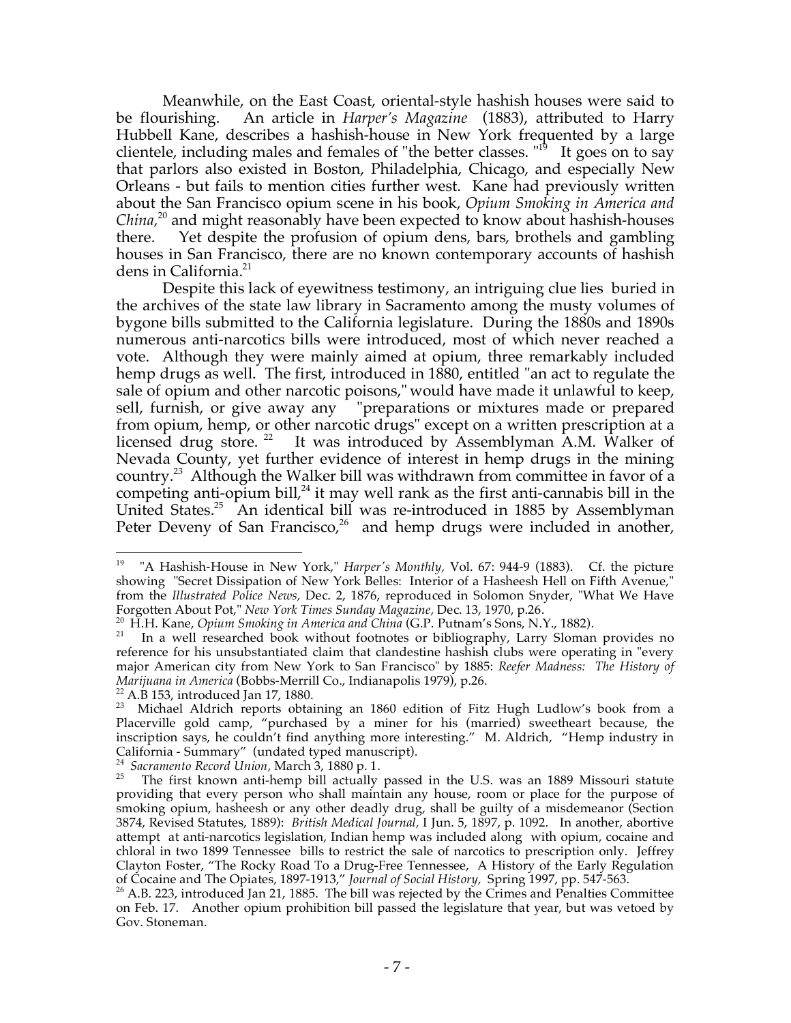Meanwhile, on the East Coast, oriental-style hashish houses were said to be flourishing. An article in *Harper's Magazine* (1883), attributed to Harry Hubbell Kane, describes a hashish-house in New York frequented by a large clientele, including males and females of "the better classes.  $119$  It goes on to say that parlors also existed in Boston, Philadelphia, Chicago, and especially New Orleans - but fails to mention cities further west. Kane had previously written about the San Francisco opium scene in his book, *Opium Smoking in America and China*<sup>20</sup> and might reasonably have been expected to know about hashish-houses there. Yet despite the profusion of opium dens, bars, brothels and gambling houses in San Francisco, there are no known contemporary accounts of hashish dens in California.<sup>21</sup>

Despite this lack of eyewitness testimony, an intriguing clue lies buried in the archives of the state law library in Sacramento among the musty volumes of bygone bills submitted to the California legislature. During the 1880s and 1890s numerous anti-narcotics bills were introduced, most of which never reached a vote. Although they were mainly aimed at opium, three remarkably included hemp drugs as well. The first, introduced in 1880, entitled "an act to regulate the sale of opium and other narcotic poisons," would have made it unlawful to keep, sell, furnish, or give away any "preparations or mixtures made or prepared from opium, hemp, or other narcotic drugs" except on a written prescription at a licensed drug store.<sup>22</sup> It was introduced by Assemblyman A.M. Walker of Nevada County, yet further evidence of interest in hemp drugs in the mining country.<sup>23</sup> Although the Walker bill was withdrawn from committee in favor of  $\alpha$ competing anti-opium bill, $24$  it may well rank as the first anti-cannabis bill in the United States.<sup>25</sup> An identical bill was re-introduced in 1885 by Assemblyman Peter Deveny of San Francisco,<sup>26</sup> and hemp drugs were included in another,

<sup>&</sup>lt;sup>19</sup> "A Hashish-House in New York," *Harper's Monthly*, Vol. 67: 944-9 (1883). Cf. the picture showing "Secret Dissipation of New York Belles: Interior of a Hasheesh Hell on Fifth Avenue," from the *Illustrated Police News,* Dec. 2, 1876, reproduced in Solomon Snyder, "What We Have

<sup>&</sup>lt;sup>20</sup> H.H. Kane, *Opium Smoking in America and China* (G.P. Putnam's Sons, N.Y., 1882).<br><sup>21</sup> In a well researched book without footnotes or bibliography, Larry Sloman provides no reference for his unsubstantiated claim that clandestine hashish clubs were operating in "every major American city from New York to San Francisco" by 1885: *Reefer Madness: The History of Marijuana in America* (Bobbs-Merrill Co., Indianapolis 1979), p.26. 22 A.B 153, introduced Jan 17, 1880.

<sup>23</sup> Michael Aldrich reports obtaining an 1860 edition of Fitz Hugh Ludlow's book from a Placerville gold camp, "purchased by a miner for his (married) sweetheart because, the inscription says, he couldn't find anything more interesting." M. Aldrich, "Hemp industry in California - Summary" (undated typed manuscript). <sup>24</sup>*Sacramento Record Union,* March 3, 1880 p. 1. 25 The first known anti-hemp bill actually passed in the U.S. was an 1889 Missouri statute

providing that every person who shall maintain any house, room or place for the purpose of smoking opium, hasheesh or any other deadly drug, shall be guilty of a misdemeanor (Section 3874, Revised Statutes, 1889): *British Medical Journal,* I Jun. 5, 1897, p. 1092. In another, abortive attempt at anti-narcotics legislation, Indian hemp was included along with opium, cocaine and chloral in two 1899 Tennessee bills to restrict the sale of narcotics to prescription only. Jeffrey Clayton Foster, "The Rocky Road To a Drug-Free Tennessee, A History of the Early Regulation

of Cocaine and The Opiates, 1897-1913," *Journal of Social History,* Spring 1997, pp. 547-563. 26 A.B. 223, introduced Jan 21, 1885. The bill was rejected by the Crimes and Penalties Committee on Feb. 17. Another opium prohibition bill passed the legislature that year, but was vetoed by Gov. Stoneman.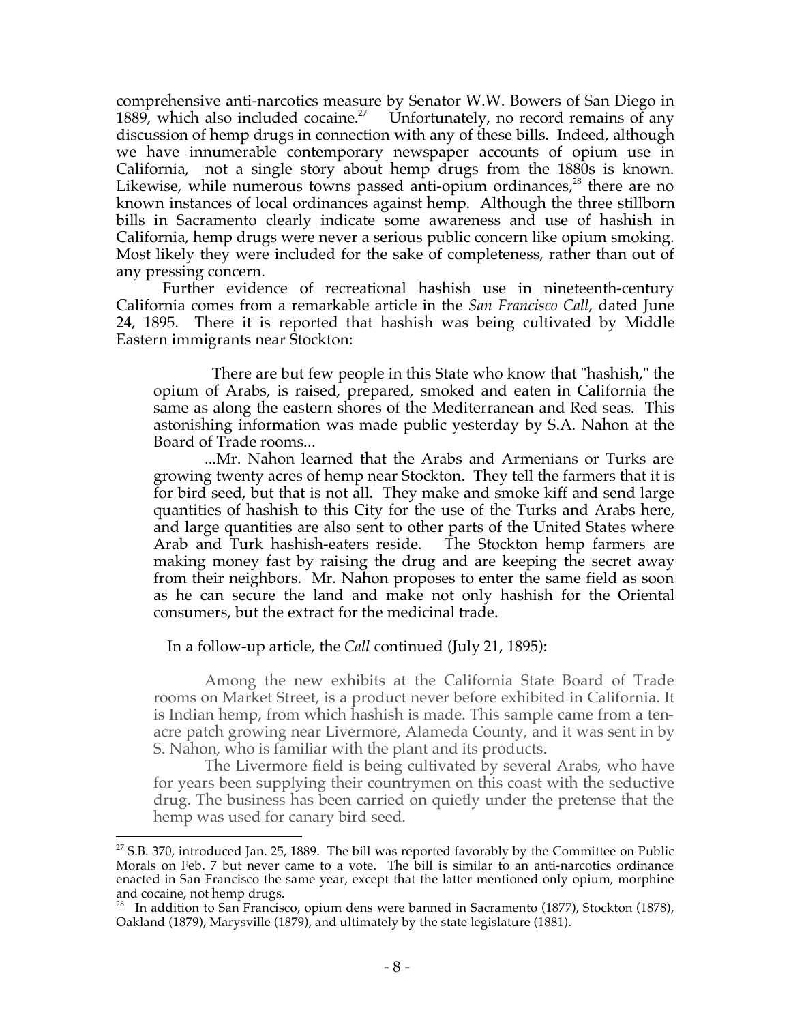comprehensive anti-narcotics measure by Senator W.W. Bowers of San Diego in 1889, which also included cocaine.<sup>27</sup> Unfortunately, no record remains of any discussion of hemp drugs in connection with any of these bills. Indeed, although we have innumerable contemporary newspaper accounts of opium use in California, not a single story about hemp drugs from the 1880s is known. Likewise, while numerous towns passed anti-opium ordinances, $28$  there are no known instances of local ordinances against hemp. Although the three stillborn bills in Sacramento clearly indicate some awareness and use of hashish in California, hemp drugs were never a serious public concern like opium smoking. Most likely they were included for the sake of completeness, rather than out of any pressing concern.

Further evidence of recreational hashish use in nineteenth-century California comes from a remarkable article in the *San Francisco Call*, dated June 24, 1895. There it is reported that hashish was being cultivated by Middle Eastern immigrants near Stockton:

 There are but few people in this State who know that "hashish," the opium of Arabs, is raised, prepared, smoked and eaten in California the same as along the eastern shores of the Mediterranean and Red seas. This astonishing information was made public yesterday by S.A. Nahon at the Board of Trade rooms...

...Mr. Nahon learned that the Arabs and Armenians or Turks are growing twenty acres of hemp near Stockton. They tell the farmers that it is for bird seed, but that is not all. They make and smoke kiff and send large quantities of hashish to this City for the use of the Turks and Arabs here, and large quantities are also sent to other parts of the United States where Arab and Turk hashish-eaters reside. The Stockton hemp farmers are making money fast by raising the drug and are keeping the secret away from their neighbors. Mr. Nahon proposes to enter the same field as soon as he can secure the land and make not only hashish for the Oriental consumers, but the extract for the medicinal trade.

In a follow-up article, the *Call* continued (July 21, 1895):

Among the new exhibits at the California State Board of Trade rooms on Market Street, is a product never before exhibited in California. It is Indian hemp, from which hashish is made. This sample came from a tenacre patch growing near Livermore, Alameda County, and it was sent in by S. Nahon, who is familiar with the plant and its products.

The Livermore field is being cultivated by several Arabs, who have for years been supplying their countrymen on this coast with the seductive drug. The business has been carried on quietly under the pretense that the hemp was used for canary bird seed.

 $27$  S.B. 370, introduced Jan. 25, 1889. The bill was reported favorably by the Committee on Public Morals on Feb. 7 but never came to a vote. The bill is similar to an anti-narcotics ordinance enacted in San Francisco the same year, except that the latter mentioned only opium, morphine

and cocaine, not hemp drugs.<br><sup>28</sup> In addition to San Francisco, opium dens were banned in Sacramento (1877), Stockton (1878), Oakland (1879), Marysville (1879), and ultimately by the state legislature (1881).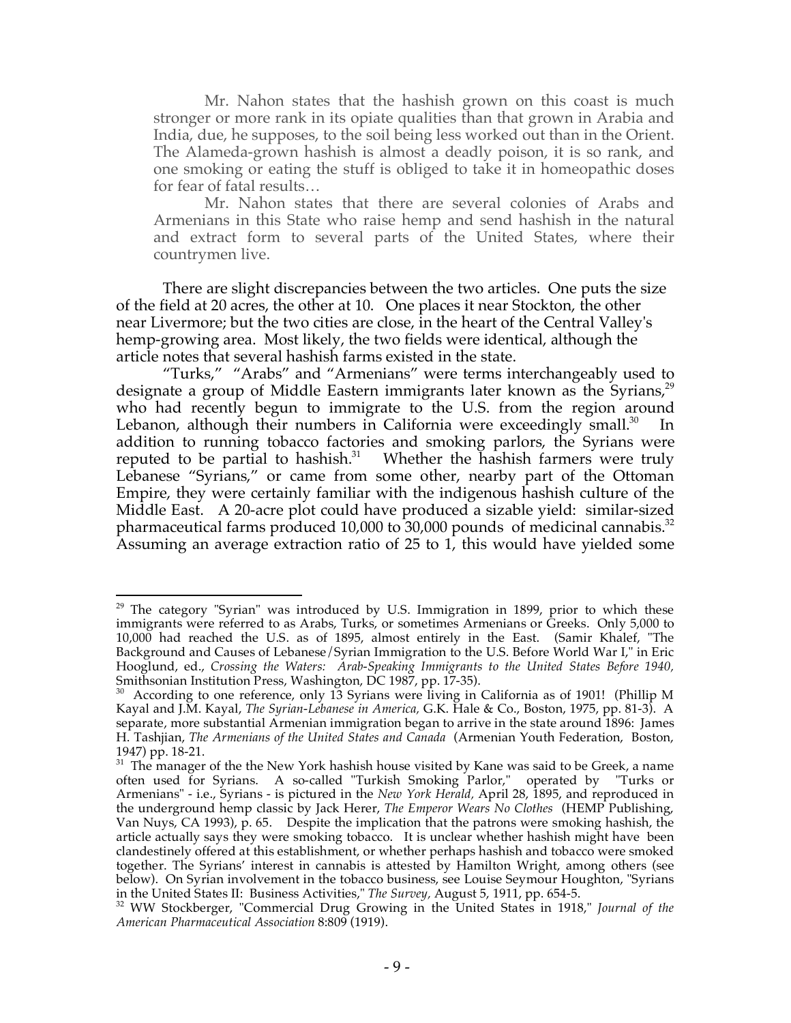Mr. Nahon states that the hashish grown on this coast is much stronger or more rank in its opiate qualities than that grown in Arabia and India, due, he supposes, to the soil being less worked out than in the Orient. The Alameda-grown hashish is almost a deadly poison, it is so rank, and one smoking or eating the stuff is obliged to take it in homeopathic doses for fear of fatal results…

Mr. Nahon states that there are several colonies of Arabs and Armenians in this State who raise hemp and send hashish in the natural and extract form to several parts of the United States, where their countrymen live.

There are slight discrepancies between the two articles. One puts the size of the field at 20 acres, the other at 10. One places it near Stockton, the other near Livermore; but the two cities are close, in the heart of the Central Valley's hemp-growing area. Most likely, the two fields were identical, although the article notes that several hashish farms existed in the state.

"Turks," "Arabs" and "Armenians" were terms interchangeably used to designate a group of Middle Eastern immigrants later known as the Syrians,<sup>29</sup> who had recently begun to immigrate to the U.S. from the region around Lebanon, although their numbers in California were exceedingly small.<sup>30</sup> In addition to running tobacco factories and smoking parlors, the Syrians were reputed to be partial to hashish.<sup>31</sup> Whether the hashish farmers were truly Lebanese "Syrians," or came from some other, nearby part of the Ottoman Empire, they were certainly familiar with the indigenous hashish culture of the Middle East. A 20-acre plot could have produced a sizable yield: similar-sized pharmaceutical farms produced 10,000 to 30,000 pounds of medicinal cannabis.<sup>32</sup> Assuming an average extraction ratio of 25 to 1, this would have yielded some

 $29$  The category "Syrian" was introduced by U.S. Immigration in 1899, prior to which these immigrants were referred to as Arabs, Turks, or sometimes Armenians or Greeks. Only 5,000 to 10,000 had reached the U.S. as of 1895, almost entirely in the East. (Samir Khalef, "The Background and Causes of Lebanese/Syrian Immigration to the U.S. Before World War I," in Eric Hooglund, ed., *Crossing the Waters: Arab-Speaking Immigrants to the United States Before 1940,*

<sup>&</sup>lt;sup>30</sup> According to one reference, only 13 Syrians were living in California as of 1901! (Phillip M Kayal and J.M. Kayal, *The Syrian-Lebanese in America,* G.K. Hale & Co., Boston, 1975, pp. 81-3). A separate, more substantial Armenian immigration began to arrive in the state around 1896: James H. Tashjian, *The Armenians of the United States and Canada* (Armenian Youth Federation, Boston,

<sup>1947)</sup> pp. 18-21.<br><sup>31</sup> The manager of the the New York hashish house visited by Kane was said to be Greek, a name often used for Syrians. A so-called "Turkish Smoking Parlor," operated by "Turks or Armenians" - i.e., Syrians - is pictured in the *New York Herald,* April 28, 1895, and reproduced in the underground hemp classic by Jack Herer, *The Emperor Wears No Clothes* (HEMP Publishing, Van Nuys, CA 1993), p. 65. Despite the implication that the patrons were smoking hashish, the article actually says they were smoking tobacco. It is unclear whether hashish might have been clandestinely offered at this establishment, or whether perhaps hashish and tobacco were smoked together. The Syrians' interest in cannabis is attested by Hamilton Wright, among others (see below). On Syrian involvement in the tobacco business, see Louise Seymour Houghton, "Syrians in the United States II: Business Activities," *The Survey,* August 5, 1911, pp. 654-5. 32 WW Stockberger, "Commercial Drug Growing in the United States in 1918," *Journal of the* 

*American Pharmaceutical Association* 8:809 (1919).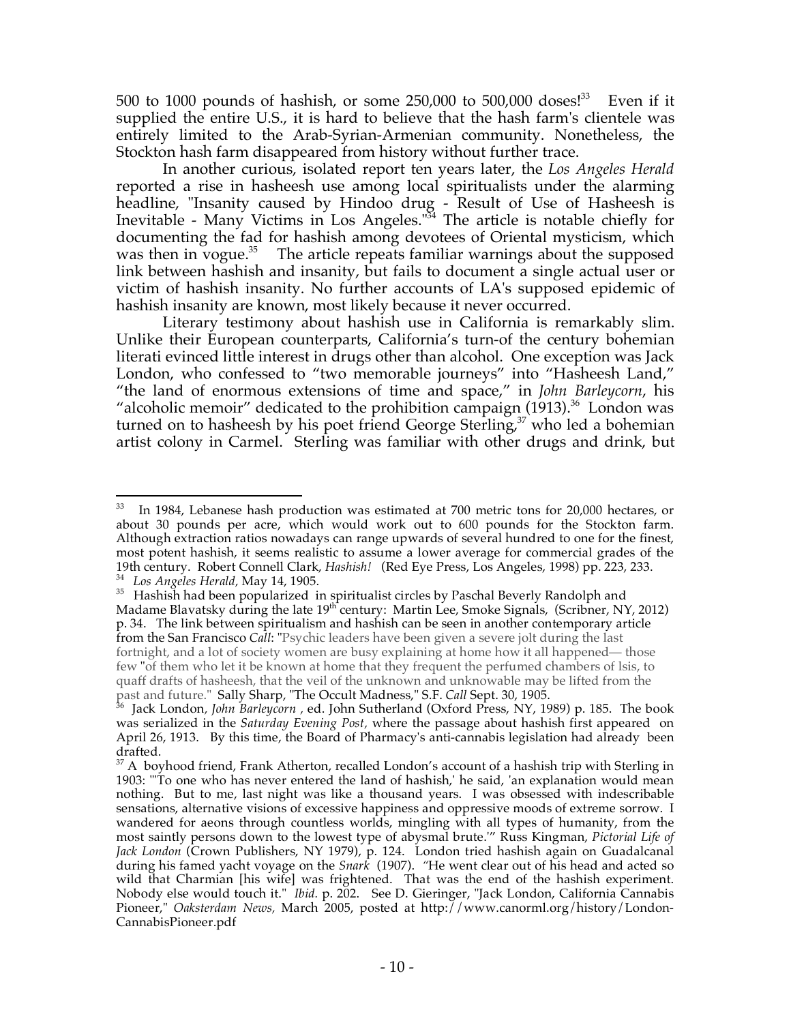500 to 1000 pounds of hashish, or some 250,000 to 500,000 doses!<sup>33</sup> Even if it supplied the entire U.S., it is hard to believe that the hash farm's clientele was entirely limited to the Arab-Syrian-Armenian community. Nonetheless, the Stockton hash farm disappeared from history without further trace.

In another curious, isolated report ten years later, the *Los Angeles Herald* reported a rise in hasheesh use among local spiritualists under the alarming headline, "Insanity caused by Hindoo drug - Result of Use of Hasheesh is Inevitable - Many Victims in Los Angeles. $34$  The article is notable chiefly for documenting the fad for hashish among devotees of Oriental mysticism, which was then in vogue. $35$  The article repeats familiar warnings about the supposed link between hashish and insanity, but fails to document a single actual user or victim of hashish insanity. No further accounts of LA's supposed epidemic of hashish insanity are known, most likely because it never occurred.

Literary testimony about hashish use in California is remarkably slim. Unlike their European counterparts, California's turn-of the century bohemian literati evinced little interest in drugs other than alcohol. One exception was Jack London, who confessed to "two memorable journeys" into "Hasheesh Land," "the land of enormous extensions of time and space," in *John Barleycorn*, his "alcoholic memoir" dedicated to the prohibition campaign  $(1913)$ .<sup>36</sup> London was turned on to hasheesh by his poet friend George Sterling, $37$  who led a bohemian artist colony in Carmel. Sterling was familiar with other drugs and drink, but

<sup>&</sup>lt;sup>33</sup> In 1984, Lebanese hash production was estimated at 700 metric tons for 20,000 hectares, or about 30 pounds per acre, which would work out to 600 pounds for the Stockton farm. Although extraction ratios nowadays can range upwards of several hundred to one for the finest, most potent hashish, it seems realistic to assume a lower average for commercial grades of the 19th century. Robert Connell Clark, Hashish! (Red Eye Press, Los Angeles, 1998) pp. 223, 233.

<sup>&</sup>lt;sup>34</sup> Los Angeles Herald, May 14, 1905.<br><sup>35</sup> Hashish had been popularized in spiritualist circles by Paschal Beverly Randolph and Madame Blavatsky during the late 19<sup>th</sup> century: Martin Lee, Smoke Signals, (Scribner, NY, 2012) p. 34. The link between spiritualism and hashish can be seen in another contemporary article from the San Francisco *Call*: "Psychic leaders have been given a severe jolt during the last fortnight, and a lot of society women are busy explaining at home how it all happened— those few "of them who let it be known at home that they frequent the perfumed chambers of lsis, to quaff drafts of hasheesh, that the veil of the unknown and unknowable may be lifted from the past and future." Sally Sharp, "The Occult Madness," S.F. *Call* Sept. 30, 1905.<br><sup>36</sup> Jack London, John Barleycorn , ed. John Sutherland (Oxford Press, NY, 1989) p. 185. The book

was serialized in the *Saturday Evening Post,* where the passage about hashish first appeared on April 26, 1913. By this time, the Board of Pharmacy's anti-cannabis legislation had already been drafted.

<sup>&</sup>lt;sup>37</sup> A boyhood friend, Frank Atherton, recalled London's account of a hashish trip with Sterling in 1903: "'To one who has never entered the land of hashish,' he said, 'an explanation would mean nothing. But to me, last night was like a thousand years. I was obsessed with indescribable sensations, alternative visions of excessive happiness and oppressive moods of extreme sorrow. I wandered for aeons through countless worlds, mingling with all types of humanity, from the most saintly persons down to the lowest type of abysmal brute.'" Russ Kingman, *Pictorial Life of Jack London* (Crown Publishers, NY 1979), p. 124. London tried hashish again on Guadalcanal during his famed yacht voyage on the *Snark* (1907). *"*He went clear out of his head and acted so wild that Charmian [his wife] was frightened. That was the end of the hashish experiment. Nobody else would touch it." *Ibid.* p. 202. See D. Gieringer, "Jack London, California Cannabis Pioneer," Oaksterdam News, March 2005, posted at http://www.canorml.org/history/London-CannabisPioneer.pdf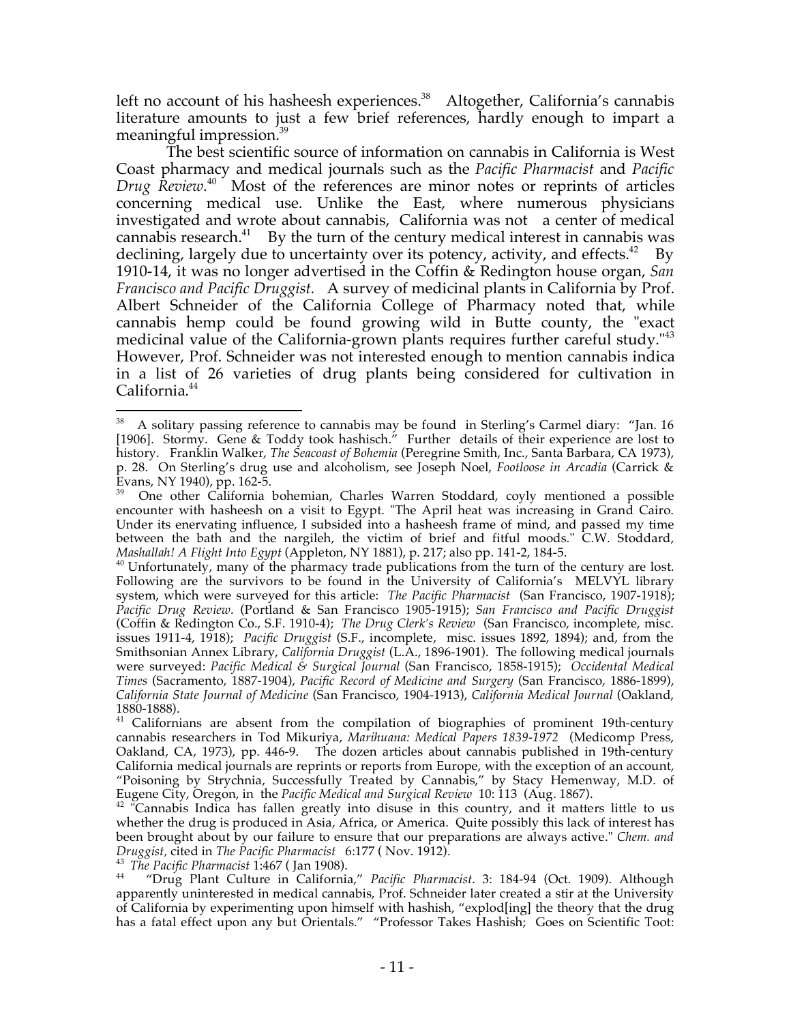left no account of his hasheesh experiences.<sup>38</sup> Altogether, California's cannabis literature amounts to just a few brief references, hardly enough to impart a meaningful impression.<sup>39</sup>

 The best scientific source of information on cannabis in California is West Coast pharmacy and medical journals such as the *Pacific Pharmacist* and *Pacific Drug Review*. 40 Most of the references are minor notes or reprints of articles concerning medical use. Unlike the East, where numerous physicians investigated and wrote about cannabis, California was not a center of medical cannabis research.<sup>41</sup> By the turn of the century medical interest in cannabis was declining, largely due to uncertainty over its potency, activity, and effects.<sup>42</sup> By 1910-14, it was no longer advertised in the Coffin & Redington house organ, *San Francisco and Pacific Druggist.* A survey of medicinal plants in California by Prof. Albert Schneider of the California College of Pharmacy noted that, while cannabis hemp could be found growing wild in Butte county, the "exact medicinal value of the California-grown plants requires further careful study."<sup>43</sup> However, Prof. Schneider was not interested enough to mention cannabis indica in a list of 26 varieties of drug plants being considered for cultivation in California.<sup>44</sup>

 $38$  A solitary passing reference to cannabis may be found in Sterling's Carmel diary: "Jan. 16 [1906]. Stormy. Gene & Toddy took hashisch." Further details of their experience are lost to history. Franklin Walker, *The Seacoast of Bohemia* (Peregrine Smith, Inc., Santa Barbara, CA 1973), p. 28. On Sterling's drug use and alcoholism, see Joseph Noel, *Footloose in Arcadia* (Carrick &

 $^{39}$  One other California bohemian, Charles Warren Stoddard, coyly mentioned a possible encounter with hasheesh on a visit to Egypt. "The April heat was increasing in Grand Cairo. Under its enervating influence, I subsided into a hasheesh frame of mind, and passed my time between the bath and the nargileh, the victim of brief and fitful moods." C.W. Stoddard, *Mashallah! A Flight Into Egypt* (Appleton, NY 1881), p. 217; also pp. 141-2, 184-5.<br><sup>40</sup> Unfortunately, many of the pharmacy trade publications from the turn of the century are lost.

Following are the survivors to be found in the University of California's MELVYL library system, which were surveyed for this article: *The Pacific Pharmacist* (San Francisco, 1907-1918); *Pacific Drug Review*. (Portland & San Francisco 1905-1915); *San Francisco and Pacific Druggist* (Coffin & Redington Co., S.F. 1910-4);*The Drug Clerk's Review* (San Francisco, incomplete, misc. issues 1911-4, 1918); *Pacific Druggist* (S.F., incomplete, misc. issues 1892, 1894); and, from the Smithsonian Annex Library, *California Druggist* (L.A., 1896-1901). The following medical journals were surveyed: *Pacific Medical & Surgical Journal* (San Francisco, 1858-1915); *Occidental Medical Times* (Sacramento, 1887-1904), *Pacific Record of Medicine and Surgery* (San Francisco, 1886-1899), *California State Journal of Medicine* (San Francisco, 1904-1913), *California Medical Journal* (Oakland,

<sup>1880-1888).</sup> 41 Californians are absent from the compilation of biographies of prominent 19th-century cannabis researchers in Tod Mikuriya, *Marihuana: Medical Papers 1839-1972* (Medicomp Press, Oakland, CA, 1973), pp. 446-9. The dozen articles about cannabis published in 19th-century California medical journals are reprints or reports from Europe, with the exception of an account, "Poisoning by Strychnia, Successfully Treated by Cannabis," by Stacy Hemenway, M.D. of

Eugene City, Oregon, in the *Pacific Medical and Surgical Review* 10: 113 (Aug. 1867). 42 "Cannabis Indica has fallen greatly into disuse in this country, and it matters little to us whether the drug is produced in Asia, Africa, or America. Quite possibly this lack of interest has been brought about by our failure to ensure that our preparations are always active." *Chem. and* 

<sup>&</sup>lt;sup>43</sup> The Pacific Pharmacist 1:467 (Jan 1908).<br><sup>44</sup> "Drug Plant Culture in California," *Pacific Pharmacist*. 3: 184-94 (Oct. 1909). Although apparently uninterested in medical cannabis, Prof. Schneider later created a stir at the University of California by experimenting upon himself with hashish, "explod[ing] the theory that the drug has a fatal effect upon any but Orientals." "Professor Takes Hashish; Goes on Scientific Toot: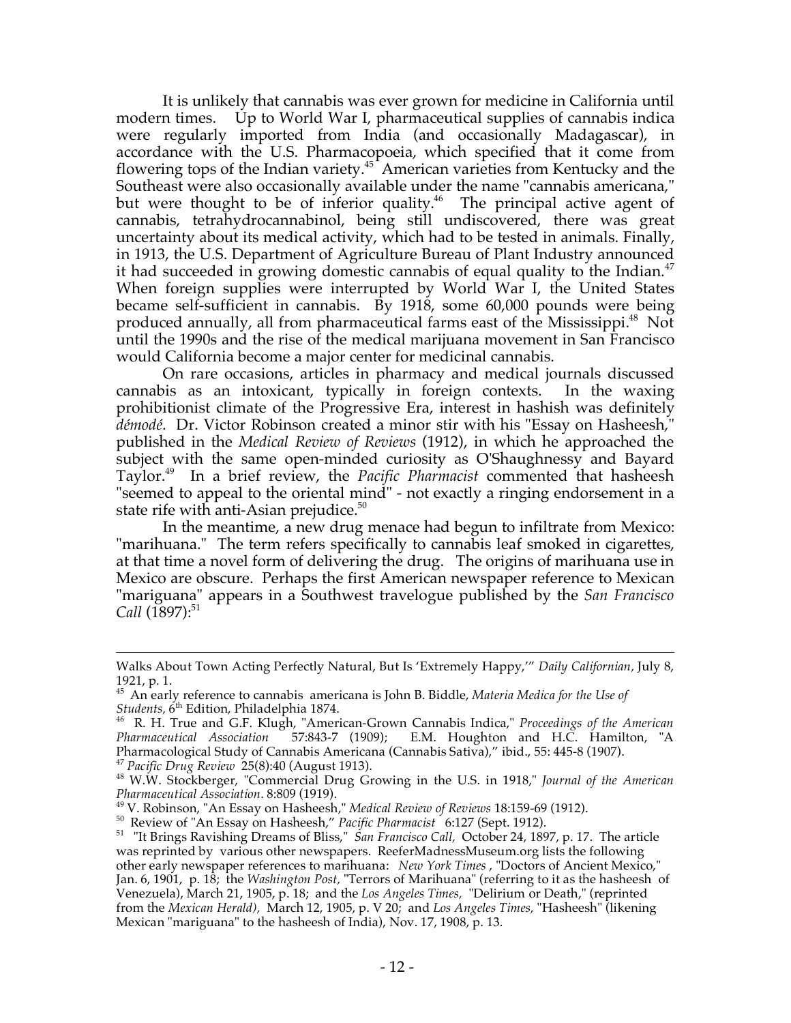It is unlikely that cannabis was ever grown for medicine in California until modern times. Up to World War I, pharmaceutical supplies of cannabis indica were regularly imported from India (and occasionally Madagascar), in accordance with the U.S. Pharmacopoeia, which specified that it come from flowering tops of the Indian variety.45 American varieties from Kentucky and the Southeast were also occasionally available under the name "cannabis americana," but were thought to be of inferior quality.<sup>46</sup> The principal active agent of cannabis, tetrahydrocannabinol, being still undiscovered, there was great uncertainty about its medical activity, which had to be tested in animals. Finally, in 1913, the U.S. Department of Agriculture Bureau of Plant Industry announced it had succeeded in growing domestic cannabis of equal quality to the Indian. $47$ When foreign supplies were interrupted by World War I, the United States became self-sufficient in cannabis. By 1918, some 60,000 pounds were being produced annually, all from pharmaceutical farms east of the Mississippi.<sup>48</sup> Not until the 1990s and the rise of the medical marijuana movement in San Francisco would California become a major center for medicinal cannabis.

On rare occasions, articles in pharmacy and medical journals discussed cannabis as an intoxicant, typically in foreign contexts. In the waxing prohibitionist climate of the Progressive Era, interest in hashish was definitely *démodé*. Dr. Victor Robinson created a minor stir with his "Essay on Hasheesh," published in the *Medical Review of Reviews* (1912), in which he approached the subject with the same open-minded curiosity as O'Shaughnessy and Bayard Taylor.49 In a brief review, the *Pacific Pharmacist* commented that hasheesh "seemed to appeal to the oriental mind" - not exactly a ringing endorsement in a state rife with anti-Asian prejudice.<sup>50</sup>

In the meantime, a new drug menace had begun to infiltrate from Mexico: "marihuana." The term refers specifically to cannabis leaf smoked in cigarettes, at that time a novel form of delivering the drug. The origins of marihuana use in Mexico are obscure. Perhaps the first American newspaper reference to Mexican "mariguana" appears in a Southwest travelogue published by the *San Francisco*  Call (1897):<sup>51</sup>

Walks About Town Acting Perfectly Natural, But Is 'Extremely Happy,'" *Daily Californian,* July 8, 1921, p. 1.

<sup>&</sup>lt;sup>45</sup> An early reference to cannabis americana is John B. Biddle, *Materia Medica for the Use of Students*, 6<sup>th</sup> Edition, Philadelphia 1874.

*Ab* R. H. True and G.F. Klugh, "American-Grown Cannabis Indica," *Proceedings of the American*<br><sup>46</sup> R. H. True and G.F. Klugh, "American-Grown Cannabis Indica," *Proceedings of the American Pharmaceutical Association* 5 *Pharmaceutical Association Pharmaceutical H.C. Hamilton, "A* Pharmacological Study of Cannabis Americana (Cannabis Sativa)," ibid., 55: 445-8 (1907).<br><sup>47</sup> Pacific Drug Review 25(8):40 (August 1913).<br><sup>48</sup> W.W. Stockberger, "Commercial Drug Growing in the U.S. in 1918," Journal of the

*Pharmaceutical Association.* 8:809 (1919).<br><sup>49</sup> V. Robinson, "An Essay on Hasheesh," *Medical Review of Reviews* 18:159-69 (1912).<br><sup>50</sup> Review of "An Essay on Hasheesh," *Pacific Pharmacist* 6:127 (Sept. 1912).<br><sup>51</sup> "It B

was reprinted by various other newspapers. ReeferMadnessMuseum.org lists the following other early newspaper references to marihuana: *New York Times* , "Doctors of Ancient Mexico," Jan. 6, 1901, p. 18; the *Washington Post,* "Terrors of Marihuana" (referring to it as the hasheesh of Venezuela), March 21, 1905, p. 18; and the *Los Angeles Times,* "Delirium or Death," (reprinted from the *Mexican Herald),* March 12, 1905, p. V 20; and *Los Angeles Times,* "Hasheesh" (likening Mexican "mariguana" to the hasheesh of India), Nov. 17, 1908, p. 13.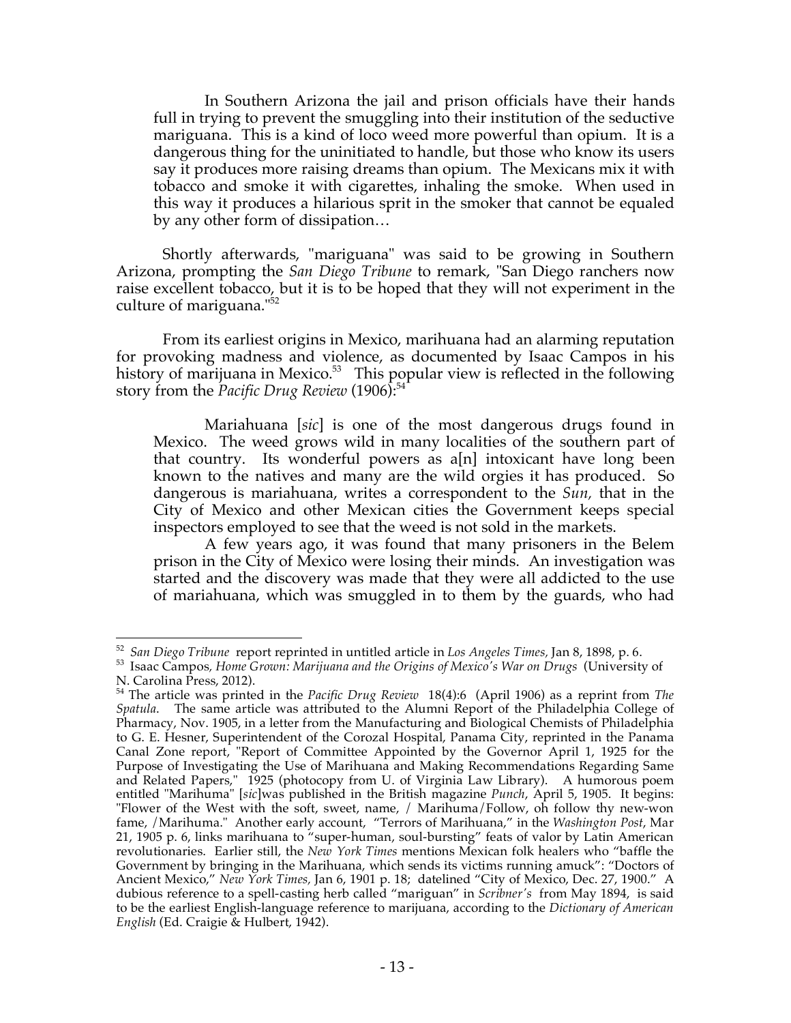In Southern Arizona the jail and prison officials have their hands full in trying to prevent the smuggling into their institution of the seductive mariguana. This is a kind of loco weed more powerful than opium. It is a dangerous thing for the uninitiated to handle, but those who know its users say it produces more raising dreams than opium. The Mexicans mix it with tobacco and smoke it with cigarettes, inhaling the smoke. When used in this way it produces a hilarious sprit in the smoker that cannot be equaled by any other form of dissipation…

Shortly afterwards, "mariguana" was said to be growing in Southern Arizona, prompting the *San Diego Tribune* to remark, "San Diego ranchers now raise excellent tobacco, but it is to be hoped that they will not experiment in the culture of mariguana."52

From its earliest origins in Mexico, marihuana had an alarming reputation for provoking madness and violence, as documented by Isaac Campos in his history of marijuana in Mexico.<sup>53</sup> This popular view is reflected in the following story from the *Pacific Drug Review* (1906):<sup>54</sup>

Mariahuana [*sic*] is one of the most dangerous drugs found in Mexico. The weed grows wild in many localities of the southern part of that country. Its wonderful powers as a[n] intoxicant have long been known to the natives and many are the wild orgies it has produced. So dangerous is mariahuana, writes a correspondent to the *Sun,* that in the City of Mexico and other Mexican cities the Government keeps special inspectors employed to see that the weed is not sold in the markets.

A few years ago, it was found that many prisoners in the Belem prison in the City of Mexico were losing their minds. An investigation was started and the discovery was made that they were all addicted to the use of mariahuana, which was smuggled in to them by the guards, who had

<sup>&</sup>lt;sup>52</sup> San Diego Tribune report reprinted in untitled article in *Los Angeles Times*, Jan 8, 1898, p. 6.<br><sup>53</sup> Isaac Campos, Home Grown: Marijuana and the Origins of Mexico's War on Drugs (University of N. Carolina Press, 201

<sup>&</sup>lt;sup>54</sup> The article was printed in the *Pacific Drug Review* 18(4):6 (April 1906) as a reprint from *The Spatula*. The same article was attributed to the Alumni Report of the Philadelphia College of Pharmacy, Nov. 1905, in a letter from the Manufacturing and Biological Chemists of Philadelphia to G. E. Hesner, Superintendent of the Corozal Hospital, Panama City, reprinted in the Panama Canal Zone report, "Report of Committee Appointed by the Governor April 1, 1925 for the Purpose of Investigating the Use of Marihuana and Making Recommendations Regarding Same and Related Papers," 1925 (photocopy from U. of Virginia Law Library). A humorous poem entitled "Marihuma" [*sic*]was published in the British magazine *Punch*, April 5, 1905. It begins: "Flower of the West with the soft, sweet, name, / Marihuma/Follow, oh follow thy new-won fame, /Marihuma." Another early account, "Terrors of Marihuana," in the *Washington Post*, Mar 21, 1905 p. 6, links marihuana to "super-human, soul-bursting" feats of valor by Latin American revolutionaries. Earlier still, the *New York Times* mentions Mexican folk healers who "baffle the Government by bringing in the Marihuana, which sends its victims running amuck": "Doctors of Ancient Mexico," *New York Times,* Jan 6, 1901 p. 18; datelined "City of Mexico, Dec. 27, 1900." A dubious reference to a spell-casting herb called "mariguan" in *Scribner's* from May 1894, is said to be the earliest English-language reference to marijuana, according to the *Dictionary of American English* (Ed. Craigie & Hulbert, 1942).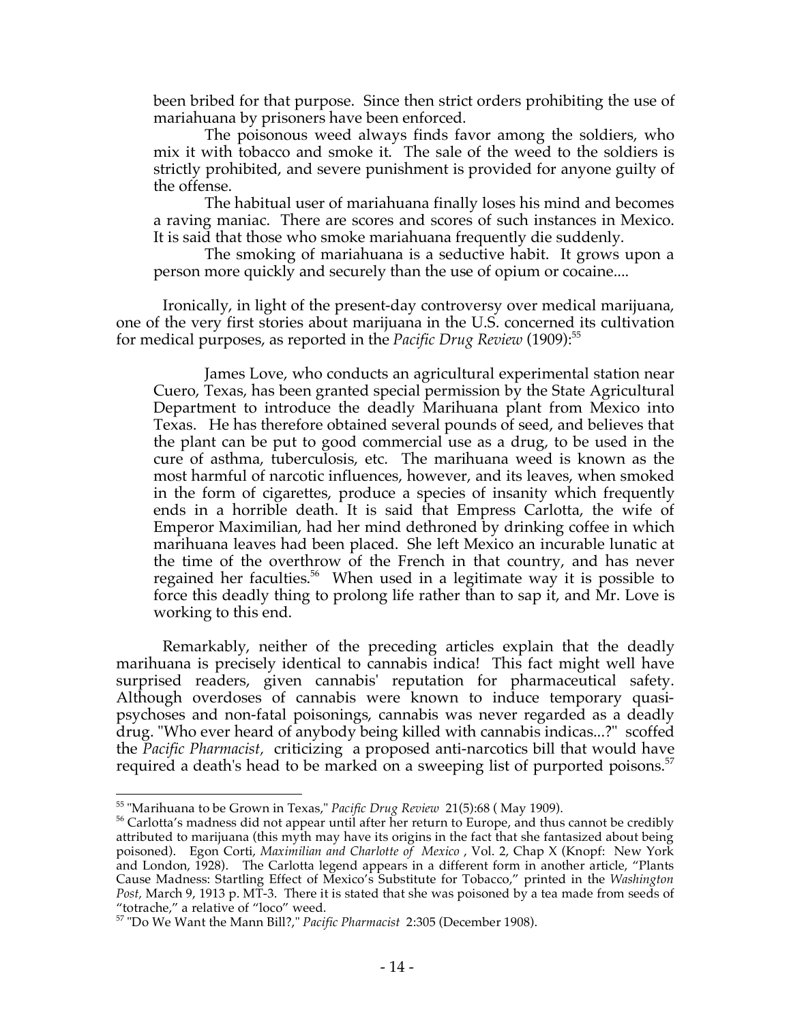been bribed for that purpose. Since then strict orders prohibiting the use of mariahuana by prisoners have been enforced.

The poisonous weed always finds favor among the soldiers, who mix it with tobacco and smoke it. The sale of the weed to the soldiers is strictly prohibited, and severe punishment is provided for anyone guilty of the offense.

The habitual user of mariahuana finally loses his mind and becomes a raving maniac. There are scores and scores of such instances in Mexico. It is said that those who smoke mariahuana frequently die suddenly.

The smoking of mariahuana is a seductive habit. It grows upon a person more quickly and securely than the use of opium or cocaine....

Ironically, in light of the present-day controversy over medical marijuana, one of the very first stories about marijuana in the U.S. concerned its cultivation for medical purposes, as reported in the *Pacific Drug Review* (1909):55

James Love, who conducts an agricultural experimental station near Cuero, Texas, has been granted special permission by the State Agricultural Department to introduce the deadly Marihuana plant from Mexico into Texas. He has therefore obtained several pounds of seed, and believes that the plant can be put to good commercial use as a drug, to be used in the cure of asthma, tuberculosis, etc. The marihuana weed is known as the most harmful of narcotic influences, however, and its leaves, when smoked in the form of cigarettes, produce a species of insanity which frequently ends in a horrible death. It is said that Empress Carlotta, the wife of Emperor Maximilian, had her mind dethroned by drinking coffee in which marihuana leaves had been placed. She left Mexico an incurable lunatic at the time of the overthrow of the French in that country, and has never regained her faculties.<sup>56</sup> When used in a legitimate way it is possible to force this deadly thing to prolong life rather than to sap it, and Mr. Love is working to this end.

Remarkably, neither of the preceding articles explain that the deadly marihuana is precisely identical to cannabis indica! This fact might well have surprised readers, given cannabis' reputation for pharmaceutical safety. Although overdoses of cannabis were known to induce temporary quasipsychoses and non-fatal poisonings, cannabis was never regarded as a deadly drug. "Who ever heard of anybody being killed with cannabis indicas...?" scoffed the *Pacific Pharmacist,* criticizing a proposed anti-narcotics bill that would have required a death's head to be marked on a sweeping list of purported poisons.<sup>57</sup>

<sup>&</sup>lt;sup>55</sup> "Marihuana to be Grown in Texas," *Pacific Drug Review* 21(5):68 (May 1909).<br><sup>56</sup> Carlotta's madness did not appear until after her return to Europe, and thus cannot be credibly attributed to marijuana (this myth may have its origins in the fact that she fantasized about being poisoned). Egon Corti, *Maximilian and Charlotte of Mexico* , Vol. 2, Chap X (Knopf: New York and London, 1928). The Carlotta legend appears in a different form in another article, "Plants Cause Madness: Startling Effect of Mexico's Substitute for Tobacco," printed in the *Washington Post,* March 9, 1913 p. MT-3. There it is stated that she was poisoned by a tea made from seeds of "totrache," a relative of "loco" weed.

<sup>57 &</sup>quot;Do We Want the Mann Bill?," *Pacific Pharmacist* 2:305 (December 1908).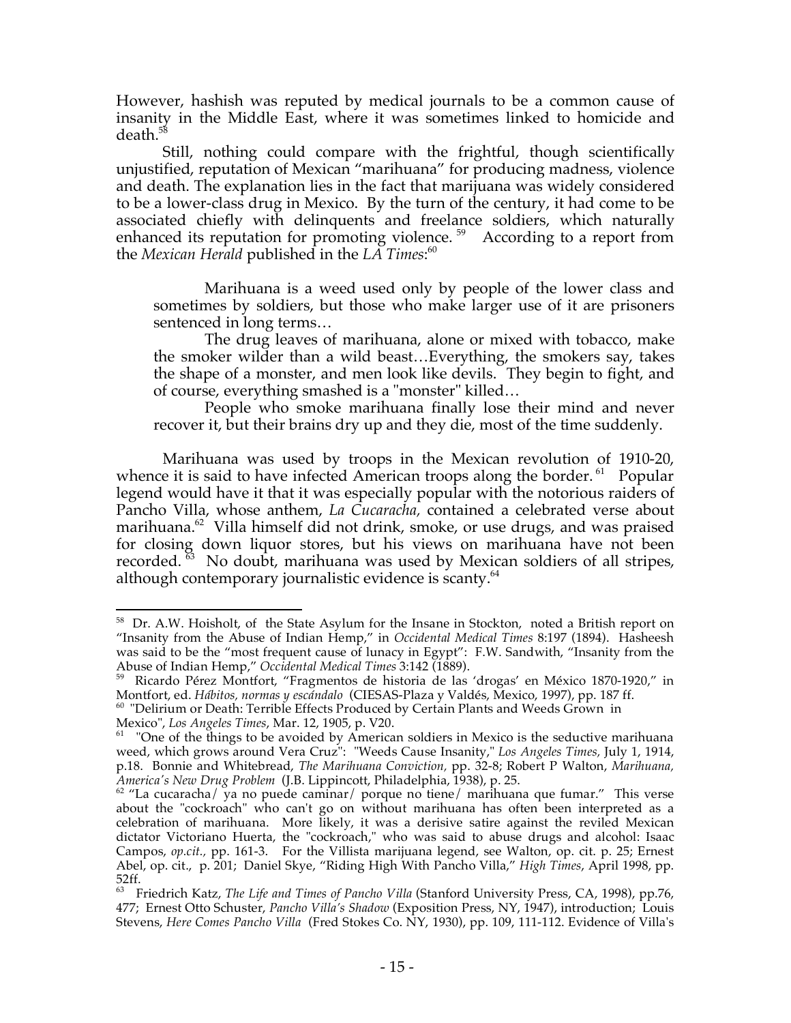However, hashish was reputed by medical journals to be a common cause of insanity in the Middle East, where it was sometimes linked to homicide and death.58

Still, nothing could compare with the frightful, though scientifically unjustified, reputation of Mexican "marihuana" for producing madness, violence and death. The explanation lies in the fact that marijuana was widely considered to be a lower-class drug in Mexico. By the turn of the century, it had come to be associated chiefly with delinquents and freelance soldiers, which naturally enhanced its reputation for promoting violence.<sup>59</sup> According to a report from the *Mexican Herald* published in the *LA Times*: 60

Marihuana is a weed used only by people of the lower class and sometimes by soldiers, but those who make larger use of it are prisoners sentenced in long terms…

The drug leaves of marihuana, alone or mixed with tobacco, make the smoker wilder than a wild beast…Everything, the smokers say, takes the shape of a monster, and men look like devils. They begin to fight, and of course, everything smashed is a "monster" killed…

People who smoke marihuana finally lose their mind and never recover it, but their brains dry up and they die, most of the time suddenly.

Marihuana was used by troops in the Mexican revolution of 1910-20, whence it is said to have infected American troops along the border.  $61$  Popular legend would have it that it was especially popular with the notorious raiders of Pancho Villa, whose anthem, *La Cucaracha,* contained a celebrated verse about marihuana.<sup>62</sup> Villa himself did not drink, smoke, or use drugs, and was praised for closing down liquor stores, but his views on marihuana have not been recorded. <sup>83</sup> No doubt, marihuana was used by Mexican soldiers of all stripes, although contemporary journalistic evidence is scanty.<sup>64</sup>

<sup>&</sup>lt;sup>58</sup> Dr. A.W. Hoisholt, of the State Asylum for the Insane in Stockton, noted a British report on "Insanity from the Abuse of Indian Hemp," in *Occidental Medical Times* 8:197 (1894). Hasheesh was said to be the "most frequent cause of lunacy in Egypt": F.W. Sandwith, "Insanity from the

Abuse of Indian Hemp," *Occidental Medical Times* 3:142 (1889).<br><sup>59</sup> Ricardo Pérez Montfort, "Fragmentos de historia de las 'drogas' en México 1870-1920," in<br>Montfort, ed. *Hábitos, normas y escándalo* (CIESAS-Plaza y Vald

<sup>&</sup>lt;sup>60</sup> "Delirium or Death: Terrible Effects Produced by Certain Plants and Weeds Grown in Mexico", *Los Angeles Times*, Mar. 12, 1905, p. V20.

<sup>&</sup>lt;sup>61</sup> "One of the things to be avoided by American soldiers in Mexico is the seductive marihuana weed, which grows around Vera Cruz": "Weeds Cause Insanity," *Los Angeles Times,* July 1, 1914, p.18. Bonnie and Whitebread, *The Marihuana Conviction,* pp. 32-8; Robert P Walton, *Marihuana,* 

<sup>&</sup>lt;sup>62</sup> "La cucaracha/ ya no puede caminar/ porque no tiene/ marihuana que fumar." This verse about the "cockroach" who can't go on without marihuana has often been interpreted as a celebration of marihuana. More likely, it was a derisive satire against the reviled Mexican dictator Victoriano Huerta, the "cockroach," who was said to abuse drugs and alcohol: Isaac Campos, *op.cit.,* pp. 161-3. For the Villista marijuana legend, see Walton, op. cit. p. 25; Ernest Abel, op. cit., p. 201; Daniel Skye, "Riding High With Pancho Villa," *High Times*, April 1998, pp. 52ff.

<sup>&</sup>lt;sup>63</sup> Friedrich Katz, *The Life and Times of Pancho Villa* (Stanford University Press, CA, 1998), pp.76, 477; Ernest Otto Schuster, *Pancho Villa's Shadow* (Exposition Press, NY, 1947), introduction; Louis Stevens, *Here Comes Pancho Villa* (Fred Stokes Co. NY, 1930), pp. 109, 111-112. Evidence of Villa's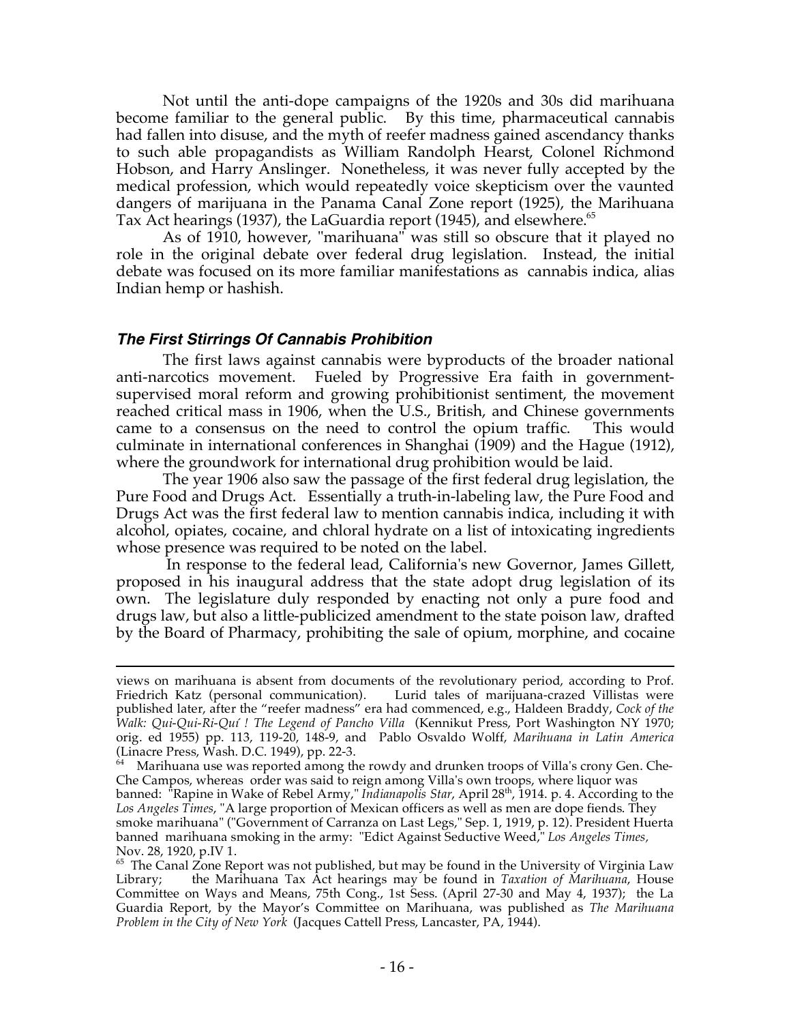Not until the anti-dope campaigns of the 1920s and 30s did marihuana become familiar to the general public. By this time, pharmaceutical cannabis had fallen into disuse, and the myth of reefer madness gained ascendancy thanks to such able propagandists as William Randolph Hearst, Colonel Richmond Hobson, and Harry Anslinger. Nonetheless, it was never fully accepted by the medical profession, which would repeatedly voice skepticism over the vaunted dangers of marijuana in the Panama Canal Zone report (1925), the Marihuana Tax Act hearings (1937), the LaGuardia report (1945), and elsewhere.<sup>65</sup>

As of 1910, however, "marihuana" was still so obscure that it played no role in the original debate over federal drug legislation. Instead, the initial debate was focused on its more familiar manifestations as cannabis indica, alias Indian hemp or hashish.

#### *The First Stirrings Of Cannabis Prohibition*

The first laws against cannabis were byproducts of the broader national anti-narcotics movement. Fueled by Progressive Era faith in governmentsupervised moral reform and growing prohibitionist sentiment, the movement reached critical mass in 1906, when the U.S., British, and Chinese governments came to a consensus on the need to control the opium traffic. This would culminate in international conferences in Shanghai (1909) and the Hague (1912), where the groundwork for international drug prohibition would be laid.

The year 1906 also saw the passage of the first federal drug legislation, the Pure Food and Drugs Act. Essentially a truth-in-labeling law, the Pure Food and Drugs Act was the first federal law to mention cannabis indica, including it with alcohol, opiates, cocaine, and chloral hydrate on a list of intoxicating ingredients whose presence was required to be noted on the label.

 In response to the federal lead, California's new Governor, James Gillett, proposed in his inaugural address that the state adopt drug legislation of its own. The legislature duly responded by enacting not only a pure food and drugs law, but also a little-publicized amendment to the state poison law, drafted by the Board of Pharmacy, prohibiting the sale of opium, morphine, and cocaine

views on marihuana is absent from documents of the revolutionary period, according to Prof. Friedrich Katz (personal communication). Lurid tales of marijuana-crazed Villistas were published later, after the "reefer madness" era had commenced, e.g., Haldeen Braddy, *Cock of the Walk: Qui-Qui-Ri-Quí ! The Legend of Pancho Villa* (Kennikut Press, Port Washington NY 1970; orig. ed 1955) pp. 113, 119-20, 148-9, and Pablo Osvaldo Wolff, *Marihuana in Latin America* 

Marihuana use was reported among the rowdy and drunken troops of Villa's crony Gen. Che-Che Campos, whereas order was said to reign among Villa's own troops, where liquor was

banned: <sup>"</sup>Rapine in Wake of Rebel Army," *Indianapolis Star*, April 28<sup>th</sup>, 1914. p. 4. According to the *Los Angeles Times*, "A large proportion of Mexican officers as well as men are dope fiends. They smoke marihuana" ("Government of Carranza on Last Legs," Sep. 1, 1919, p. 12). President Huerta banned marihuana smoking in the army: "Edict Against Seductive Weed," *Los Angeles Times,* Nov. 28, 1920, p.IV 1.

 $65$  The Canal Zone Report was not published, but may be found in the University of Virginia Law Library; the Marihuana Tax Act hearings may be found in *Taxation of Marihuana*, House Committee on Ways and Means, 75th Cong., 1st Sess. (April 27-30 and May 4, 1937); the La Guardia Report, by the Mayor's Committee on Marihuana, was published as *The Marihuana Problem in the City of New York* (Jacques Cattell Press, Lancaster, PA, 1944).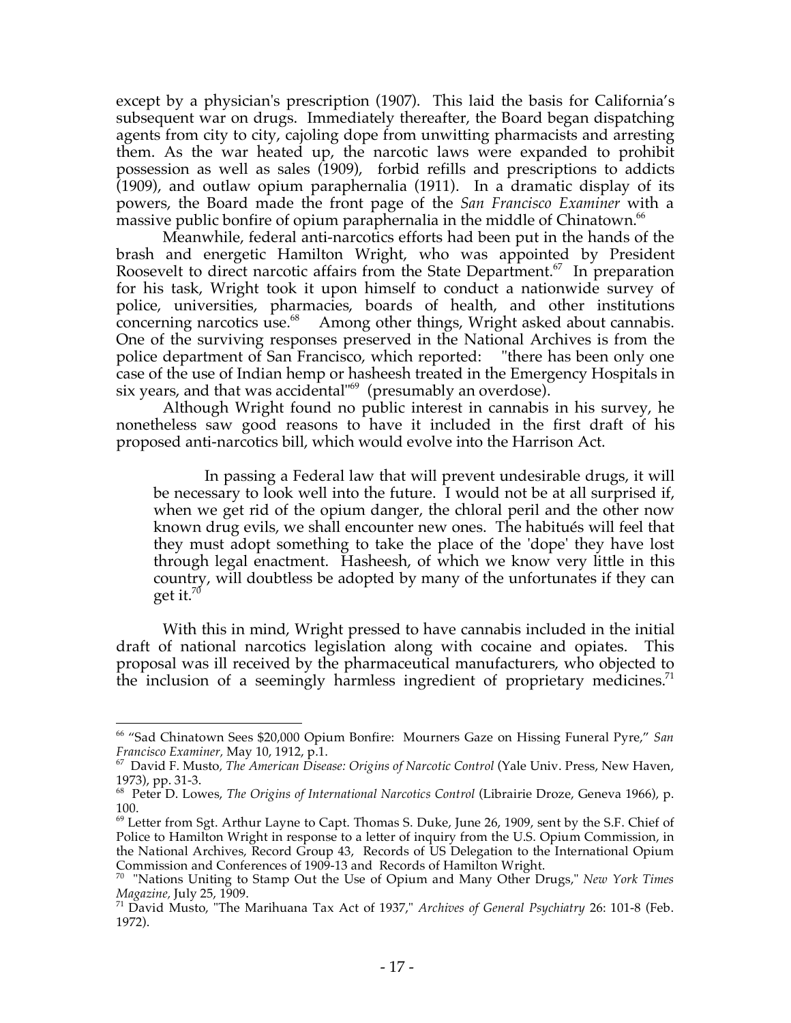except by a physician's prescription (1907). This laid the basis for California's subsequent war on drugs. Immediately thereafter, the Board began dispatching agents from city to city, cajoling dope from unwitting pharmacists and arresting them. As the war heated up, the narcotic laws were expanded to prohibit possession as well as sales (1909), forbid refills and prescriptions to addicts (1909), and outlaw opium paraphernalia (1911). In a dramatic display of its powers, the Board made the front page of the *San Francisco Examiner* with a massive public bonfire of opium paraphernalia in the middle of Chinatown.<sup>66</sup>

Meanwhile, federal anti-narcotics efforts had been put in the hands of the brash and energetic Hamilton Wright, who was appointed by President Roosevelt to direct narcotic affairs from the State Department.<sup>67</sup> In preparation for his task, Wright took it upon himself to conduct a nationwide survey of police, universities, pharmacies, boards of health, and other institutions concerning narcotics use.<sup>68</sup> Among other things, Wright asked about cannabis. One of the surviving responses preserved in the National Archives is from the police department of San Francisco, which reported: "there has been only one case of the use of Indian hemp or hasheesh treated in the Emergency Hospitals in six years, and that was accidental<sup>"69</sup> (presumably an overdose).

Although Wright found no public interest in cannabis in his survey, he nonetheless saw good reasons to have it included in the first draft of his proposed anti-narcotics bill, which would evolve into the Harrison Act.

In passing a Federal law that will prevent undesirable drugs, it will be necessary to look well into the future. I would not be at all surprised if, when we get rid of the opium danger, the chloral peril and the other now known drug evils, we shall encounter new ones. The habitués will feel that they must adopt something to take the place of the 'dope' they have lost through legal enactment. Hasheesh, of which we know very little in this country, will doubtless be adopted by many of the unfortunates if they can get it. $70$ 

With this in mind, Wright pressed to have cannabis included in the initial draft of national narcotics legislation along with cocaine and opiates. This proposal was ill received by the pharmaceutical manufacturers, who objected to the inclusion of a seemingly harmless ingredient of proprietary medicines.<sup>71</sup>

<sup>&</sup>lt;sup>66</sup> "Sad Chinatown Sees \$20,000 Opium Bonfire: Mourners Gaze on Hissing Funeral Pyre," *San Francisco Examiner*, May 10, 1912, p.1.

<sup>&</sup>lt;sup>67</sup> David F. Musto, The American Disease: Origins of Narcotic Control (Yale Univ. Press, New Haven, 1973), pp. 31-3.<br><sup>68</sup> Peter D. Lowes, *The Origins of International Narcotics Control* (Librairie Droze, Geneva 1966), p.

<sup>100.</sup>

 $69$  Letter from Sgt. Arthur Layne to Capt. Thomas S. Duke, June 26, 1909, sent by the S.F. Chief of Police to Hamilton Wright in response to a letter of inquiry from the U.S. Opium Commission, in the National Archives, Record Group 43, Records of US Delegation to the International Opium Commission and Conferences of 1909-13 and Records of Hamilton Wright. 70 "Nations Uniting to Stamp Out the Use of Opium and Many Other Drugs," *New York Times* 

*Magazine, July 25, 1909.*<br><sup>71</sup> David Musto, "The Marihuana Tax Act of 1937," *Archives of General Psychiatry 26*: 101-8 (Feb.

<sup>1972).</sup>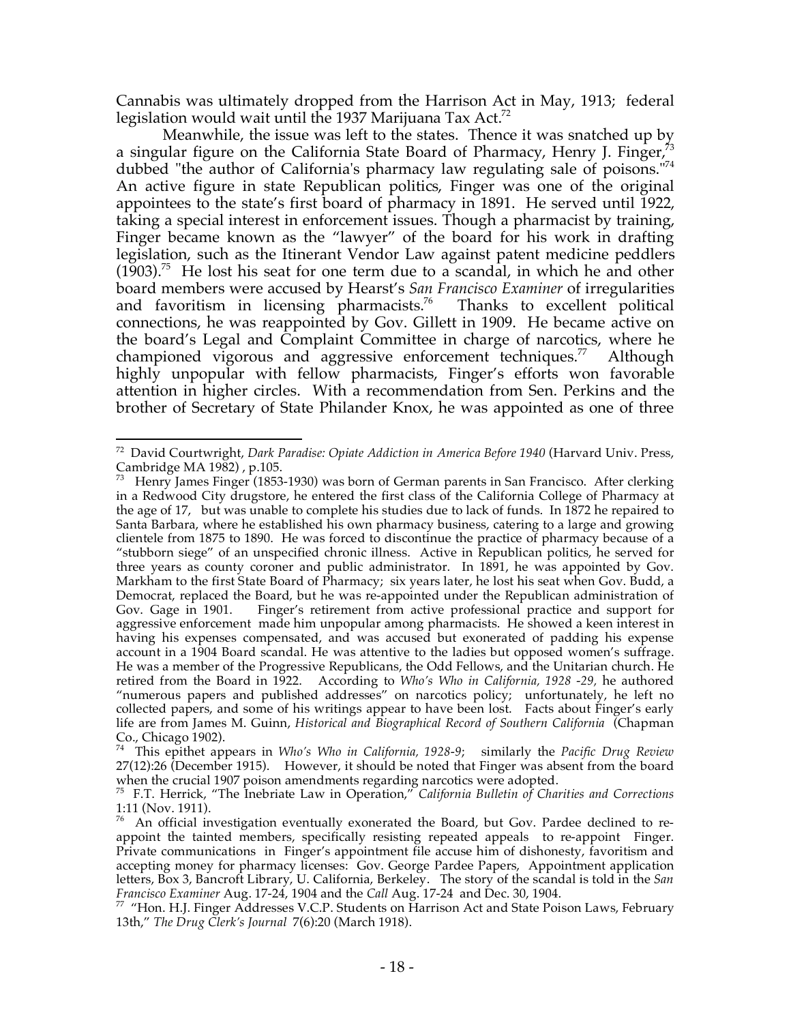Cannabis was ultimately dropped from the Harrison Act in May, 1913; federal legislation would wait until the 1937 Marijuana Tax Act.<sup>72</sup>

Meanwhile, the issue was left to the states. Thence it was snatched up by a singular figure on the California State Board of Pharmacy, Henry J. Finger, dubbed "the author of California's pharmacy law regulating sale of poisons."74 An active figure in state Republican politics, Finger was one of the original appointees to the state's first board of pharmacy in 1891. He served until 1922, taking a special interest in enforcement issues. Though a pharmacist by training, Finger became known as the "lawyer" of the board for his work in drafting legislation, such as the Itinerant Vendor Law against patent medicine peddlers  $(1903).$ <sup>75</sup> He lost his seat for one term due to a scandal, in which he and other board members were accused by Hearst's *San Francisco Examiner* of irregularities and favoritism in licensing pharmacists.<sup>76</sup> Thanks to excellent political connections, he was reappointed by Gov. Gillett in 1909. He became active on the board's Legal and Complaint Committee in charge of narcotics, where he championed vigorous and aggressive enforcement techniques.<sup>77</sup> Although highly unpopular with fellow pharmacists, Finger's efforts won favorable attention in higher circles. With a recommendation from Sen. Perkins and the brother of Secretary of State Philander Knox, he was appointed as one of three

 <sup>72</sup> David Courtwright, *Dark Paradise: Opiate Addiction in America Before 1940* (Harvard Univ. Press, Cambridge MA 1982) , p.105.

<sup>73</sup> Henry James Finger (1853-1930) was born of German parents in San Francisco. After clerking in a Redwood City drugstore, he entered the first class of the California College of Pharmacy at the age of 17, but was unable to complete his studies due to lack of funds. In 1872 he repaired to Santa Barbara, where he established his own pharmacy business, catering to a large and growing clientele from 1875 to 1890. He was forced to discontinue the practice of pharmacy because of a "stubborn siege" of an unspecified chronic illness. Active in Republican politics, he served for three years as county coroner and public administrator. In 1891, he was appointed by Gov. Markham to the first State Board of Pharmacy; six years later, he lost his seat when Gov. Budd, a Democrat, replaced the Board, but he was re-appointed under the Republican administration of Gov. Gage in 1901. Finger's retirement from active professional practice and support for aggressive enforcement made him unpopular among pharmacists. He showed a keen interest in having his expenses compensated, and was accused but exonerated of padding his expense account in a 1904 Board scandal. He was attentive to the ladies but opposed women's suffrage. He was a member of the Progressive Republicans, the Odd Fellows, and the Unitarian church. He retired from the Board in 1922. According to *Who's Who in California, 1928 -29,* he authored "numerous papers and published addresses" on narcotics policy; unfortunately, he left no collected papers, and some of his writings appear to have been lost. Facts about Finger's early life are from James M. Guinn, *Historical and Biographical Record of Southern California* (Chapman Co., Chicago 1902).

<sup>74</sup> This epithet appears in *Who's Who in California, 1928-9*; similarly the *Pacific Drug Review*  27(12):26 (December 1915). However, it should be noted that Finger was absent from the board when the crucial 1907 poison amendments regarding narcotics were adopted.

<sup>75</sup> F.T. Herrick, "The Inebriate Law in Operation," *California Bulletin of Charities and Corrections* 1:11 (Nov. 1911).

 $76$  An official investigation eventually exonerated the Board, but Gov. Pardee declined to reappoint the tainted members, specifically resisting repeated appeals to re-appoint Finger. Private communications in Finger's appointment file accuse him of dishonesty, favoritism and accepting money for pharmacy licenses: Gov. George Pardee Papers, Appointment application letters, Box 3, Bancroft Library, U. California, Berkeley. The story of the scandal is told in the *San* 

*Francisco Examiner* Aug. 17-24, 1904 and the *Call* Aug. 17-24 and Dec. 30, 1904.<br><sup>77</sup> "Hon. H.J. Finger Addresses V.C.P. Students on Harrison Act and State Poison Laws, February 13th," *The Drug Clerk's Journal* 7(6):20 (March 1918).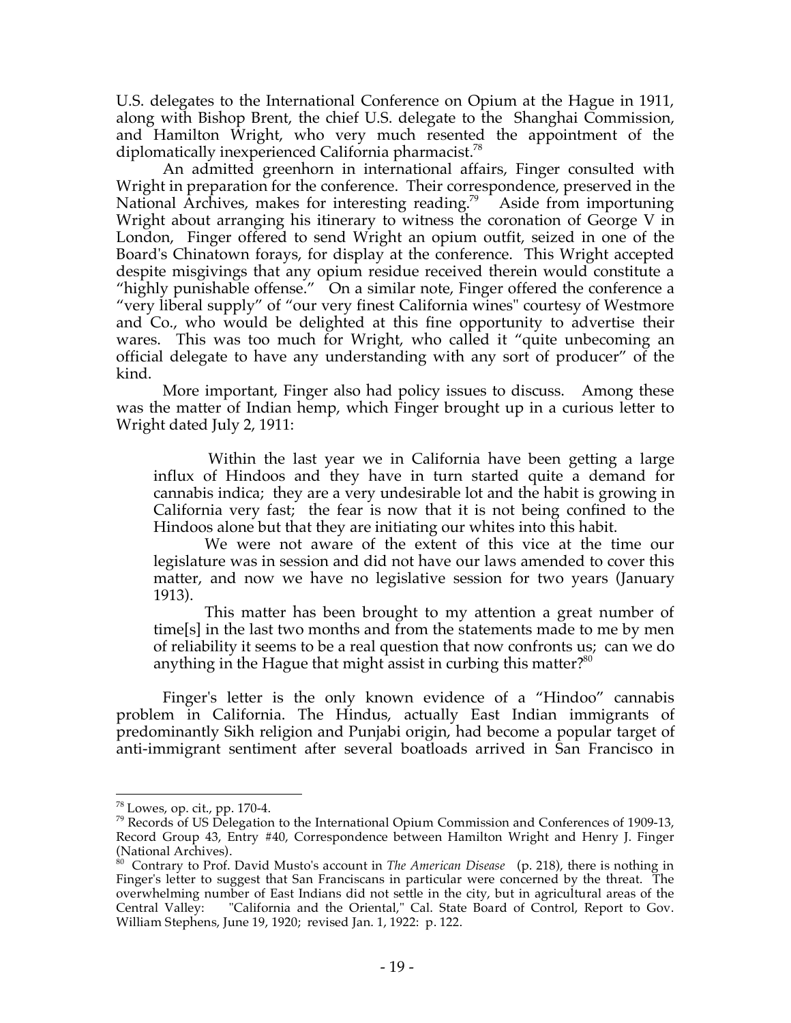U.S. delegates to the International Conference on Opium at the Hague in 1911, along with Bishop Brent, the chief U.S. delegate to the Shanghai Commission, and Hamilton Wright, who very much resented the appointment of the diplomatically inexperienced California pharmacist.<sup>78</sup>

An admitted greenhorn in international affairs, Finger consulted with Wright in preparation for the conference. Their correspondence, preserved in the National Archives, makes for interesting reading.<sup>79</sup> Aside from importuning Wright about arranging his itinerary to witness the coronation of George V in London, Finger offered to send Wright an opium outfit, seized in one of the Board's Chinatown forays, for display at the conference. This Wright accepted despite misgivings that any opium residue received therein would constitute a "highly punishable offense." On a similar note, Finger offered the conference a "very liberal supply" of "our very finest California wines" courtesy of Westmore and Co., who would be delighted at this fine opportunity to advertise their wares. This was too much for Wright, who called it "quite unbecoming an official delegate to have any understanding with any sort of producer" of the kind.

More important, Finger also had policy issues to discuss. Among these was the matter of Indian hemp, which Finger brought up in a curious letter to Wright dated July 2, 1911:

 Within the last year we in California have been getting a large influx of Hindoos and they have in turn started quite a demand for cannabis indica; they are a very undesirable lot and the habit is growing in California very fast; the fear is now that it is not being confined to the Hindoos alone but that they are initiating our whites into this habit.

We were not aware of the extent of this vice at the time our legislature was in session and did not have our laws amended to cover this matter, and now we have no legislative session for two years (January 1913).

This matter has been brought to my attention a great number of time[s] in the last two months and from the statements made to me by men of reliability it seems to be a real question that now confronts us; can we do anything in the Hague that might assist in curbing this matter?<sup>80</sup>

Finger's letter is the only known evidence of a "Hindoo" cannabis problem in California. The Hindus, actually East Indian immigrants of predominantly Sikh religion and Punjabi origin, had become a popular target of anti-immigrant sentiment after several boatloads arrived in San Francisco in

<sup>&</sup>lt;sup>78</sup> Lowes, op. cit., pp. 170-4.<br><sup>79</sup> Records of US Delegation to the International Opium Commission and Conferences of 1909-13, Record Group 43, Entry #40, Correspondence between Hamilton Wright and Henry J. Finger (National Archives).

<sup>80</sup> Contrary to Prof. David Musto's account in *The American Disease* (p. 218), there is nothing in Finger's letter to suggest that San Franciscans in particular were concerned by the threat. The overwhelming number of East Indians did not settle in the city, but in agricultural areas of the Central Valley: "California and the Oriental," Cal. State Board of Control, Report to Gov. William Stephens, June 19, 1920; revised Jan. 1, 1922: p. 122.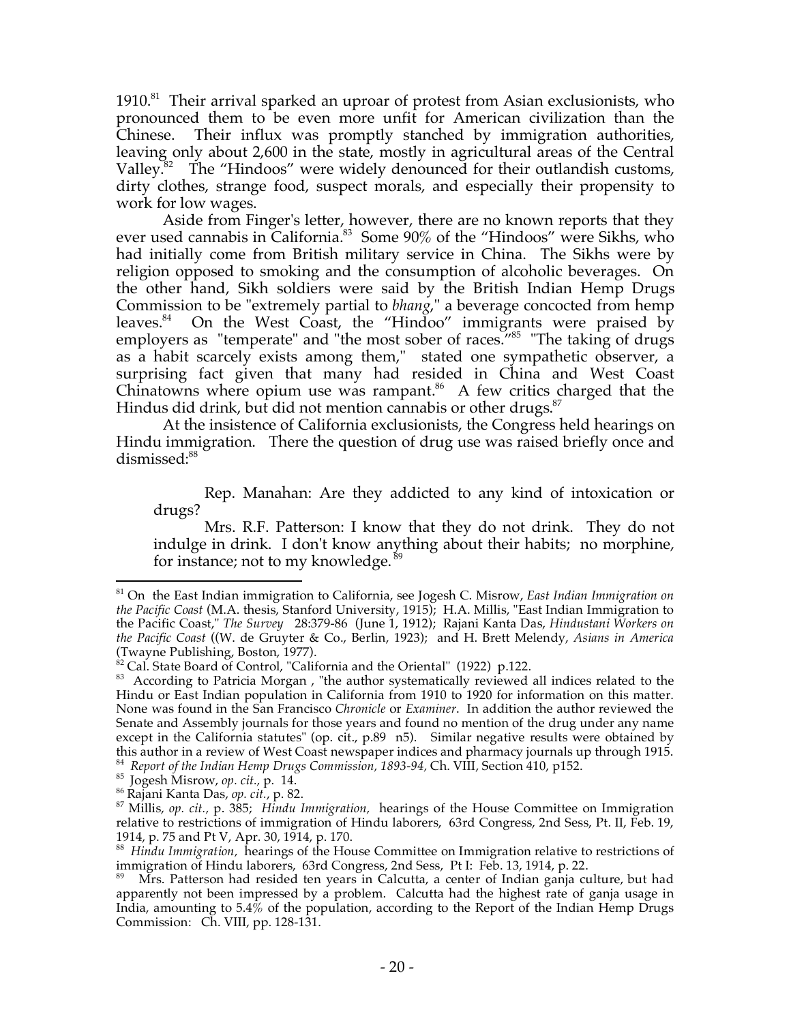1910.<sup>81</sup> Their arrival sparked an uproar of protest from Asian exclusionists, who pronounced them to be even more unfit for American civilization than the Chinese. Their influx was promptly stanched by immigration authorities, leaving only about 2,600 in the state, mostly in agricultural areas of the Central Valley.<sup>82</sup> The "Hindoos" were widely denounced for their outlandish customs, dirty clothes, strange food, suspect morals, and especially their propensity to work for low wages.

Aside from Finger's letter, however, there are no known reports that they ever used cannabis in California.<sup>83</sup> Some  $90\%$  of the "Hindoos" were Sikhs, who had initially come from British military service in China. The Sikhs were by religion opposed to smoking and the consumption of alcoholic beverages. On the other hand, Sikh soldiers were said by the British Indian Hemp Drugs Commission to be "extremely partial to *bhang*," a beverage concocted from hemp leaves.<sup>84</sup> On the West Coast, the "Hindoo" immigrants were praised by employers as "temperate" and "the most sober of races."85 "The taking of drugs as a habit scarcely exists among them," stated one sympathetic observer, a surprising fact given that many had resided in China and West Coast Chinatowns where opium use was rampant.<sup>86</sup> A few critics charged that the Hindus did drink, but did not mention cannabis or other drugs. $87$ 

At the insistence of California exclusionists, the Congress held hearings on Hindu immigration. There the question of drug use was raised briefly once and dismissed:<sup>88</sup>

Rep. Manahan: Are they addicted to any kind of intoxication or drugs?

Mrs. R.F. Patterson: I know that they do not drink. They do not indulge in drink. I don't know anything about their habits; no morphine, for instance; not to my knowledge. <sup>89</sup>

 <sup>81</sup> On the East Indian immigration to California, see Jogesh C. Misrow, *East Indian Immigration on the Pacific Coast* (M.A. thesis, Stanford University, 1915); H.A. Millis, "East Indian Immigration to the Pacific Coast," *The Survey* 28:379-86 (June 1, 1912); Rajani Kanta Das, *Hindustani Workers on the Pacific Coast* ((W. de Gruyter & Co., Berlin, 1923); and H. Brett Melendy, *Asians in America*

 $82$  Cal. State Board of Control, "California and the Oriental" (1922) p.122.

<sup>83</sup> According to Patricia Morgan, "the author systematically reviewed all indices related to the Hindu or East Indian population in California from 1910 to 1920 for information on this matter. None was found in the San Francisco *Chronicle* or *Examiner*. In addition the author reviewed the Senate and Assembly journals for those years and found no mention of the drug under any name except in the California statutes" (op. cit., p.89 n5). Similar negative results were obtained by this author in a review of West Coast newspaper indices and pharmacy journals up through 1915.<br><sup>84</sup> Report of the Indian Hemp Drugs Commission, 1893-94, Ch. VIII, Section 410, p152.

<sup>&</sup>lt;sup>85</sup> Jogesh Misrow, *op. cit.*, p. 14.<br><sup>86</sup> Rajani Kanta Das, *op. cit.*, p. 82.<br><sup>87</sup> Millis, *op. cit.*, p. 385; *Hindu Immigration*, hearings of the House Committee on Immigration relative to restrictions of immigration of Hindu laborers, 63rd Congress, 2nd Sess, Pt. II, Feb. 19, 1914, p. 75 and Pt V, Apr. 30, 1914, p. 170.

<sup>88</sup> *Hindu Immigration,* hearings of the House Committee on Immigration relative to restrictions of immigration of Hindu laborers, 63rd Congress, 2nd Sess, Pt I: Feb. 13, 1914, p. 22.

<sup>&</sup>lt;sup>89</sup> Mrs. Patterson had resided ten years in Calcutta, a center of Indian ganja culture, but had apparently not been impressed by a problem. Calcutta had the highest rate of ganja usage in India, amounting to 5.4% of the population, according to the Report of the Indian Hemp Drugs Commission: Ch. VIII, pp. 128-131.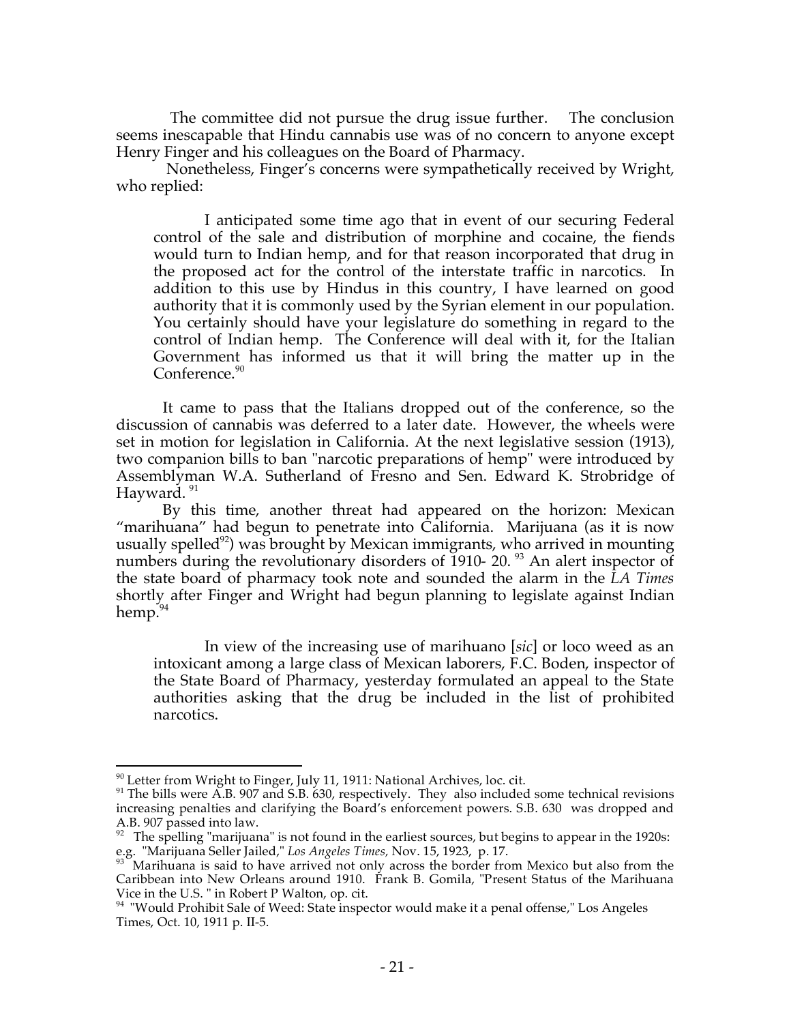The committee did not pursue the drug issue further. The conclusion seems inescapable that Hindu cannabis use was of no concern to anyone except Henry Finger and his colleagues on the Board of Pharmacy.

 Nonetheless, Finger's concerns were sympathetically received by Wright, who replied:

I anticipated some time ago that in event of our securing Federal control of the sale and distribution of morphine and cocaine, the fiends would turn to Indian hemp, and for that reason incorporated that drug in the proposed act for the control of the interstate traffic in narcotics. In addition to this use by Hindus in this country, I have learned on good authority that it is commonly used by the Syrian element in our population. You certainly should have your legislature do something in regard to the control of Indian hemp. The Conference will deal with it, for the Italian Government has informed us that it will bring the matter up in the Conference.<sup>90</sup>

It came to pass that the Italians dropped out of the conference, so the discussion of cannabis was deferred to a later date. However, the wheels were set in motion for legislation in California. At the next legislative session (1913), two companion bills to ban "narcotic preparations of hemp" were introduced by Assemblyman W.A. Sutherland of Fresno and Sen. Edward K. Strobridge of Hayward.<sup>91</sup>

By this time, another threat had appeared on the horizon: Mexican "marihuana" had begun to penetrate into California. Marijuana (as it is now usually spelled<sup>92</sup>) was brought by Mexican immigrants, who arrived in mounting numbers during the revolutionary disorders of  $1910-20$ . <sup>93</sup> An alert inspector of the state board of pharmacy took note and sounded the alarm in the *LA Times* shortly after Finger and Wright had begun planning to legislate against Indian hemp.<sup>94</sup>

In view of the increasing use of marihuano [*sic*] or loco weed as an intoxicant among a large class of Mexican laborers, F.C. Boden, inspector of the State Board of Pharmacy, yesterday formulated an appeal to the State authorities asking that the drug be included in the list of prohibited narcotics.

 $90$  Letter from Wright to Finger, July 11, 1911: National Archives, loc. cit.

 $91$  The bills were A.B. 907 and S.B. 630, respectively. They also included some technical revisions increasing penalties and clarifying the Board's enforcement powers. S.B. 630 was dropped and A.B. 907 passed into law.

<sup>&</sup>lt;sup>92</sup> The spelling "marijuana" is not found in the earliest sources, but begins to appear in the 1920s: e.g. "Marijuana Seller Jailed," *Los Angeles Times,* Nov. 15, 1923, p. 17.<br><sup>93</sup> Marihuana is said to have arrived not only across the border from Mexico but also from the

Caribbean into New Orleans around 1910. Frank B. Gomila, "Present Status of the Marihuana Vice in the U.S. " in Robert P Walton, op. cit.

<sup>94 &</sup>quot;Would Prohibit Sale of Weed: State inspector would make it a penal offense," Los Angeles Times, Oct. 10, 1911 p. II-5.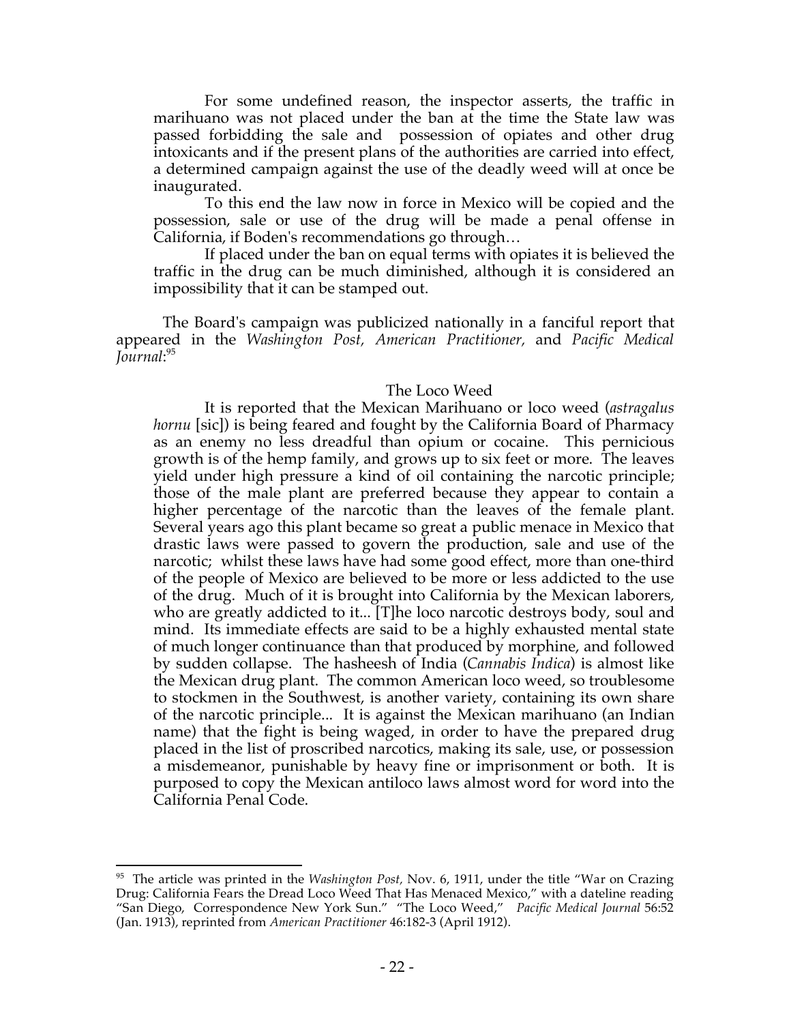For some undefined reason, the inspector asserts, the traffic in marihuano was not placed under the ban at the time the State law was passed forbidding the sale and possession of opiates and other drug intoxicants and if the present plans of the authorities are carried into effect, a determined campaign against the use of the deadly weed will at once be inaugurated.

To this end the law now in force in Mexico will be copied and the possession, sale or use of the drug will be made a penal offense in California, if Boden's recommendations go through…

If placed under the ban on equal terms with opiates it is believed the traffic in the drug can be much diminished, although it is considered an impossibility that it can be stamped out.

The Board's campaign was publicized nationally in a fanciful report that appeared in the *Washington Post, American Practitioner,* and *Pacific Medical Journal*: 95

#### The Loco Weed

It is reported that the Mexican Marihuano or loco weed (*astragalus hornu* [sic]) is being feared and fought by the California Board of Pharmacy as an enemy no less dreadful than opium or cocaine. This pernicious growth is of the hemp family, and grows up to six feet or more. The leaves yield under high pressure a kind of oil containing the narcotic principle; those of the male plant are preferred because they appear to contain a higher percentage of the narcotic than the leaves of the female plant. Several years ago this plant became so great a public menace in Mexico that drastic laws were passed to govern the production, sale and use of the narcotic; whilst these laws have had some good effect, more than one-third of the people of Mexico are believed to be more or less addicted to the use of the drug. Much of it is brought into California by the Mexican laborers, who are greatly addicted to it... [T]he loco narcotic destroys body, soul and mind. Its immediate effects are said to be a highly exhausted mental state of much longer continuance than that produced by morphine, and followed by sudden collapse. The hasheesh of India (*Cannabis Indica*) is almost like the Mexican drug plant. The common American loco weed, so troublesome to stockmen in the Southwest, is another variety, containing its own share of the narcotic principle... It is against the Mexican marihuano (an Indian name) that the fight is being waged, in order to have the prepared drug placed in the list of proscribed narcotics, making its sale, use, or possession a misdemeanor, punishable by heavy fine or imprisonment or both. It is purposed to copy the Mexican antiloco laws almost word for word into the California Penal Code.

 <sup>95</sup> The article was printed in the *Washington Post,* Nov. 6, 1911, under the title "War on Crazing Drug: California Fears the Dread Loco Weed That Has Menaced Mexico," with a dateline reading "San Diego, Correspondence New York Sun." "The Loco Weed," *Pacific Medical Journal* 56:52 (Jan. 1913), reprinted from *American Practitioner* 46:182-3 (April 1912).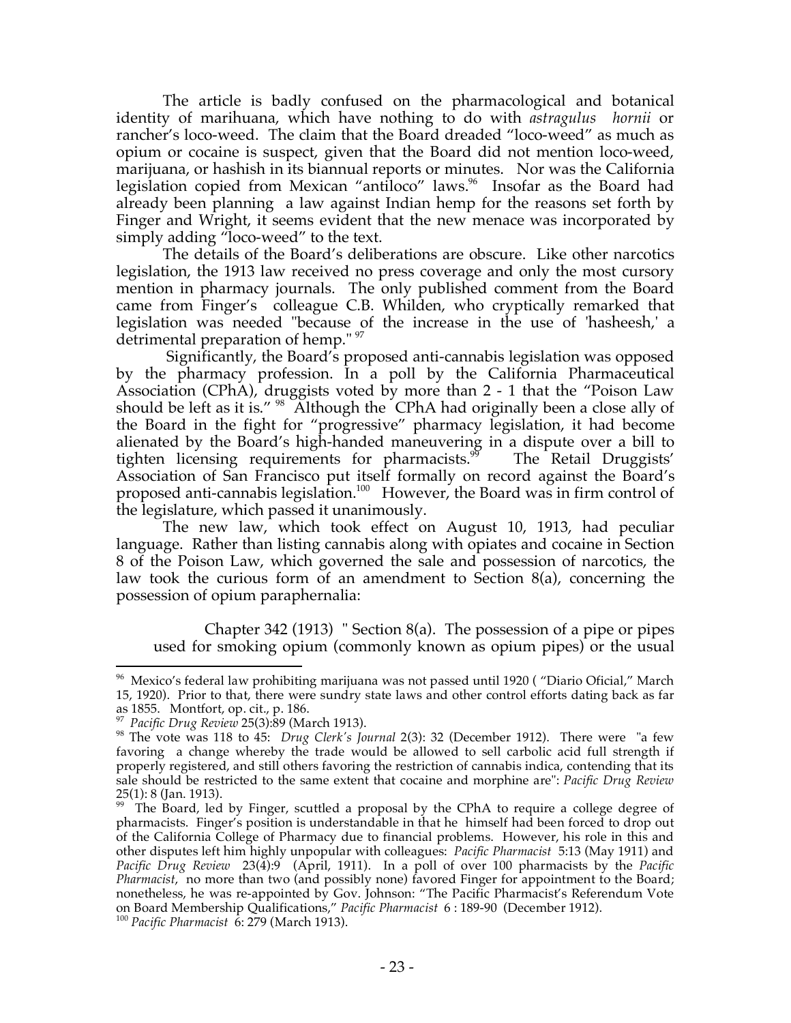The article is badly confused on the pharmacological and botanical identity of marihuana, which have nothing to do with *astragulus hornii* or rancher's loco-weed. The claim that the Board dreaded "loco-weed" as much as opium or cocaine is suspect, given that the Board did not mention loco-weed, marijuana, or hashish in its biannual reports or minutes. Nor was the California legislation copied from Mexican "antiloco" laws.<sup>96</sup> Insofar as the Board had already been planning a law against Indian hemp for the reasons set forth by Finger and Wright, it seems evident that the new menace was incorporated by simply adding "loco-weed" to the text.

The details of the Board's deliberations are obscure. Like other narcotics legislation, the 1913 law received no press coverage and only the most cursory mention in pharmacy journals. The only published comment from the Board came from Finger's colleague C.B. Whilden, who cryptically remarked that legislation was needed "because of the increase in the use of 'hasheesh,' a detrimental preparation of hemp." 97

 Significantly, the Board's proposed anti-cannabis legislation was opposed by the pharmacy profession. In a poll by the California Pharmaceutical Association (CPhA), druggists voted by more than 2 - 1 that the "Poison Law should be left as it is." <sup>98</sup> Although the CPhA had originally been a close ally of the Board in the fight for "progressive" pharmacy legislation, it had become alienated by the Board's high-handed maneuvering in a dispute over a bill to tighten licensing requirements for pharmacists.<sup>99</sup> The Retail Druggists' Association of San Francisco put itself formally on record against the Board's proposed anti-cannabis legislation.<sup>100</sup> However, the Board was in firm control of the legislature, which passed it unanimously.

The new law, which took effect on August 10, 1913, had peculiar language. Rather than listing cannabis along with opiates and cocaine in Section 8 of the Poison Law, which governed the sale and possession of narcotics, the law took the curious form of an amendment to Section 8(a), concerning the possession of opium paraphernalia:

Chapter 342 (1913) " Section 8(a). The possession of a pipe or pipes used for smoking opium (commonly known as opium pipes) or the usual

<sup>&</sup>lt;sup>96</sup> Mexico's federal law prohibiting marijuana was not passed until 1920 ("Diario Oficial," March 15, 1920). Prior to that, there were sundry state laws and other control efforts dating back as far

as 1855. Montfort, op. cit., p. 186.<br><sup>97</sup> Pacific Drug Review 25(3):89 (March 1913).

<sup>&</sup>lt;sup>98</sup> The vote was 118 to 45: *Drug Clerk's Journal* 2(3): 32 (December 1912). There were "a few favoring a change whereby the trade would be allowed to sell carbolic acid full strength if properly registered, and still others favoring the restriction of cannabis indica, contending that its sale should be restricted to the same extent that cocaine and morphine are": *Pacific Drug Review*  25(1): 8 (Jan. 1913).

The Board, led by Finger, scuttled a proposal by the CPhA to require a college degree of pharmacists. Finger's position is understandable in that he himself had been forced to drop out of the California College of Pharmacy due to financial problems. However, his role in this and other disputes left him highly unpopular with colleagues: *Pacific Pharmacist* 5:13 (May 1911) and *Pacific Drug Review* 23(4):9 (April, 1911). In a poll of over 100 pharmacists by the *Pacific Pharmacist*, no more than two (and possibly none) favored Finger for appointment to the Board; nonetheless, he was re-appointed by Gov. Johnson: "The Pacific Pharmacist's Referendum Vote on Board Membership Qualifications," *Pacific Pharmacist* 6 : 189-90 (December 1912). 100 *Pacific Pharmacist* 6: 279 (March 1913).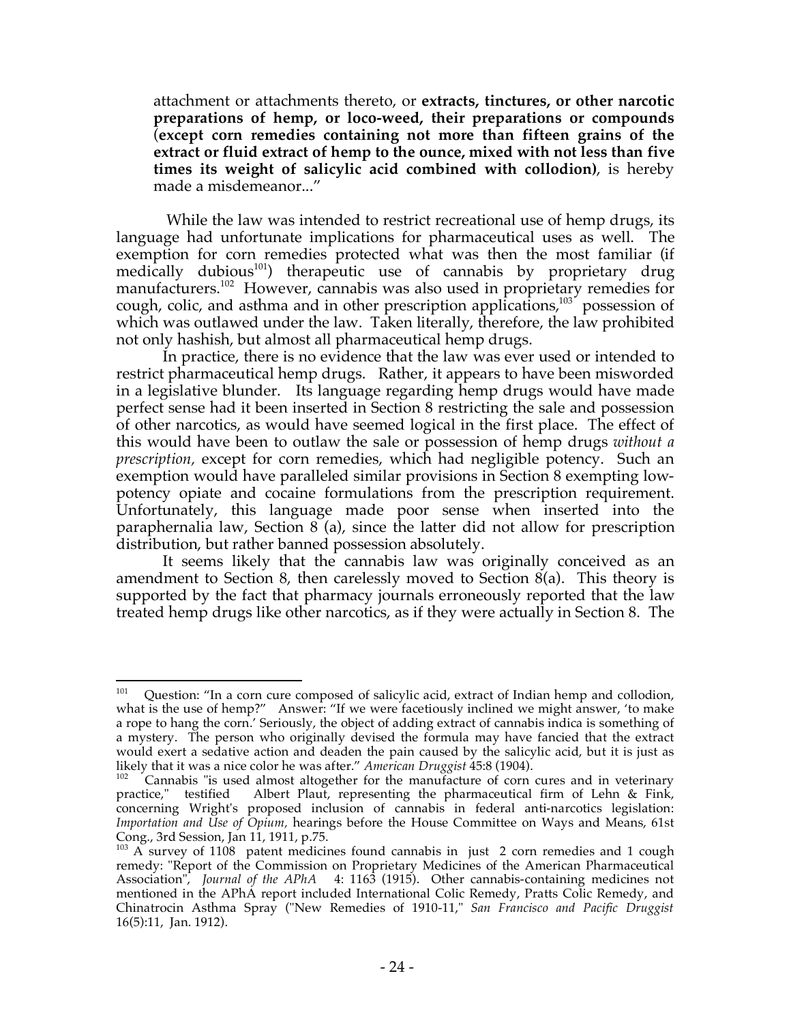attachment or attachments thereto, or **extracts, tinctures, or other narcotic preparations of hemp, or loco-weed, their preparations or compounds**  (**except corn remedies containing not more than fifteen grains of the extract or fluid extract of hemp to the ounce, mixed with not less than five times its weight of salicylic acid combined with collodion)**, is hereby made a misdemeanor..."

 While the law was intended to restrict recreational use of hemp drugs, its language had unfortunate implications for pharmaceutical uses as well. The exemption for corn remedies protected what was then the most familiar (if medically dubious<sup>101</sup>) therapeutic use of cannabis by proprietary drug manufacturers.<sup>102</sup> However, cannabis was also used in proprietary remedies for cough, colic, and asthma and in other prescription applications,<sup>103</sup> possession of which was outlawed under the law. Taken literally, therefore, the law prohibited not only hashish, but almost all pharmaceutical hemp drugs.

In practice, there is no evidence that the law was ever used or intended to restrict pharmaceutical hemp drugs. Rather, it appears to have been misworded in a legislative blunder. Its language regarding hemp drugs would have made perfect sense had it been inserted in Section 8 restricting the sale and possession of other narcotics, as would have seemed logical in the first place. The effect of this would have been to outlaw the sale or possession of hemp drugs *without a prescription,* except for corn remedies, which had negligible potency. Such an exemption would have paralleled similar provisions in Section 8 exempting lowpotency opiate and cocaine formulations from the prescription requirement. Unfortunately, this language made poor sense when inserted into the paraphernalia law, Section  $\delta$  (a), since the latter did not allow for prescription distribution, but rather banned possession absolutely.

It seems likely that the cannabis law was originally conceived as an amendment to Section 8, then carelessly moved to Section 8(a). This theory is supported by the fact that pharmacy journals erroneously reported that the law treated hemp drugs like other narcotics, as if they were actually in Section 8. The

 $101$  Question: "In a corn cure composed of salicylic acid, extract of Indian hemp and collodion, what is the use of hemp?" Answer: "If we were facetiously inclined we might answer, 'to make a rope to hang the corn.' Seriously, the object of adding extract of cannabis indica is something of a mystery. The person who originally devised the formula may have fancied that the extract would exert a sedative action and deaden the pain caused by the salicylic acid, but it is just as likely that it was a nice color he was after." American Druggist 45:8 (1904).

Cannabis "is used almost altogether for the manufacture of corn cures and in veterinary practice," testified Albert Plaut, representing the pharmaceutical firm of Lehn & Fink, concerning Wright's proposed inclusion of cannabis in federal anti-narcotics legislation: *Importation and Use of Opium,* hearings before the House Committee on Ways and Means, 61st Cong., 3rd Session, Jan 11, 1911, p.75.

 $103$  A survey of 1108 patent medicines found cannabis in just 2 corn remedies and 1 cough remedy: "Report of the Commission on Proprietary Medicines of the American Pharmaceutical Association", *Journal of the APhA* 4: 1163 (1915). Other cannabis-containing medicines not mentioned in the APhA report included International Colic Remedy, Pratts Colic Remedy, and Chinatrocin Asthma Spray ("New Remedies of 1910-11," *San Francisco and Pacific Druggist* 16(5):11, Jan. 1912).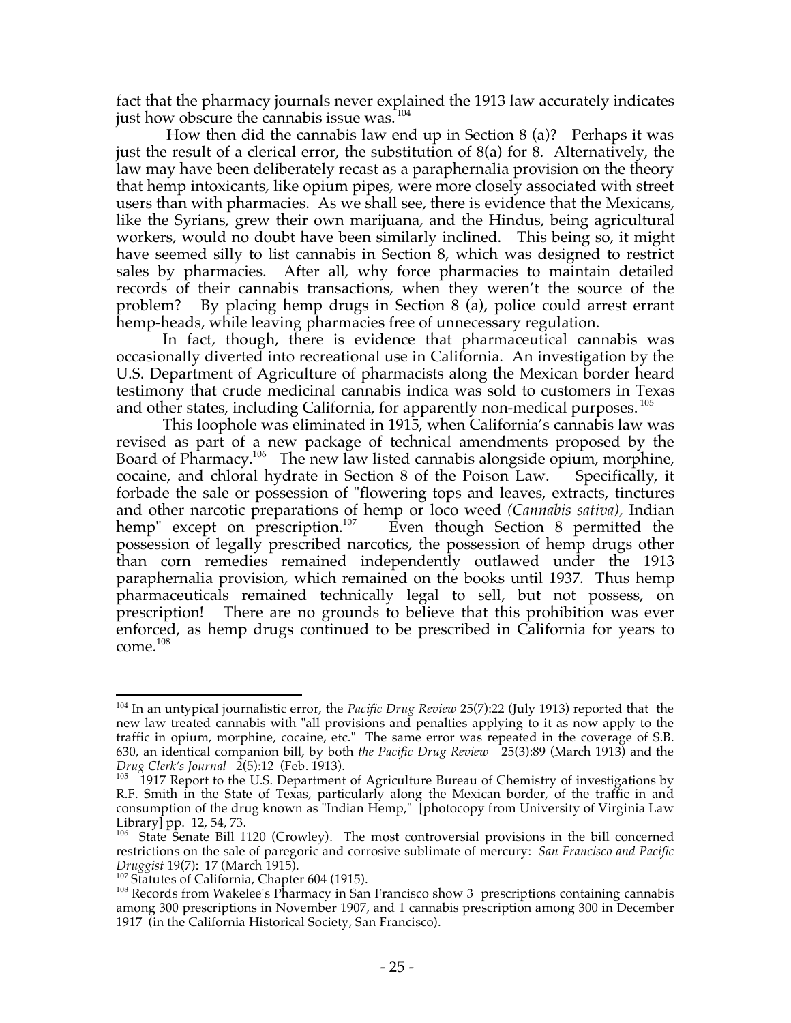fact that the pharmacy journals never explained the 1913 law accurately indicates just how obscure the cannabis issue was.<sup>104</sup>

 How then did the cannabis law end up in Section 8 (a)? Perhaps it was just the result of a clerical error, the substitution of 8(a) for 8. Alternatively, the law may have been deliberately recast as a paraphernalia provision on the theory that hemp intoxicants, like opium pipes, were more closely associated with street users than with pharmacies. As we shall see, there is evidence that the Mexicans, like the Syrians, grew their own marijuana, and the Hindus, being agricultural workers, would no doubt have been similarly inclined. This being so, it might have seemed silly to list cannabis in Section 8, which was designed to restrict sales by pharmacies. After all, why force pharmacies to maintain detailed records of their cannabis transactions, when they weren't the source of the problem? By placing hemp drugs in Section 8 (a), police could arrest errant hemp-heads, while leaving pharmacies free of unnecessary regulation.

In fact, though, there is evidence that pharmaceutical cannabis was occasionally diverted into recreational use in California. An investigation by the U.S. Department of Agriculture of pharmacists along the Mexican border heard testimony that crude medicinal cannabis indica was sold to customers in Texas and other states, including California, for apparently non-medical purposes.<sup>105</sup>

This loophole was eliminated in 1915, when California's cannabis law was revised as part of a new package of technical amendments proposed by the Board of Pharmacy.<sup>106</sup> The new law listed cannabis alongside opium, morphine, cocaine, and chloral hydrate in Section 8 of the Poison Law. Specifically, it forbade the sale or possession of "flowering tops and leaves, extracts, tinctures and other narcotic preparations of hemp or loco weed *(Cannabis sativa),* Indian hemp" except on prescription.<sup>107</sup> Even though Section 8 permitted the possession of legally prescribed narcotics, the possession of hemp drugs other than corn remedies remained independently outlawed under the 1913 paraphernalia provision, which remained on the books until 1937. Thus hemp pharmaceuticals remained technically legal to sell, but not possess, on prescription! There are no grounds to believe that this prohibition was ever enforced, as hemp drugs continued to be prescribed in California for years to come. $108$ 

 <sup>104</sup> In an untypical journalistic error, the *Pacific Drug Review* 25(7):22 (July 1913) reported that the new law treated cannabis with "all provisions and penalties applying to it as now apply to the traffic in opium, morphine, cocaine, etc." The same error was repeated in the coverage of S.B. 630, an identical companion bill, by both *the Pacific Drug Review* 25(3):89 (March 1913) and the

<sup>&</sup>lt;sup>105</sup> 1917 Report to the U.S. Department of Agriculture Bureau of Chemistry of investigations by R.F. Smith in the State of Texas, particularly along the Mexican border, of the traffic in and consumption of the drug known as "Indian Hemp," [photocopy from University of Virginia Law Library $\int$  pp. 12, 54, 73.

<sup>&</sup>lt;sup>106</sup> State Senate Bill 1120 (Crowley). The most controversial provisions in the bill concerned restrictions on the sale of paregoric and corrosive sublimate of mercury: *San Francisco and Pacific* 

<sup>&</sup>lt;sup>107</sup> Statutes of California, Chapter 604 (1915).<br><sup>107</sup> Statutes of California, Chapter 604 (1915).<br><sup>108</sup> Records from Wakelee's Pharmacy in San Francisco show 3 prescriptions containing cannabis among 300 prescriptions in November 1907, and 1 cannabis prescription among 300 in December 1917 (in the California Historical Society, San Francisco).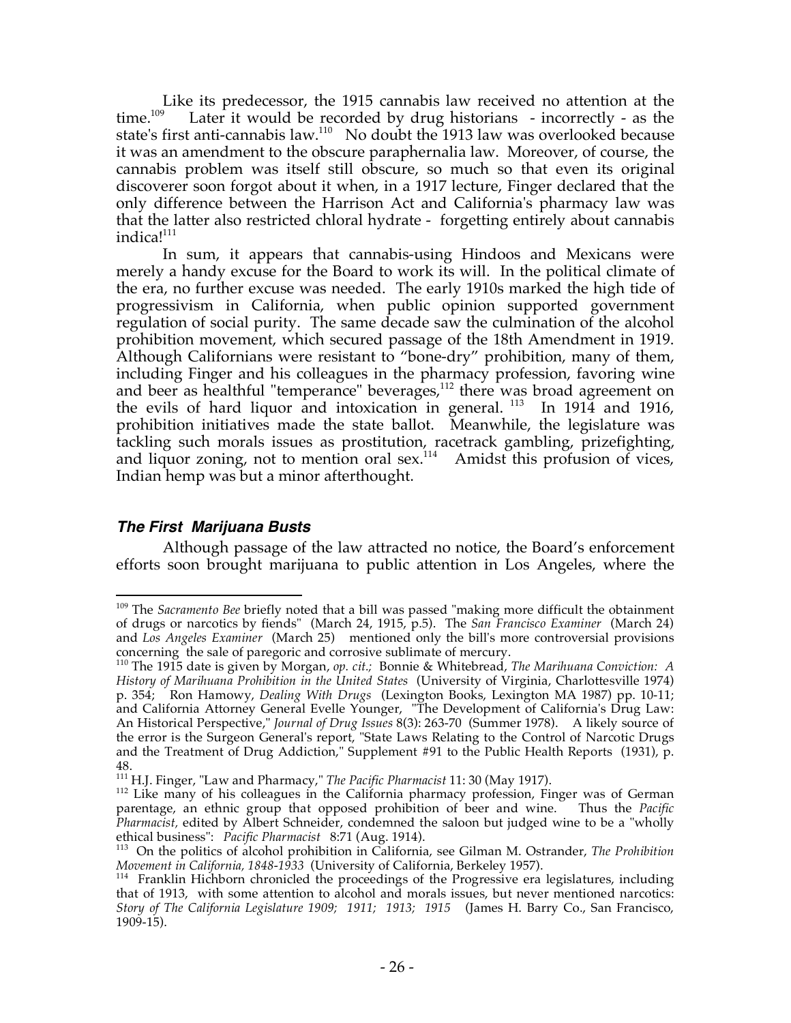Like its predecessor, the 1915 cannabis law received no attention at the time.<sup>109</sup> Later it would be recorded by drug historians - incorrectly - as the Later it would be recorded by drug historians - incorrectly - as the state's first anti-cannabis law.<sup>110</sup> No doubt the 1913 law was overlooked because it was an amendment to the obscure paraphernalia law. Moreover, of course, the cannabis problem was itself still obscure, so much so that even its original discoverer soon forgot about it when, in a 1917 lecture, Finger declared that the only difference between the Harrison Act and California's pharmacy law was that the latter also restricted chloral hydrate - forgetting entirely about cannabis indica!<sup>111</sup>

In sum, it appears that cannabis-using Hindoos and Mexicans were merely a handy excuse for the Board to work its will. In the political climate of the era, no further excuse was needed. The early 1910s marked the high tide of progressivism in California, when public opinion supported government regulation of social purity. The same decade saw the culmination of the alcohol prohibition movement, which secured passage of the 18th Amendment in 1919. Although Californians were resistant to "bone-dry" prohibition, many of them, including Finger and his colleagues in the pharmacy profession, favoring wine and beer as healthful "temperance" beverages,<sup>112</sup> there was broad agreement on the evils of hard liquor and intoxication in general.  $^{113}$  In 1914 and 1916, prohibition initiatives made the state ballot. Meanwhile, the legislature was tackling such morals issues as prostitution, racetrack gambling, prizefighting, and liquor zoning, not to mention oral sex.<sup>114</sup> Amidst this profusion of vices, Indian hemp was but a minor afterthought.

### *The First Marijuana Busts*

Although passage of the law attracted no notice, the Board's enforcement efforts soon brought marijuana to public attention in Los Angeles, where the

 <sup>109</sup> The *Sacramento Bee* briefly noted that a bill was passed "making more difficult the obtainment of drugs or narcotics by fiends" (March 24, 1915, p.5). The *San Francisco Examiner* (March 24) and *Los Angeles Examiner* (March 25)mentioned only the bill's more controversial provisions concerning the sale of paregoric and corrosive sublimate of mercury.

<sup>110</sup> The 1915 date is given by Morgan, *op. cit.;* Bonnie & Whitebread, *The Marihuana Conviction: A History of Marihuana Prohibition in the United States* (University of Virginia, Charlottesville 1974) p. 354; Ron Hamowy, *Dealing With Drugs* (Lexington Books, Lexington MA 1987) pp. 10-11; and California Attorney General Evelle Younger, "The Development of California's Drug Law: An Historical Perspective," *Journal of Drug Issues* 8(3): 263-70 (Summer 1978). A likely source of the error is the Surgeon General's report, "State Laws Relating to the Control of Narcotic Drugs and the Treatment of Drug Addiction," Supplement #91 to the Public Health Reports (1931), p.

<sup>48.&</sup>lt;br><sup>111</sup> H.J. Finger, "Law and Pharmacy," The Pacific Pharmacist 11: 30 (May 1917).

<sup>&</sup>lt;sup>112</sup> Like many of his colleagues in the California pharmacy profession, Finger was of German parentage, an ethnic group that opposed prohibition of beer and wine. Thus the *Pacific* parentage, an ethnic group that opposed prohibition of beer and wine. *Pharmacist,* edited by Albert Schneider, condemned the saloon but judged wine to be a "wholly ethical business": *Pacific Pharmacist 8*:71 (Aug. 1914).<br><sup>113</sup> On the politics of alcohol prohibition in California, see Gilman M. Ostrander, *The Prohibition* 

*Movement in California, 1848-1933* (University of California, Berkeley 1957).<br><sup>114</sup> Franklin Hichborn chronicled the proceedings of the Progressive era legislatures, including

that of 1913, with some attention to alcohol and morals issues, but never mentioned narcotics: *Story of The California Legislature 1909; 1911; 1913; 1915* (James H. Barry Co., San Francisco, 1909-15).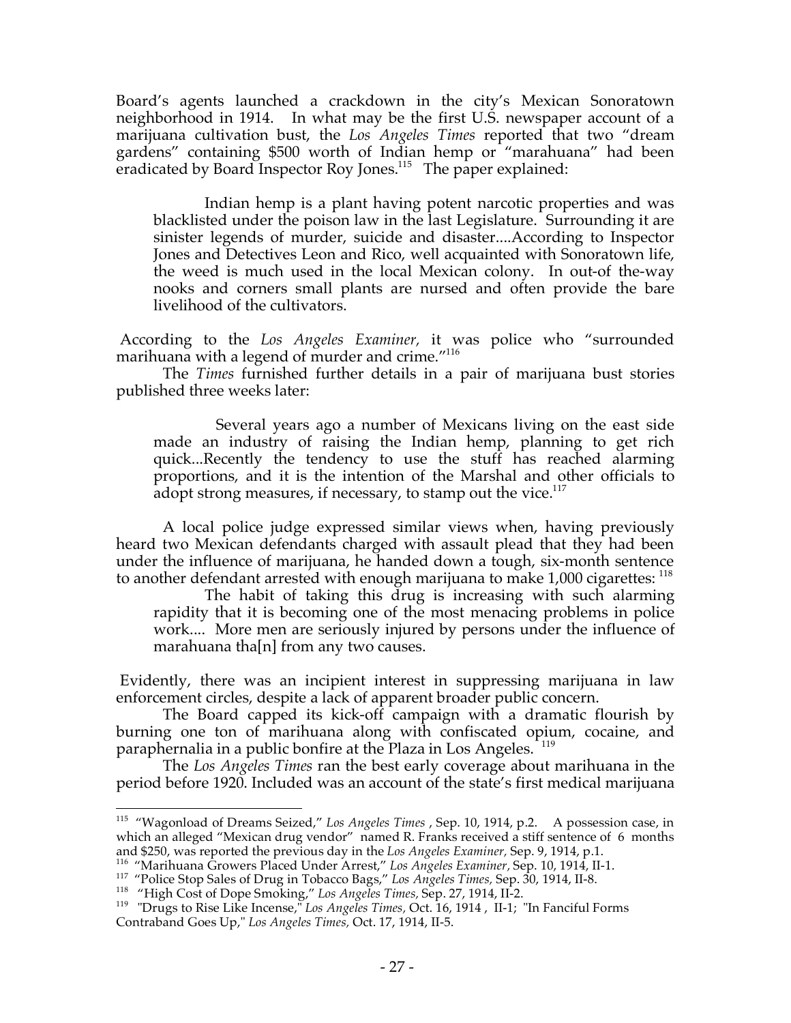Board's agents launched a crackdown in the city's Mexican Sonoratown neighborhood in 1914. In what may be the first U.S. newspaper account of a marijuana cultivation bust, the *Los Angeles Times* reported that two "dream gardens" containing \$500 worth of Indian hemp or "marahuana" had been eradicated by Board Inspector Roy Jones.<sup>115</sup> The paper explained:

Indian hemp is a plant having potent narcotic properties and was blacklisted under the poison law in the last Legislature. Surrounding it are sinister legends of murder, suicide and disaster....According to Inspector Jones and Detectives Leon and Rico, well acquainted with Sonoratown life, the weed is much used in the local Mexican colony. In out-of the-way nooks and corners small plants are nursed and often provide the bare livelihood of the cultivators.

 According to the *Los Angeles Examiner,* it was police who "surrounded marihuana with a legend of murder and crime. $^{\prime\prime 116}$ 

The *Times* furnished further details in a pair of marijuana bust stories published three weeks later:

 Several years ago a number of Mexicans living on the east side made an industry of raising the Indian hemp, planning to get rich quick...Recently the tendency to use the stuff has reached alarming proportions, and it is the intention of the Marshal and other officials to adopt strong measures, if necessary, to stamp out the vice. $117$ 

A local police judge expressed similar views when, having previously heard two Mexican defendants charged with assault plead that they had been under the influence of marijuana, he handed down a tough, six-month sentence to another defendant arrested with enough marijuana to make 1,000 cigarettes: <sup>118</sup>

The habit of taking this drug is increasing with such alarming rapidity that it is becoming one of the most menacing problems in police work.... More men are seriously injured by persons under the influence of marahuana tha[n] from any two causes.

 Evidently, there was an incipient interest in suppressing marijuana in law enforcement circles, despite a lack of apparent broader public concern.

The Board capped its kick-off campaign with a dramatic flourish by burning one ton of marihuana along with confiscated opium, cocaine, and paraphernalia in a public bonfire at the Plaza in Los Angeles.<sup>119</sup>

The *Los Angeles Times* ran the best early coverage about marihuana in the period before 1920. Included was an account of the state's first medical marijuana

 <sup>115 &</sup>quot;Wagonload of Dreams Seized," *Los Angeles Times* , Sep. 10, 1914, p.2. A possession case, in which an alleged "Mexican drug vendor" named R. Franks received a stiff sentence of 6 months and \$250, was reported the previous day in the Los Angeles Examiner, Sep. 9, 1914, p.1.

<sup>&</sup>lt;sup>116</sup> "Marihuana Growers Placed Under Arrest," Los Angeles Examiner, Sep. 10, 1914, II-1.<br><sup>117</sup> "Police Stop Sales of Drug in Tobacco Bags," Los Angeles Times, Sep. 30, 1914, II-8.<br><sup>118</sup> "High Cost of Dope Smoking," Los An Contraband Goes Up," *Los Angeles Times,* Oct. 17, 1914, II-5.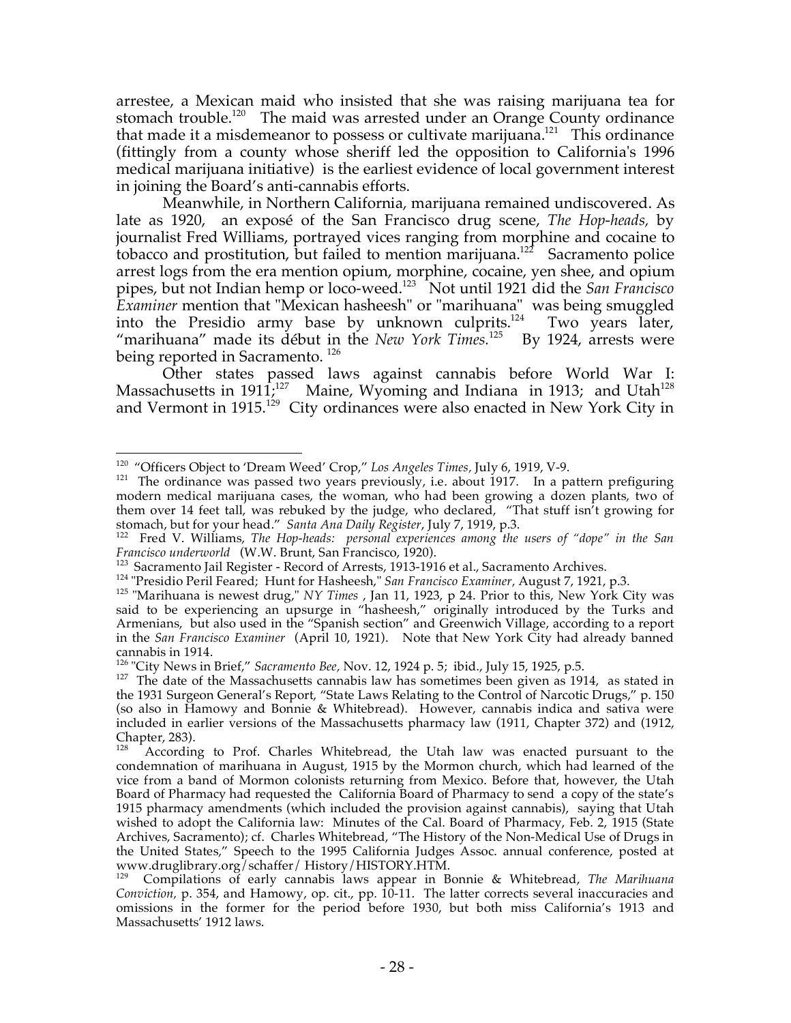arrestee, a Mexican maid who insisted that she was raising marijuana tea for stomach trouble.<sup>120</sup> The maid was arrested under an Orange County ordinance that made it a misdemeanor to possess or cultivate marijuana.<sup>121</sup> This ordinance (fittingly from a county whose sheriff led the opposition to California's 1996 medical marijuana initiative) is the earliest evidence of local government interest in joining the Board's anti-cannabis efforts.

Meanwhile, in Northern California, marijuana remained undiscovered. As late as 1920, an exposé of the San Francisco drug scene, *The Hop-heads,* by journalist Fred Williams, portrayed vices ranging from morphine and cocaine to tobacco and prostitution, but failed to mention marijuana.<sup>122</sup> Sacramento police arrest logs from the era mention opium, morphine, cocaine, yen shee, and opium pipes, but not Indian hemp or loco-weed.123 Not until 1921 did the *San Francisco Examiner* mention that "Mexican hasheesh" or "marihuana" was being smuggled into the Presidio army base by unknown culprits.<sup>124</sup> Two years later, "marihuana" made its début in the *New York Times.*125 By 1924, arrests were being reported in Sacramento.<sup>126</sup>

Other states passed laws against cannabis before World War I: Massachusetts in 1911;<sup>127</sup> Maine, Wyoming and Indiana in 1913; and Utah<sup>128</sup> and Vermont in 1915.<sup>129</sup> City ordinances were also enacted in New York City in

<sup>&</sup>lt;sup>120</sup> "Officers Object to 'Dream Weed' Crop," *Los Angeles Times*, July 6, 1919, V-9.<br><sup>121</sup> The ordinance was passed two years previously, i.e. about 1917. In a pattern prefiguring modern medical marijuana cases, the woman, who had been growing a dozen plants, two of them over 14 feet tall, was rebuked by the judge, who declared, "That stuff isn't growing for

stomach, but for your head." *Santa Ana Daily Register,* July 7, 1919, p.3.<br><sup>122</sup> Fred V. Williams, *The Hop-heads: personal experiences among the users of "dope" in the San* 

*Francisco underworld* (W.W. Brunt, San Francisco, 1920).<br><sup>123</sup> Sacramento Jail Register - Record of Arrests, 1913-1916 et al., Sacramento Archives.<br><sup>124</sup> "Presidio Peril Feared; Hunt for Hasheesh," *San Francisco Examiner* said to be experiencing an upsurge in "hasheesh," originally introduced by the Turks and Armenians, but also used in the "Spanish section" and Greenwich Village, according to a report in the *San Francisco Examiner* (April 10, 1921). Note that New York City had already banned cannabis in 1914.<br><sup>126</sup> "City News in Brief," Sacramento Bee, Nov. 12, 1924 p. 5; ibid., July 15, 1925, p.5.

<sup>&</sup>lt;sup>127</sup> The date of the Massachusetts cannabis law has sometimes been given as 1914, as stated in the 1931 Surgeon General's Report, "State Laws Relating to the Control of Narcotic Drugs," p. 150 (so also in Hamowy and Bonnie & Whitebread). However, cannabis indica and sativa were included in earlier versions of the Massachusetts pharmacy law (1911, Chapter 372) and (1912, Chapter, 283).

According to Prof. Charles Whitebread, the Utah law was enacted pursuant to the condemnation of marihuana in August, 1915 by the Mormon church, which had learned of the vice from a band of Mormon colonists returning from Mexico. Before that, however, the Utah Board of Pharmacy had requested the California Board of Pharmacy to send a copy of the state's 1915 pharmacy amendments (which included the provision against cannabis), saying that Utah wished to adopt the California law: Minutes of the Cal. Board of Pharmacy, Feb. 2, 1915 (State Archives, Sacramento); cf. Charles Whitebread, "The History of the Non-Medical Use of Drugs in the United States," Speech to the 1995 California Judges Assoc. annual conference, posted at www.druglibrary.org/schaffer/ History/HISTORY.HTM.

<sup>129</sup> Compilations of early cannabis laws appear in Bonnie & Whitebread, *The Marihuana Conviction,* p. 354, and Hamowy, op. cit., pp. 10-11. The latter corrects several inaccuracies and omissions in the former for the period before 1930, but both miss California's 1913 and Massachusetts' 1912 laws.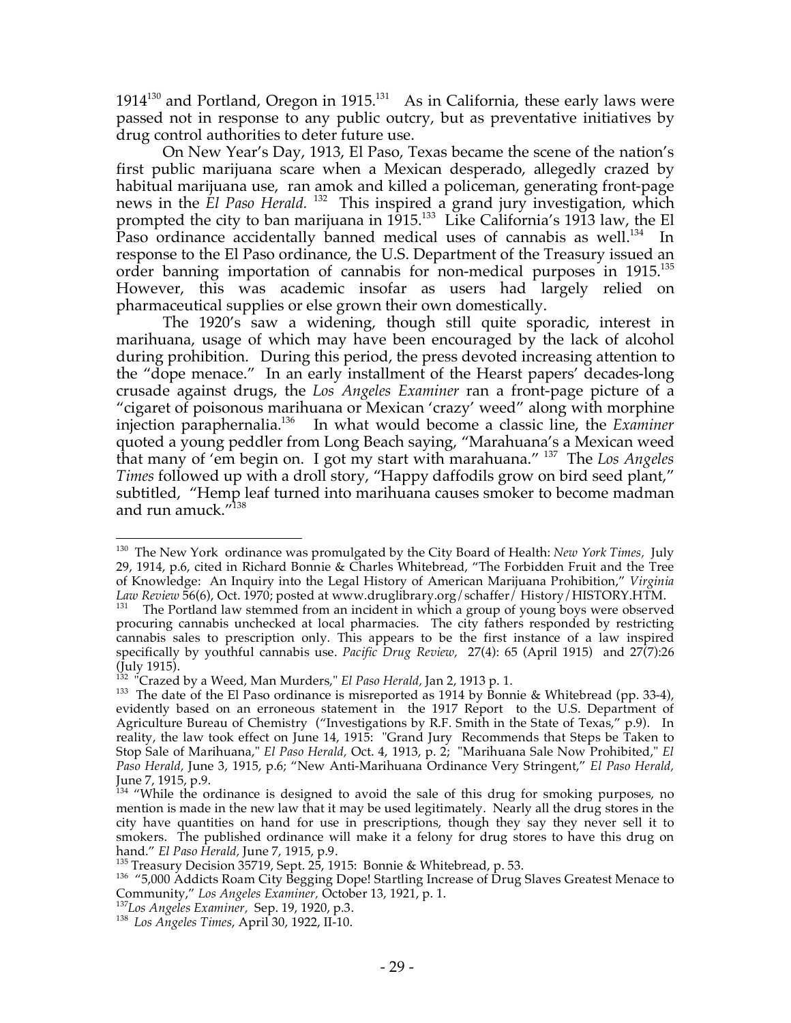1914 $130$  and Portland, Oregon in 1915. $131$  As in California, these early laws were passed not in response to any public outcry, but as preventative initiatives by drug control authorities to deter future use.

On New Year's Day, 1913, El Paso, Texas became the scene of the nation's first public marijuana scare when a Mexican desperado, allegedly crazed by habitual marijuana use, ran amok and killed a policeman, generating front-page news in the *El Paso Herald*.<sup>132</sup> This inspired a grand jury investigation, which prompted the city to ban marijuana in  $1915$ <sup>133</sup> Like California's 1913 law, the El Paso ordinance accidentally banned medical uses of cannabis as well.<sup>134</sup> In response to the El Paso ordinance, the U.S. Department of the Treasury issued an order banning importation of cannabis for non-medical purposes in 1915.<sup>135</sup> However, this was academic insofar as users had largely relied on pharmaceutical supplies or else grown their own domestically.

The 1920's saw a widening, though still quite sporadic, interest in marihuana, usage of which may have been encouraged by the lack of alcohol during prohibition. During this period, the press devoted increasing attention to the "dope menace." In an early installment of the Hearst papers' decades-long crusade against drugs, the *Los Angeles Examiner* ran a front-page picture of a "cigaret of poisonous marihuana or Mexican 'crazy' weed" along with morphine injection paraphernalia.136 In what would become a classic line, the *Examiner* quoted a young peddler from Long Beach saying, "Marahuana's a Mexican weed that many of 'em begin on. I got my start with marahuana." 137 The *Los Angeles Times* followed up with a droll story, "Happy daffodils grow on bird seed plant," subtitled, "Hemp leaf turned into marihuana causes smoker to become madman and run amuck."<sup>138</sup>

 <sup>130</sup> The New York ordinance was promulgated by the City Board of Health: *New York Times,* July 29, 1914, p.6, cited in Richard Bonnie & Charles Whitebread, "The Forbidden Fruit and the Tree of Knowledge: An Inquiry into the Legal History of American Marijuana Prohibition," *Virginia* 

<sup>&</sup>lt;sup>131</sup> The Portland law stemmed from an incident in which a group of young boys were observed procuring cannabis unchecked at local pharmacies. The city fathers responded by restricting cannabis sales to prescription only. This appears to be the first instance of a law inspired specifically by youthful cannabis use. *Pacific Drug Review,* 27(4): 65 (April 1915) and 27(7):26 (July 1915).<br>(July 1915).<br><sup>132</sup> "Crazed by a Wood Man Murdors" El Pace Usuald Jan 2, 1912 a 1.

<sup>&</sup>lt;sup>132</sup> "Crazed by a Weed, Man Murders," *El Paso Herald*, Jan 2, 1913 p. 1.<br><sup>133</sup> The date of the El Paso ordinance is misreported as 1914 by Bonnie & Whitebread (pp. 33-4), evidently based on an erroneous statement in the 1917 Report to the U.S. Department of Agriculture Bureau of Chemistry ("Investigations by R.F. Smith in the State of Texas," p.9). In reality, the law took effect on June 14, 1915: "Grand Jury Recommends that Steps be Taken to Stop Sale of Marihuana," *El Paso Herald,* Oct. 4, 1913, p. 2; "Marihuana Sale Now Prohibited," *El Paso Herald,* June 3, 1915, p.6; "New Anti-Marihuana Ordinance Very Stringent," *El Paso Herald,* June 7, 1915, p.9.

 $134$  "While the ordinance is designed to avoid the sale of this drug for smoking purposes, no mention is made in the new law that it may be used legitimately. Nearly all the drug stores in the city have quantities on hand for use in prescriptions, though they say they never sell it to smokers. The published ordinance will make it a felony for drug stores to have this drug on hand." El Paso Herald, June 7, 1915, p.9.

<sup>&</sup>lt;sup>135</sup> Treasury Decision 35719, Sept. 25, 1915: Bonnie & Whitebread, p. 53. <sup>136</sup> "5,000 Addicts Roam City Begging Dope! Startling Increase of Drug Slaves Greatest Menace to Community," *Los Angeles Examiner,* October 13, 1921, p. 1. <sup>137</sup>*Los Angeles Examiner,* Sep. 19, 1920, p.3. <sup>138</sup>*Los Angeles Times*, April 30, 1922, II-10.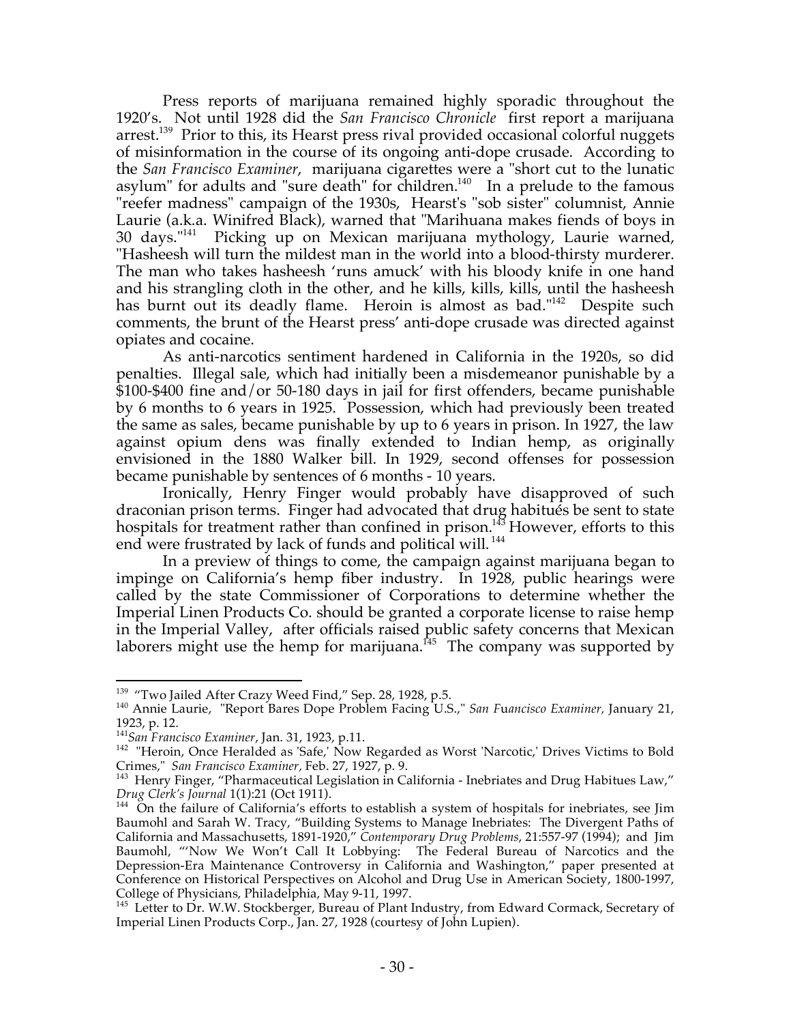Press reports of marijuana remained highly sporadic throughout the 1920's. Not until 1928 did the *San Francisco Chronicle* first report a marijuana arrest.<sup>139</sup> Prior to this, its Hearst press rival provided occasional colorful nuggets of misinformation in the course of its ongoing anti-dope crusade. According to the *San Francisco Examiner*, marijuana cigarettes were a "short cut to the lunatic asylum" for adults and "sure death" for children.<sup>140</sup> In a prelude to the famous "reefer madness" campaign of the 1930s, Hearst's "sob sister" columnist, Annie Laurie (a.k.a. Winifred Black), warned that "Marihuana makes fiends of boys in 30 days."141 Picking up on Mexican marijuana mythology, Laurie warned, "Hasheesh will turn the mildest man in the world into a blood-thirsty murderer. The man who takes hasheesh 'runs amuck' with his bloody knife in one hand and his strangling cloth in the other, and he kills, kills, kills, until the hasheesh has burnt out its deadly flame. Heroin is almost as bad."<sup>142</sup> Despite such comments, the brunt of the Hearst press' anti-dope crusade was directed against opiates and cocaine.

As anti-narcotics sentiment hardened in California in the 1920s, so did penalties. Illegal sale, which had initially been a misdemeanor punishable by a \$100-\$400 fine and/or 50-180 days in jail for first offenders, became punishable by 6 months to 6 years in 1925. Possession, which had previously been treated the same as sales, became punishable by up to 6 years in prison. In 1927, the law against opium dens was finally extended to Indian hemp, as originally envisioned in the 1880 Walker bill. In 1929, second offenses for possession became punishable by sentences of 6 months - 10 years.

Ironically, Henry Finger would probably have disapproved of such draconian prison terms. Finger had advocated that drug habitués be sent to state hospitals for treatment rather than confined in prison.<sup>143</sup> However, efforts to this end were frustrated by lack of funds and political will.<sup>144</sup>

In a preview of things to come, the campaign against marijuana began to impinge on California's hemp fiber industry. In 1928, public hearings were called by the state Commissioner of Corporations to determine whether the Imperial Linen Products Co. should be granted a corporate license to raise hemp in the Imperial Valley, after officials raised public safety concerns that Mexican laborers might use the hemp for marijuana.<sup> $145$ </sup> The company was supported by

<sup>&</sup>lt;sup>139</sup> "Two Jailed After Crazy Weed Find," Sep. 28, 1928, p.5.<br><sup>140</sup> Annie Laurie, "Report Bares Dope Problem Facing U.S.," *San Fuancisco Examiner*, January 21, 1923, p. 12.<br><sup>141</sup>San Francisco Examiner, Jan. 31, 1923, p.11.

<sup>&</sup>lt;sup>142</sup> "Heroin, Once Heralded as 'Safe,' Now Regarded as Worst 'Narcotic,' Drives Victims to Bold Crimes," *San Francisco Examiner*, Feb. 27, 1927, p. 9.

<sup>&</sup>lt;sup>143</sup> Henry Finger, "Pharmaceutical Legislation in California - Inebriates and Drug Habitues Law,"<br>Drug Clerk's Journal 1(1):21 (Oct 1911).

<sup>&</sup>lt;sup>144</sup> On the failure of California's efforts to establish a system of hospitals for inebriates, see Jim Baumohl and Sarah W. Tracy, "Building Systems to Manage Inebriates: The Divergent Paths of California and Massachusetts, 1891-1920," *Contemporary Drug Problems*, 21:557-97 (1994); and Jim Baumohl, "'Now We Won't Call It Lobbying: The Federal Bureau of Narcotics and the Depression-Era Maintenance Controversy in California and Washington," paper presented at Conference on Historical Perspectives on Alcohol and Drug Use in American Society, 1800-1997, College of Physicians, Philadelphia, May 9-11, 1997.<br><sup>145</sup> Letter to Dr. W.W. Stockberger, Bureau of Plant Industry, from Edward Cormack, Secretary of

Imperial Linen Products Corp., Jan. 27, 1928 (courtesy of John Lupien).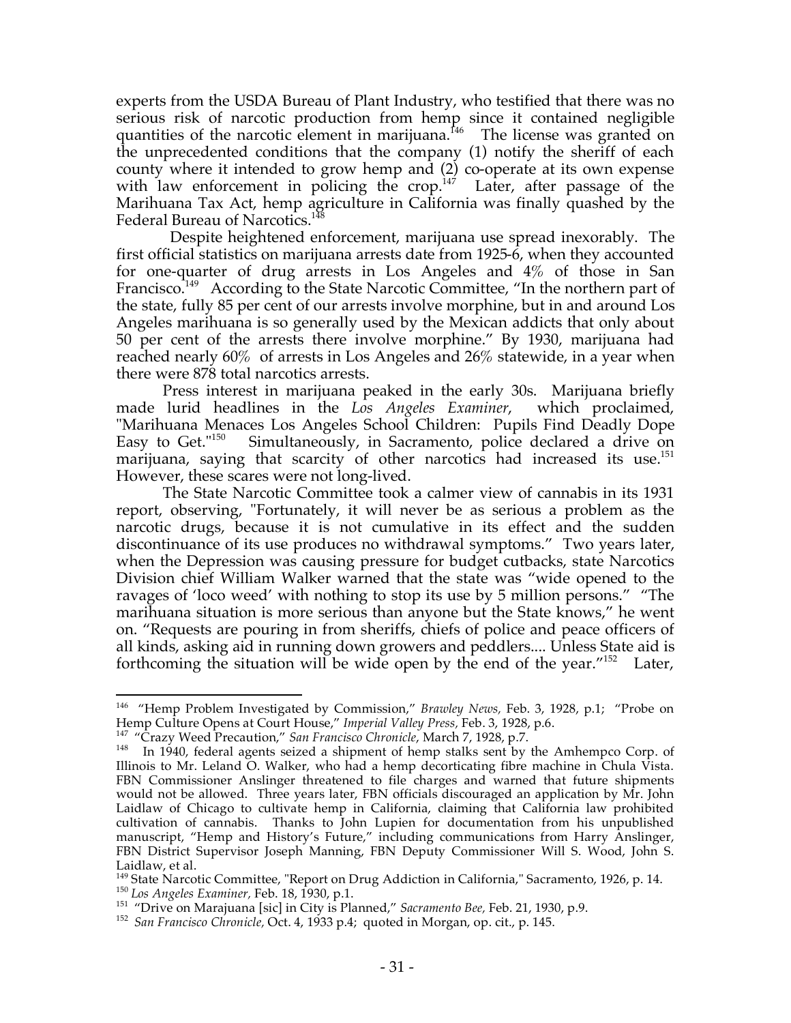experts from the USDA Bureau of Plant Industry, who testified that there was no serious risk of narcotic production from hemp since it contained negligible quantities of the narcotic element in marijuana.<sup> $146$ </sup> The license was granted on the unprecedented conditions that the company (1) notify the sheriff of each county where it intended to grow hemp and (2) co-operate at its own expense with law enforcement in policing the crop.<sup>147</sup> Later, after passage of the Marihuana Tax Act, hemp agriculture in California was finally quashed by the Federal Bureau of Narcotics.<sup>148</sup>

 Despite heightened enforcement, marijuana use spread inexorably. The first official statistics on marijuana arrests date from 1925-6, when they accounted for one-quarter of drug arrests in Los Angeles and 4% of those in San Francisco.<sup>149</sup> According to the State Narcotic Committee, "In the northern part of the state, fully 85 per cent of our arrests involve morphine, but in and around Los Angeles marihuana is so generally used by the Mexican addicts that only about 50 per cent of the arrests there involve morphine." By 1930, marijuana had reached nearly 60% of arrests in Los Angeles and 26% statewide, in a year when there were 878 total narcotics arrests.

Press interest in marijuana peaked in the early 30s. Marijuana briefly made lurid headlines in the *Los Angeles Examiner*, which proclaimed, "Marihuana Menaces Los Angeles School Children: Pupils Find Deadly Dope Easy to Get."<sup>150</sup> Simultaneously, in Sacramento, police declared a drive on Simultaneously, in Sacramento, police declared a drive on marijuana, saying that scarcity of other narcotics had increased its use.<sup>151</sup> However, these scares were not long-lived.

The State Narcotic Committee took a calmer view of cannabis in its 1931 report, observing, "Fortunately, it will never be as serious a problem as the narcotic drugs, because it is not cumulative in its effect and the sudden discontinuance of its use produces no withdrawal symptoms." Two years later, when the Depression was causing pressure for budget cutbacks, state Narcotics Division chief William Walker warned that the state was "wide opened to the ravages of 'loco weed' with nothing to stop its use by 5 million persons." "The marihuana situation is more serious than anyone but the State knows," he went on. "Requests are pouring in from sheriffs, chiefs of police and peace officers of all kinds, asking aid in running down growers and peddlers.... Unless State aid is forthcoming the situation will be wide open by the end of the year."<sup>152</sup> Later,

 <sup>146 &</sup>quot;Hemp Problem Investigated by Commission," *Brawley News,* Feb. 3, 1928, p.1; "Probe on Hemp Culture Opens at Court House," Imperial Valley Press, Feb. 3, 1928, p.6.<br><sup>147</sup> "Crazy Weed Precaution," San Francisco Chronicle, March 7, 1928, p.7.<br><sup>148</sup> In 1940, federal agents seized a shipment of hemp stalks sent

Illinois to Mr. Leland O. Walker, who had a hemp decorticating fibre machine in Chula Vista. FBN Commissioner Anslinger threatened to file charges and warned that future shipments would not be allowed. Three years later, FBN officials discouraged an application by Mr. John Laidlaw of Chicago to cultivate hemp in California, claiming that California law prohibited cultivation of cannabis. Thanks to John Lupien for documentation from his unpublished manuscript, "Hemp and History's Future," including communications from Harry Anslinger, FBN District Supervisor Joseph Manning, FBN Deputy Commissioner Will S. Wood, John S.

Laidlaw, et al.<br><sup>149</sup> State Narcotic Committee, "Report on Drug Addiction in California," Sacramento, 1926, p. 14. <sup>150</sup> Los Angeles Examiner, Feb. 18, 1930, p.1.<br><sup>151</sup> "Drive on Marajuana [sic] in City is Planned," *Sacramento Bee*, Feb. 21, 1930, p.9.<br><sup>152</sup> San Francisco Chronicle, Oct. 4, 1933 p.4; quoted in Morgan, op. cit., p. 145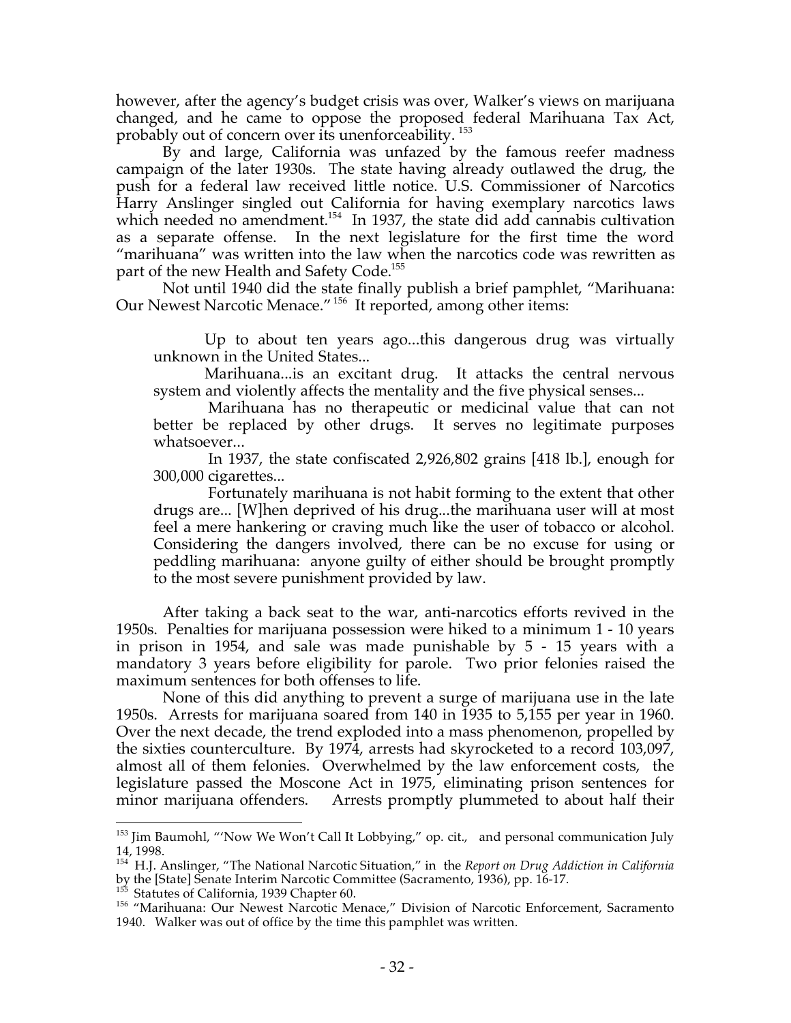however, after the agency's budget crisis was over, Walker's views on marijuana changed, and he came to oppose the proposed federal Marihuana Tax Act, probably out of concern over its unenforceability. 153

By and large, California was unfazed by the famous reefer madness campaign of the later 1930s. The state having already outlawed the drug, the push for a federal law received little notice. U.S. Commissioner of Narcotics Harry Anslinger singled out California for having exemplary narcotics laws which needed no amendment.<sup>154</sup> In 1937, the state did add cannabis cultivation as a separate offense. In the next legislature for the first time the word "marihuana" was written into the law when the narcotics code was rewritten as part of the new Health and Safety Code.<sup>155</sup>

Not until 1940 did the state finally publish a brief pamphlet, "Marihuana: Our Newest Narcotic Menace." 156 It reported, among other items:

Up to about ten years ago...this dangerous drug was virtually unknown in the United States...

Marihuana...is an excitant drug. It attacks the central nervous system and violently affects the mentality and the five physical senses...

 Marihuana has no therapeutic or medicinal value that can not better be replaced by other drugs. It serves no legitimate purposes whatsoever...

 In 1937, the state confiscated 2,926,802 grains [418 lb.], enough for 300,000 cigarettes...

 Fortunately marihuana is not habit forming to the extent that other drugs are... [W]hen deprived of his drug...the marihuana user will at most feel a mere hankering or craving much like the user of tobacco or alcohol. Considering the dangers involved, there can be no excuse for using or peddling marihuana: anyone guilty of either should be brought promptly to the most severe punishment provided by law.

After taking a back seat to the war, anti-narcotics efforts revived in the 1950s. Penalties for marijuana possession were hiked to a minimum 1 - 10 years in prison in 1954, and sale was made punishable by 5 - 15 years with a mandatory 3 years before eligibility for parole. Two prior felonies raised the maximum sentences for both offenses to life.

None of this did anything to prevent a surge of marijuana use in the late 1950s. Arrests for marijuana soared from 140 in 1935 to 5,155 per year in 1960. Over the next decade, the trend exploded into a mass phenomenon, propelled by the sixties counterculture. By 1974, arrests had skyrocketed to a record 103,097, almost all of them felonies. Overwhelmed by the law enforcement costs, the legislature passed the Moscone Act in 1975, eliminating prison sentences for minor marijuana offenders. Arrests promptly plummeted to about half their

 $153$  Jim Baumohl, "'Now We Won't Call It Lobbying," op. cit., and personal communication July 14, 1998.

<sup>154</sup> H.J. Anslinger, "The National Narcotic Situation," in the *Report on Drug Addiction in California*

<sup>&</sup>lt;sup>155</sup> Statutes of California, 1939 Chapter 60.<br><sup>156</sup> "Marihuana: Our Newest Narcotic Menace," Division of Narcotic Enforcement, Sacramento 1940. Walker was out of office by the time this pamphlet was written.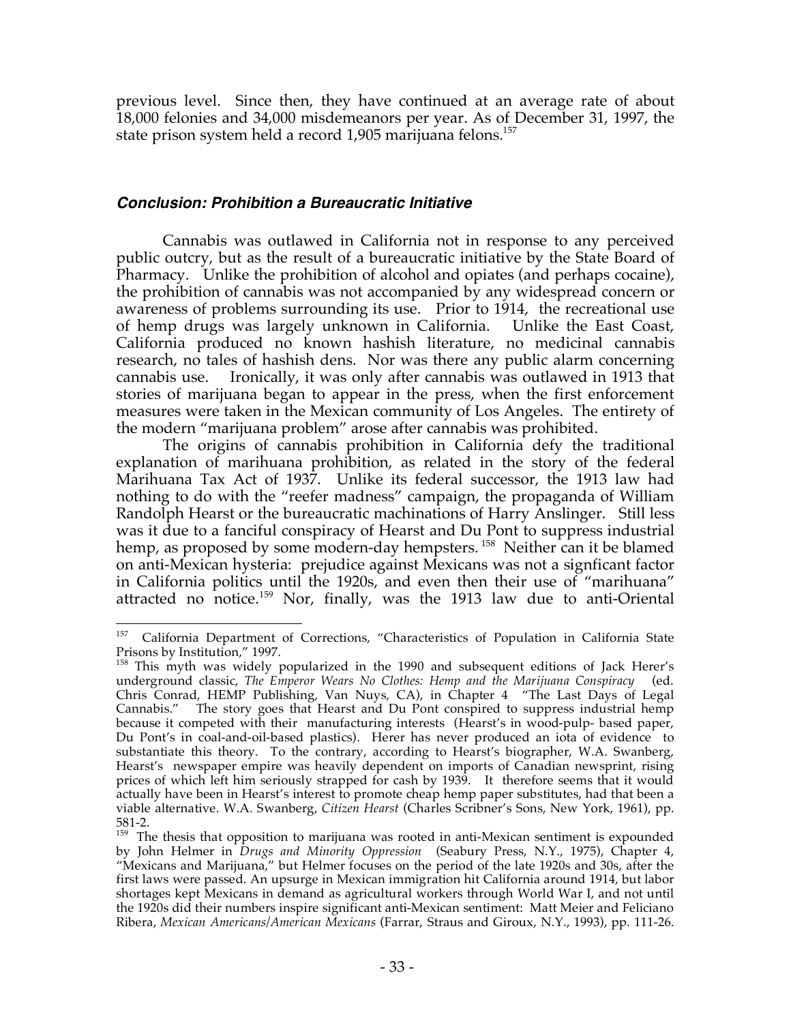previous level. Since then, they have continued at an average rate of about 18,000 felonies and 34,000 misdemeanors per year. As of December 31, 1997, the state prison system held a record 1,905 marijuana felons.<sup>157</sup>

#### *Conclusion: Prohibition a Bureaucratic Initiative*

Cannabis was outlawed in California not in response to any perceived public outcry, but as the result of a bureaucratic initiative by the State Board of Pharmacy. Unlike the prohibition of alcohol and opiates (and perhaps cocaine), the prohibition of cannabis was not accompanied by any widespread concern or awareness of problems surrounding its use. Prior to 1914, the recreational use of hemp drugs was largely unknown in California. Unlike the East Coast, California produced no known hashish literature, no medicinal cannabis research, no tales of hashish dens. Nor was there any public alarm concerning cannabis use. Ironically, it was only after cannabis was outlawed in 1913 that stories of marijuana began to appear in the press, when the first enforcement measures were taken in the Mexican community of Los Angeles. The entirety of the modern "marijuana problem" arose after cannabis was prohibited.

The origins of cannabis prohibition in California defy the traditional explanation of marihuana prohibition, as related in the story of the federal Marihuana Tax Act of 1937. Unlike its federal successor, the 1913 law had nothing to do with the "reefer madness" campaign, the propaganda of William Randolph Hearst or the bureaucratic machinations of Harry Anslinger. Still less was it due to a fanciful conspiracy of Hearst and Du Pont to suppress industrial hemp, as proposed by some modern-day hempsters.<sup>158</sup> Neither can it be blamed on anti-Mexican hysteria: prejudice against Mexicans was not a signficant factor in California politics until the 1920s, and even then their use of "marihuana" attracted no notice.159 Nor, finally, was the 1913 law due to anti-Oriental

<sup>&</sup>lt;sup>157</sup> California Department of Corrections, "Characteristics of Population in California State Prisons by Institution," 1997.

<sup>158</sup> This myth was widely popularized in the 1990 and subsequent editions of Jack Herer's underground classic, *The Emperor Wears No Clothes: Hemp and the Marijuana Conspiracy* (ed. Chris Conrad, HEMP Publishing, Van Nuys, CA), in Chapter 4 "The Last Days of Legal Cannabis." The story goes that Hearst and Du Pont conspired to suppress industrial hemp because it competed with their manufacturing interests (Hearst's in wood-pulp- based paper, Du Pont's in coal-and-oil-based plastics). Herer has never produced an iota of evidence to substantiate this theory. To the contrary, according to Hearst's biographer, W.A. Swanberg, Hearst's newspaper empire was heavily dependent on imports of Canadian newsprint, rising prices of which left him seriously strapped for cash by 1939. It therefore seems that it would actually have been in Hearst's interest to promote cheap hemp paper substitutes, had that been a viable alternative. W.A. Swanberg, *Citizen Hearst* (Charles Scribner's Sons, New York, 1961), pp.

 $159$  The thesis that opposition to marijuana was rooted in anti-Mexican sentiment is expounded by John Helmer in *Drugs and Minority Oppression* (Seabury Press, N.Y., 1975), Chapter 4, "Mexicans and Marijuana," but Helmer focuses on the period of the late 1920s and 30s, after the first laws were passed. An upsurge in Mexican immigration hit California around 1914, but labor shortages kept Mexicans in demand as agricultural workers through World War I, and not until the 1920s did their numbers inspire significant anti-Mexican sentiment: Matt Meier and Feliciano Ribera, *Mexican Americans/American Mexicans* (Farrar, Straus and Giroux, N.Y., 1993), pp. 111-26.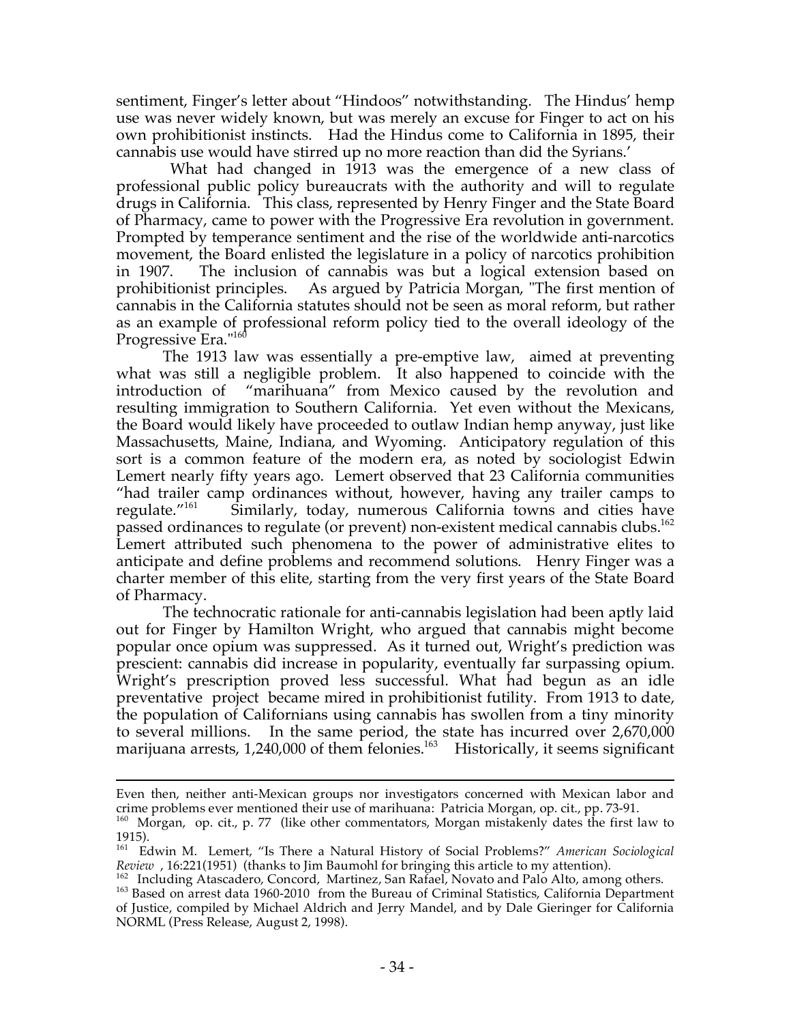sentiment, Finger's letter about "Hindoos" notwithstanding. The Hindus' hemp use was never widely known, but was merely an excuse for Finger to act on his own prohibitionist instincts. Had the Hindus come to California in 1895, their cannabis use would have stirred up no more reaction than did the Syrians.'

 What had changed in 1913 was the emergence of a new class of professional public policy bureaucrats with the authority and will to regulate drugs in California. This class, represented by Henry Finger and the State Board of Pharmacy, came to power with the Progressive Era revolution in government. Prompted by temperance sentiment and the rise of the worldwide anti-narcotics movement, the Board enlisted the legislature in a policy of narcotics prohibition in 1907. The inclusion of cannabis was but a logical extension based on prohibitionist principles. As argued by Patricia Morgan, "The first mention of cannabis in the California statutes should not be seen as moral reform, but rather as an example of professional reform policy tied to the overall ideology of the Progressive Era."160

The 1913 law was essentially a pre-emptive law, aimed at preventing what was still a negligible problem. It also happened to coincide with the introduction of "marihuana" from Mexico caused by the revolution and resulting immigration to Southern California. Yet even without the Mexicans, the Board would likely have proceeded to outlaw Indian hemp anyway, just like Massachusetts, Maine, Indiana, and Wyoming. Anticipatory regulation of this sort is a common feature of the modern era, as noted by sociologist Edwin Lemert nearly fifty years ago. Lemert observed that 23 California communities "had trailer camp ordinances without, however, having any trailer camps to regulate."<sup>161</sup> Similarly, today, numerous California towns and cities have Similarly, today, numerous California towns and cities have passed ordinances to regulate (or prevent) non-existent medical cannabis clubs.<sup>162</sup> Lemert attributed such phenomena to the power of administrative elites to anticipate and define problems and recommend solutions. Henry Finger was a charter member of this elite, starting from the very first years of the State Board of Pharmacy.

The technocratic rationale for anti-cannabis legislation had been aptly laid out for Finger by Hamilton Wright, who argued that cannabis might become popular once opium was suppressed. As it turned out, Wright's prediction was prescient: cannabis did increase in popularity, eventually far surpassing opium. Wright's prescription proved less successful. What had begun as an idle preventative project became mired in prohibitionist futility. From 1913 to date, the population of Californians using cannabis has swollen from a tiny minority to several millions. In the same period, the state has incurred over 2,670,000 marijuana arrests, 1,240,000 of them felonies.<sup>163</sup> Historically, it seems significant

Even then, neither anti-Mexican groups nor investigators concerned with Mexican labor and crime problems ever mentioned their use of marihuana: Patricia Morgan, op. cit., pp. 73-91. 160 Morgan, op. cit., p. 77 (like other commentators, Morgan mistakenly dates the first law to

<sup>1915).</sup>

<sup>&</sup>lt;sup>161</sup> Edwin M. Lemert, "Is There a Natural History of Social Problems?" *American Sociological Review*, 16:221(1951) (thanks to Jim Baumohl for bringing this article to my attention).

<sup>&</sup>lt;sup>162</sup> Including Atascadero, Concord, Martinez, San Rafael, Novato and Palo Alto, among others.<br><sup>163</sup> Based on arrest data 1960-2010 from the Bureau of Criminal Statistics, California Department of Justice, compiled by Michael Aldrich and Jerry Mandel, and by Dale Gieringer for California NORML (Press Release, August 2, 1998).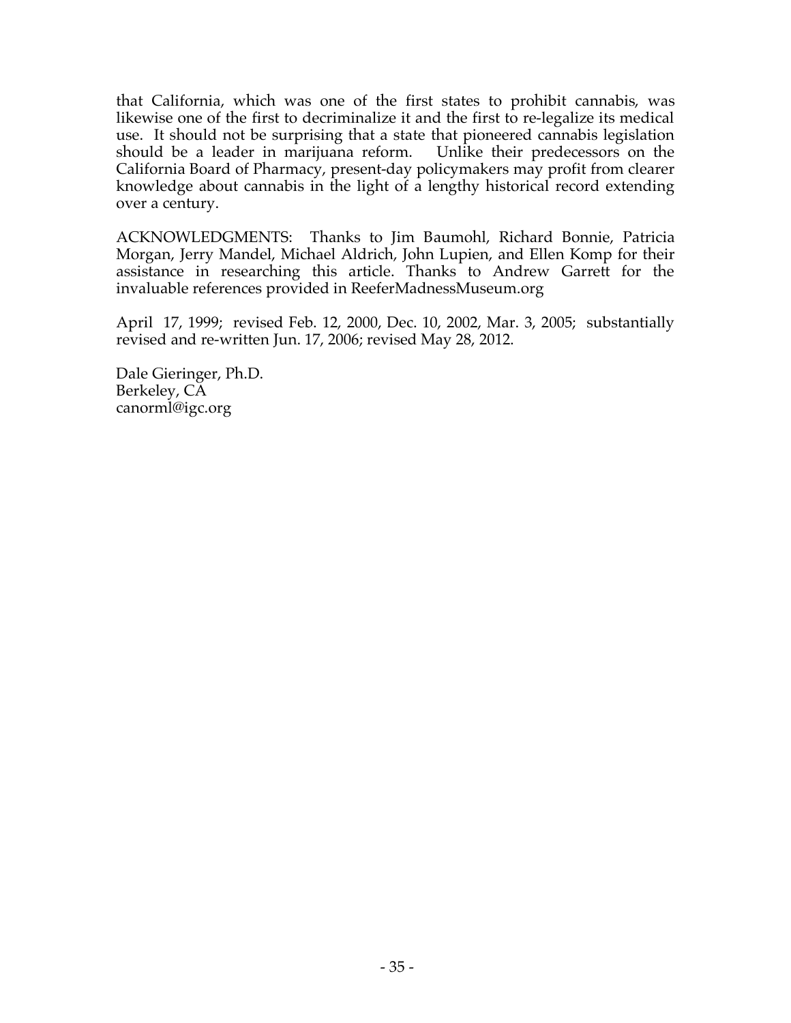that California, which was one of the first states to prohibit cannabis, was likewise one of the first to decriminalize it and the first to re-legalize its medical use. It should not be surprising that a state that pioneered cannabis legislation should be a leader in marijuana reform. Unlike their predecessors on the California Board of Pharmacy, present-day policymakers may profit from clearer knowledge about cannabis in the light of a lengthy historical record extending over a century.

ACKNOWLEDGMENTS: Thanks to Jim Baumohl, Richard Bonnie, Patricia Morgan, Jerry Mandel, Michael Aldrich, John Lupien, and Ellen Komp for their assistance in researching this article. Thanks to Andrew Garrett for the invaluable references provided in ReeferMadnessMuseum.org

April 17, 1999; revised Feb. 12, 2000, Dec. 10, 2002, Mar. 3, 2005; substantially revised and re-written Jun. 17, 2006; revised May 28, 2012.

Dale Gieringer, Ph.D. Berkeley, CA canorml@igc.org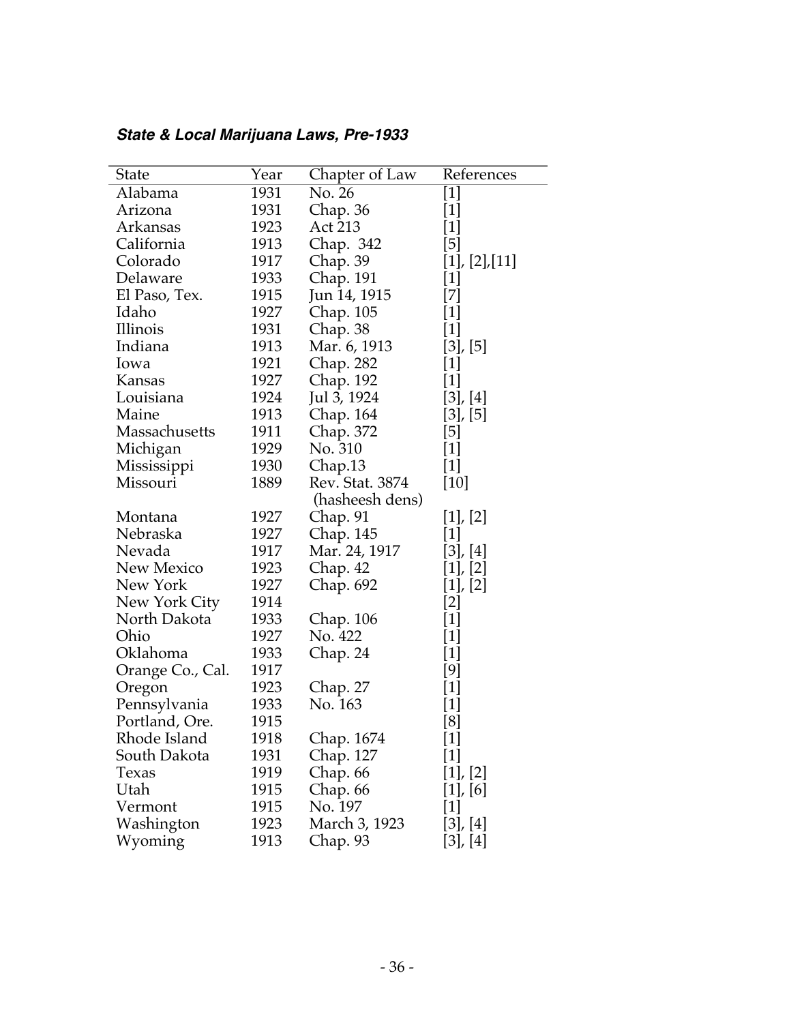| State            | Year | Chapter of Law  | References                                                                                                                                                                                                                                                                                                                                                                                                                                                                                                                                          |
|------------------|------|-----------------|-----------------------------------------------------------------------------------------------------------------------------------------------------------------------------------------------------------------------------------------------------------------------------------------------------------------------------------------------------------------------------------------------------------------------------------------------------------------------------------------------------------------------------------------------------|
| Alabama          | 1931 | No. 26          | $[1]$                                                                                                                                                                                                                                                                                                                                                                                                                                                                                                                                               |
| Arizona          | 1931 | Chap. 36        | $[1]$                                                                                                                                                                                                                                                                                                                                                                                                                                                                                                                                               |
| Arkansas         | 1923 | <b>Act 213</b>  | $[1]$                                                                                                                                                                                                                                                                                                                                                                                                                                                                                                                                               |
| California       | 1913 | Chap. 342       | $[5]$                                                                                                                                                                                                                                                                                                                                                                                                                                                                                                                                               |
| Colorado         | 1917 | Chap. 39        | [1], [2], [11]                                                                                                                                                                                                                                                                                                                                                                                                                                                                                                                                      |
| Delaware         | 1933 | Chap. 191       | $[1]$                                                                                                                                                                                                                                                                                                                                                                                                                                                                                                                                               |
| El Paso, Tex.    | 1915 | Jun 14, 1915    | [7]                                                                                                                                                                                                                                                                                                                                                                                                                                                                                                                                                 |
| Idaho            | 1927 | Chap. 105       | $[1]$                                                                                                                                                                                                                                                                                                                                                                                                                                                                                                                                               |
| Illinois         | 1931 | Chap. 38        | $[1]$                                                                                                                                                                                                                                                                                                                                                                                                                                                                                                                                               |
| Indiana          | 1913 | Mar. 6, 1913    | $[3]$ , $[5]$                                                                                                                                                                                                                                                                                                                                                                                                                                                                                                                                       |
| lowa             | 1921 | Chap. 282       | [1]                                                                                                                                                                                                                                                                                                                                                                                                                                                                                                                                                 |
| Kansas           | 1927 | Chap. 192       | [1]                                                                                                                                                                                                                                                                                                                                                                                                                                                                                                                                                 |
| Louisiana        | 1924 | Jul 3, 1924     | $[3]$ , $[4]$                                                                                                                                                                                                                                                                                                                                                                                                                                                                                                                                       |
| Maine            | 1913 | Chap. 164       | $[3]$ , $[5]$                                                                                                                                                                                                                                                                                                                                                                                                                                                                                                                                       |
| Massachusetts    | 1911 | Chap. 372       | $[5]$                                                                                                                                                                                                                                                                                                                                                                                                                                                                                                                                               |
| Michigan         | 1929 | No. 310         | $[1]$                                                                                                                                                                                                                                                                                                                                                                                                                                                                                                                                               |
| Mississippi      | 1930 | Chap.13         | $[1]$                                                                                                                                                                                                                                                                                                                                                                                                                                                                                                                                               |
| Missouri         | 1889 | Rev. Stat. 3874 | $[10]$                                                                                                                                                                                                                                                                                                                                                                                                                                                                                                                                              |
|                  |      | (hasheesh dens) |                                                                                                                                                                                                                                                                                                                                                                                                                                                                                                                                                     |
| Montana          | 1927 | Chap. 91        | [1], [2]                                                                                                                                                                                                                                                                                                                                                                                                                                                                                                                                            |
| Nebraska         | 1927 | Chap. 145       | $[1]$                                                                                                                                                                                                                                                                                                                                                                                                                                                                                                                                               |
| Nevada           | 1917 | Mar. 24, 1917   | [3], [4]                                                                                                                                                                                                                                                                                                                                                                                                                                                                                                                                            |
| New Mexico       | 1923 | Chap. 42        | [1], [2]                                                                                                                                                                                                                                                                                                                                                                                                                                                                                                                                            |
| New York         | 1927 | Chap. 692       | $[1]$ , $[2]$                                                                                                                                                                                                                                                                                                                                                                                                                                                                                                                                       |
| New York City    | 1914 |                 |                                                                                                                                                                                                                                                                                                                                                                                                                                                                                                                                                     |
| North Dakota     | 1933 | Chap. 106       | $[1]$                                                                                                                                                                                                                                                                                                                                                                                                                                                                                                                                               |
| Ohio             | 1927 | No. 422         | $\lfloor 1 \rfloor$                                                                                                                                                                                                                                                                                                                                                                                                                                                                                                                                 |
| Oklahoma         | 1933 | Chap. 24        | $[1]$                                                                                                                                                                                                                                                                                                                                                                                                                                                                                                                                               |
| Orange Co., Cal. | 1917 |                 | $[9] % \begin{subfigure}[t]{0.45\textwidth} \includegraphics[width=\textwidth]{figures/fig_10.pdf} \caption{The 3D (top) and the 4D (bottom) of the 3D (bottom) of the 3D (bottom) of the 3D (bottom) of the 3D (bottom) of the 3D (bottom).} \label{fig:1} \end{subfigure} \vspace{0.1in} \begin{subfigure}[t]{0.45\textwidth} \includegraphics[width=\textwidth]{figures/fig_10.pdf} \caption{The 3D (bottom) and the 3D (bottom) of the 3D (bottom) of the 3D (bottom).} \label{fig:1} \end{subfigure} \vspace{0.1in} \begin{subfigure}[t]{0.45$ |
| Oregon           | 1923 | Chap. 27        | $[1] % \includegraphics[width=0.9\columnwidth]{figures/fig_1a} \caption{The figure shows the number of times, and the number of times, and the number of times, and the number of times, are indicated with the number of times, and the number of times, are indicated with the number of times.} \label{fig:2}$                                                                                                                                                                                                                                   |
| Pennsylvania     | 1933 | No. 163         | $[1] % \includegraphics[width=0.9\columnwidth]{figures/fig_1a} \caption{The figure shows the number of times, and the number of times, and the number of times, and the number of times, are indicated with the number of times, and the number of times, are indicated with the number of times.} \label{fig:2}$                                                                                                                                                                                                                                   |
| Portland, Ore.   | 1915 |                 | [8]                                                                                                                                                                                                                                                                                                                                                                                                                                                                                                                                                 |
| Rhode Island     | 1918 | Chap. 1674      | $[1]$                                                                                                                                                                                                                                                                                                                                                                                                                                                                                                                                               |
| South Dakota     | 1931 | Chap. 127       | $[1]$                                                                                                                                                                                                                                                                                                                                                                                                                                                                                                                                               |
| Texas            | 1919 | Chap. 66        | [1], [2]                                                                                                                                                                                                                                                                                                                                                                                                                                                                                                                                            |
| Utah             | 1915 | Chap. 66        | $[1]$ , $[6]$                                                                                                                                                                                                                                                                                                                                                                                                                                                                                                                                       |
| Vermont          | 1915 | No. 197         | $[1]$                                                                                                                                                                                                                                                                                                                                                                                                                                                                                                                                               |
| Washington       | 1923 | March 3, 1923   | $[3]$ , $[4]$                                                                                                                                                                                                                                                                                                                                                                                                                                                                                                                                       |
| Wyoming          | 1913 | Chap. 93        | $[3]$ , $[4]$                                                                                                                                                                                                                                                                                                                                                                                                                                                                                                                                       |

# *State & Local Marijuana Laws, Pre-1933*